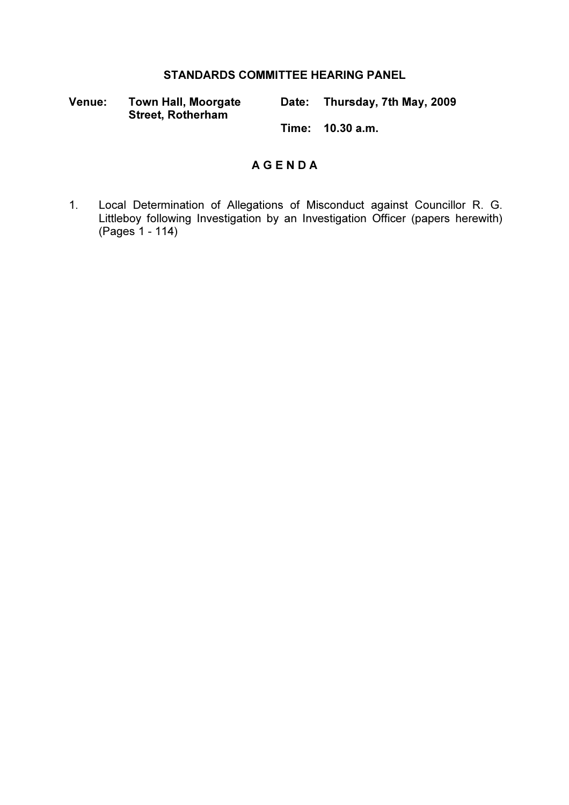#### STANDARDS COMMITTEE HEARING PANEL

Venue: Town Hall, Moorgate Street, Rotherham Date: Thursday, 7th May, 2009

Time: 10.30 a.m.

#### A G E N D A

1. Local Determination of Allegations of Misconduct against Councillor R. G. Littleboy following Investigation by an Investigation Officer (papers herewith) (Pages 1 - 114)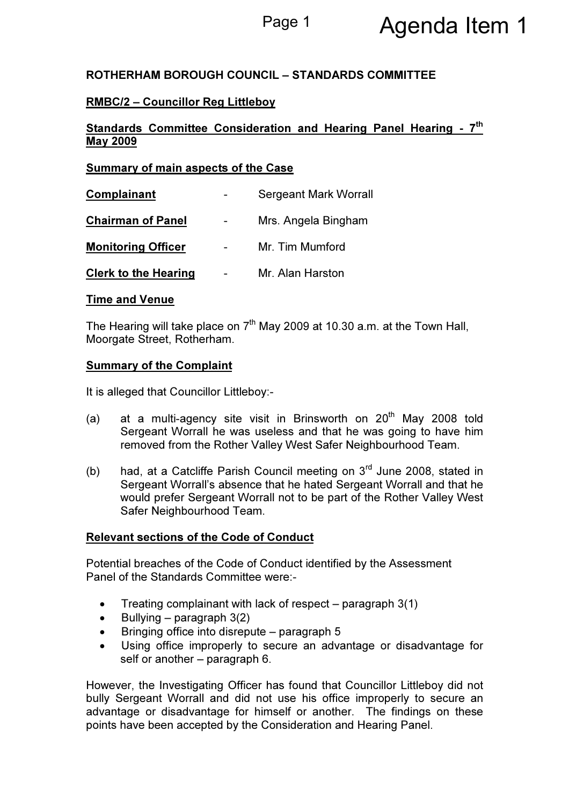# Page 1 **Agenda Item 1**

#### ROTHERHAM BOROUGH COUNCIL – STANDARDS COMMITTEE

#### RMBC/2 – Councillor Reg Littleboy

#### Standards Committee Consideration and Hearing Panel Hearing - 7<sup>th</sup> May 2009

#### Summary of main aspects of the Case

| Complainant                 | <b>Sergeant Mark Worrall</b> |
|-----------------------------|------------------------------|
| <b>Chairman of Panel</b>    | Mrs. Angela Bingham          |
| <b>Monitoring Officer</b>   | Mr. Tim Mumford              |
| <b>Clerk to the Hearing</b> | Mr. Alan Harston             |

#### Time and Venue

The Hearing will take place on  $7<sup>th</sup>$  May 2009 at 10.30 a.m. at the Town Hall, Moorgate Street, Rotherham.

#### **Summary of the Complaint**

It is alleged that Councillor Littleboy:-

- (a) at a multi-agency site visit in Brinsworth on  $20<sup>th</sup>$  May 2008 told Sergeant Worrall he was useless and that he was going to have him removed from the Rother Valley West Safer Neighbourhood Team.
- (b) had, at a Catcliffe Parish Council meeting on  $3<sup>rd</sup>$  June 2008, stated in Sergeant Worrall's absence that he hated Sergeant Worrall and that he would prefer Sergeant Worrall not to be part of the Rother Valley West Safer Neighbourhood Team.

#### Relevant sections of the Code of Conduct

Potential breaches of the Code of Conduct identified by the Assessment Panel of the Standards Committee were:-

- Treating complainant with lack of respect paragraph  $3(1)$
- Bullying paragraph  $3(2)$
- Bringing office into disrepute paragraph 5
- Using office improperly to secure an advantage or disadvantage for self or another – paragraph 6.

However, the Investigating Officer has found that Councillor Littleboy did not bully Sergeant Worrall and did not use his office improperly to secure an advantage or disadvantage for himself or another. The findings on these points have been accepted by the Consideration and Hearing Panel.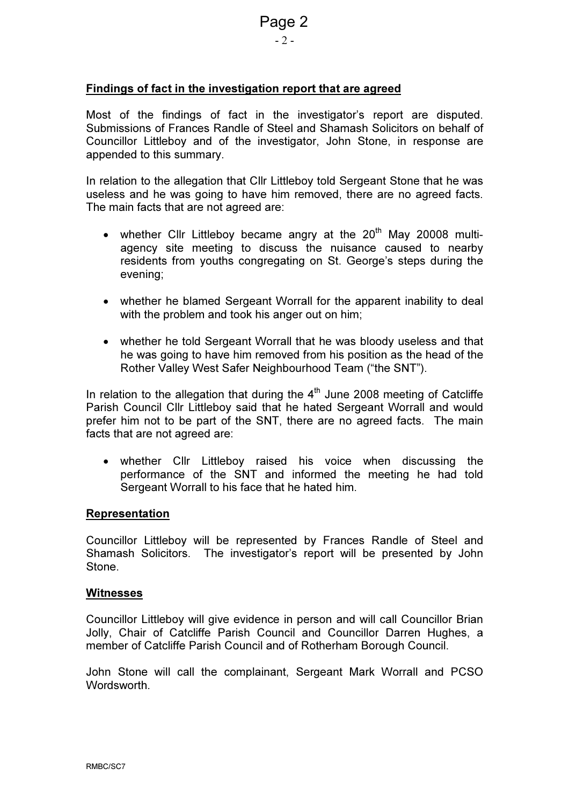### - 2 -

#### Findings of fact in the investigation report that are agreed

Most of the findings of fact in the investigator's report are disputed. Submissions of Frances Randle of Steel and Shamash Solicitors on behalf of Councillor Littleboy and of the investigator, John Stone, in response are appended to this summary.

In relation to the allegation that Cllr Littleboy told Sergeant Stone that he was useless and he was going to have him removed, there are no agreed facts. The main facts that are not agreed are:

- whether Cllr Littleboy became angry at the  $20<sup>th</sup>$  May 20008 multiagency site meeting to discuss the nuisance caused to nearby residents from youths congregating on St. George's steps during the evening;
- whether he blamed Sergeant Worrall for the apparent inability to deal with the problem and took his anger out on him;
- whether he told Sergeant Worrall that he was bloody useless and that he was going to have him removed from his position as the head of the Rother Valley West Safer Neighbourhood Team ("the SNT").

In relation to the allegation that during the  $4<sup>th</sup>$  June 2008 meeting of Catcliffe Parish Council Cllr Littleboy said that he hated Sergeant Worrall and would prefer him not to be part of the SNT, there are no agreed facts. The main facts that are not agreed are:

• whether Cllr Littleboy raised his voice when discussing the performance of the SNT and informed the meeting he had told Sergeant Worrall to his face that he hated him.

#### Representation

Councillor Littleboy will be represented by Frances Randle of Steel and Shamash Solicitors. The investigator's report will be presented by John **Stone** 

#### **Witnesses**

Councillor Littleboy will give evidence in person and will call Councillor Brian Jolly, Chair of Catcliffe Parish Council and Councillor Darren Hughes, a member of Catcliffe Parish Council and of Rotherham Borough Council.

John Stone will call the complainant, Sergeant Mark Worrall and PCSO Wordsworth.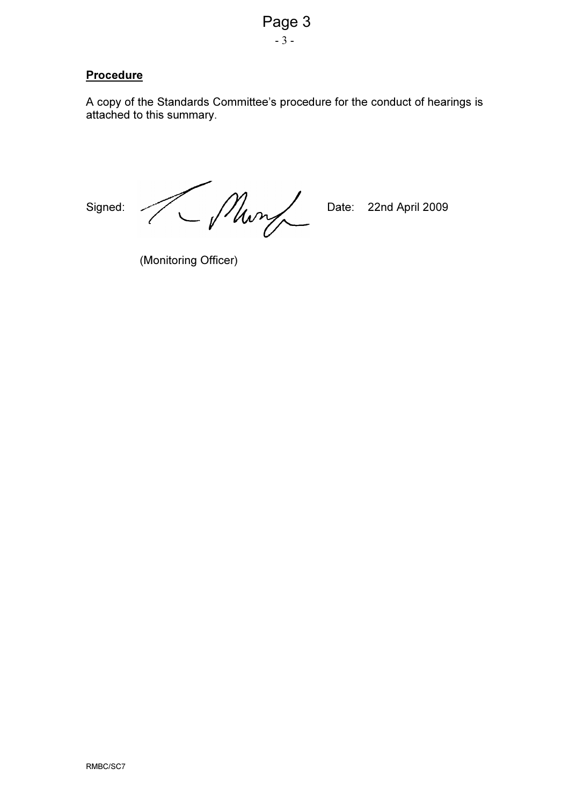

#### **Procedure**

A copy of the Standards Committee's procedure for the conduct of hearings is attached to this summary.

Signed: Munder Date: 22nd April 2009

(Monitoring Officer)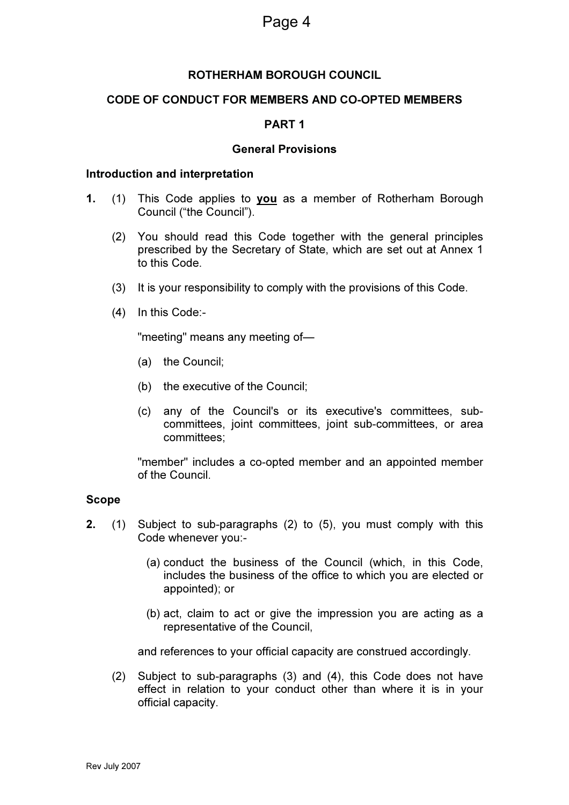#### ROTHERHAM BOROUGH COUNCIL

#### CODE OF CONDUCT FOR MEMBERS AND CO-OPTED MEMBERS

#### PART 1

#### General Provisions

#### Introduction and interpretation

- 1. (1) This Code applies to you as a member of Rotherham Borough Council ("the Council").
	- (2) You should read this Code together with the general principles prescribed by the Secretary of State, which are set out at Annex 1 to this Code.
	- (3) It is your responsibility to comply with the provisions of this Code.
	- (4) In this Code:-

"meeting" means any meeting of—

- (a) the Council;
- (b) the executive of the Council;
- (c) any of the Council's or its executive's committees, subcommittees, joint committees, joint sub-committees, or area committees;

 "member" includes a co-opted member and an appointed member of the Council.

#### Scope

- 2. (1) Subject to sub-paragraphs (2) to (5), you must comply with this Code whenever you:-
	- (a) conduct the business of the Council (which, in this Code, includes the business of the office to which you are elected or appointed); or
	- (b) act, claim to act or give the impression you are acting as a representative of the Council,

and references to your official capacity are construed accordingly.

(2) Subject to sub-paragraphs (3) and (4), this Code does not have effect in relation to your conduct other than where it is in your official capacity.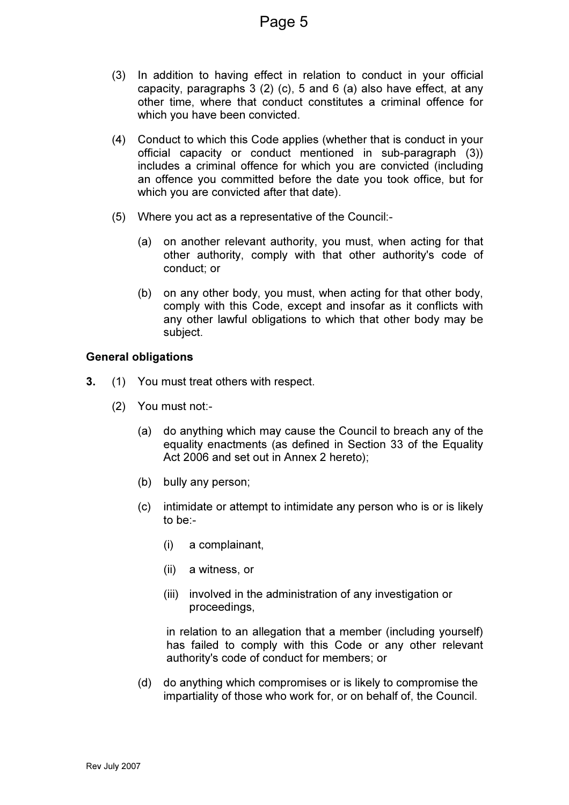- (3) In addition to having effect in relation to conduct in your official capacity, paragraphs 3 (2) (c), 5 and 6 (a) also have effect, at any other time, where that conduct constitutes a criminal offence for which you have been convicted.
- (4) Conduct to which this Code applies (whether that is conduct in your official capacity or conduct mentioned in sub-paragraph (3)) includes a criminal offence for which you are convicted (including an offence you committed before the date you took office, but for which you are convicted after that date).
- (5) Where you act as a representative of the Council:-
	- (a) on another relevant authority, you must, when acting for that other authority, comply with that other authority's code of conduct; or
	- (b) on any other body, you must, when acting for that other body, comply with this Code, except and insofar as it conflicts with any other lawful obligations to which that other body may be subject.

#### General obligations

- 3. (1) You must treat others with respect.
	- (2) You must not:-
		- (a) do anything which may cause the Council to breach any of the equality enactments (as defined in Section 33 of the Equality Act 2006 and set out in Annex 2 hereto);
		- (b) bully any person;
		- (c) intimidate or attempt to intimidate any person who is or is likely to be:-
			- (i) a complainant,
			- (ii) a witness, or
			- (iii) involved in the administration of any investigation or proceedings,

in relation to an allegation that a member (including yourself) has failed to comply with this Code or any other relevant authority's code of conduct for members; or

 (d) do anything which compromises or is likely to compromise the impartiality of those who work for, or on behalf of, the Council.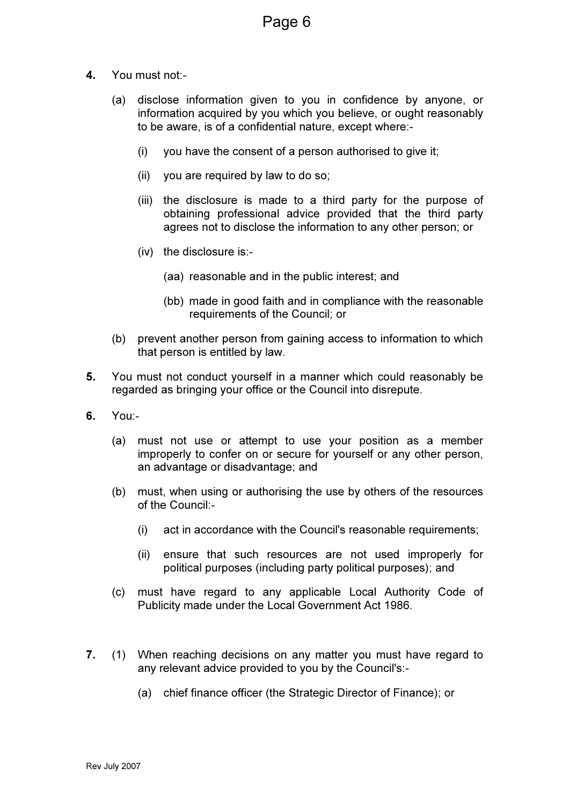- 4. You must not:-
	- (a) disclose information given to you in confidence by anyone, or information acquired by you which you believe, or ought reasonably to be aware, is of a confidential nature, except where:-
		- (i) you have the consent of a person authorised to give it;
		- (ii) you are required by law to do so;
		- (iii) the disclosure is made to a third party for the purpose of obtaining professional advice provided that the third party agrees not to disclose the information to any other person; or
		- (iv) the disclosure is:-
			- (aa) reasonable and in the public interest; and
			- (bb) made in good faith and in compliance with the reasonable requirements of the Council; or
	- (b) prevent another person from gaining access to information to which that person is entitled by law.
- 5. You must not conduct yourself in a manner which could reasonably be regarded as bringing your office or the Council into disrepute.
- 6. You:-
	- (a) must not use or attempt to use your position as a member improperly to confer on or secure for yourself or any other person, an advantage or disadvantage; and
	- (b) must, when using or authorising the use by others of the resources of the Council:-
		- (i) act in accordance with the Council's reasonable requirements;
		- (ii) ensure that such resources are not used improperly for political purposes (including party political purposes); and
	- (c) must have regard to any applicable Local Authority Code of Publicity made under the Local Government Act 1986.
- 7. (1) When reaching decisions on any matter you must have regard to any relevant advice provided to you by the Council's:-
	- (a) chief finance officer (the Strategic Director of Finance); or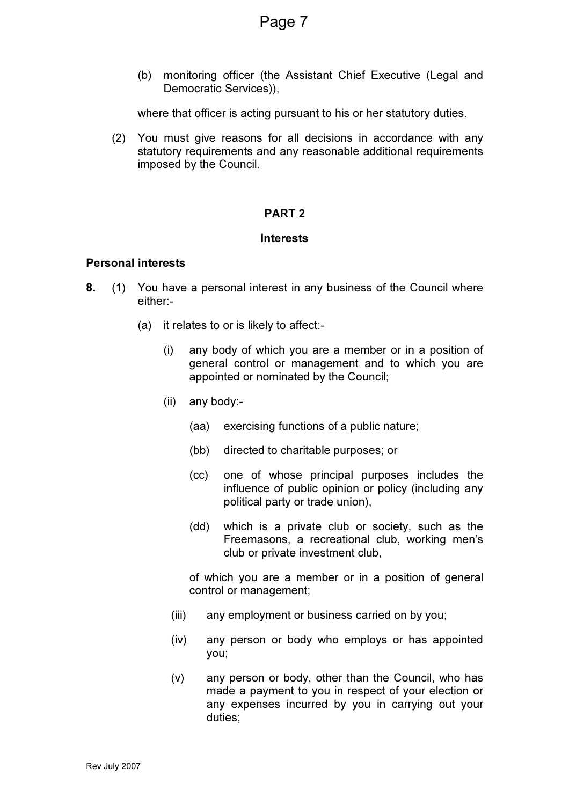(b) monitoring officer (the Assistant Chief Executive (Legal and Democratic Services)),

where that officer is acting pursuant to his or her statutory duties.

 (2) You must give reasons for all decisions in accordance with any statutory requirements and any reasonable additional requirements imposed by the Council.

#### PART 2

#### Interests

#### Personal interests

- 8. (1) You have a personal interest in any business of the Council where either:-
	- (a) it relates to or is likely to affect:-
		- (i) any body of which you are a member or in a position of general control or management and to which you are appointed or nominated by the Council;
		- (ii) any body:-
			- (aa) exercising functions of a public nature;
			- (bb) directed to charitable purposes; or
			- (cc) one of whose principal purposes includes the influence of public opinion or policy (including any political party or trade union),
			- (dd) which is a private club or society, such as the Freemasons, a recreational club, working men's club or private investment club,

 of which you are a member or in a position of general control or management;

- (iii) any employment or business carried on by you;
- (iv) any person or body who employs or has appointed you;
- (v) any person or body, other than the Council, who has made a payment to you in respect of your election or any expenses incurred by you in carrying out your duties;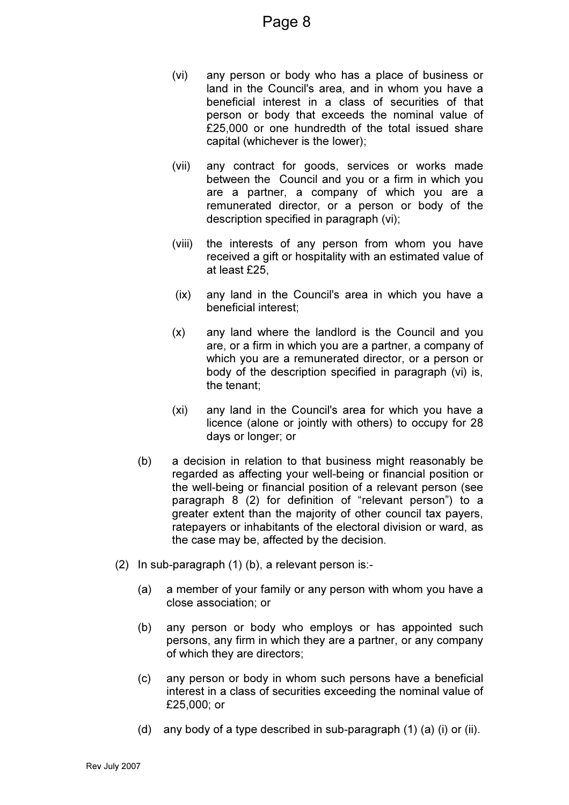- (vi) any person or body who has a place of business or land in the Council's area, and in whom you have a beneficial interest in a class of securities of that person or body that exceeds the nominal value of £25,000 or one hundredth of the total issued share capital (whichever is the lower);
- (vii) any contract for goods, services or works made between the Council and you or a firm in which you are a partner, a company of which you are a remunerated director, or a person or body of the description specified in paragraph (vi);
- (viii) the interests of any person from whom you have received a gift or hospitality with an estimated value of at least £25,
- (ix) any land in the Council's area in which you have a beneficial interest;
- (x) any land where the landlord is the Council and you are, or a firm in which you are a partner, a company of which you are a remunerated director, or a person or body of the description specified in paragraph (vi) is, the tenant;
- (xi) any land in the Council's area for which you have a licence (alone or jointly with others) to occupy for 28 days or longer; or
- (b) a decision in relation to that business might reasonably be regarded as affecting your well-being or financial position or the well-being or financial position of a relevant person (see paragraph 8 (2) for definition of "relevant person") to a greater extent than the majority of other council tax payers, ratepayers or inhabitants of the electoral division or ward, as the case may be, affected by the decision.
- (2) In sub-paragraph (1) (b), a relevant person is:-
	- (a) a member of your family or any person with whom you have a close association; or
	- (b) any person or body who employs or has appointed such persons, any firm in which they are a partner, or any company of which they are directors;
	- (c) any person or body in whom such persons have a beneficial interest in a class of securities exceeding the nominal value of £25,000; or
	- (d) any body of a type described in sub-paragraph (1) (a) (i) or (ii).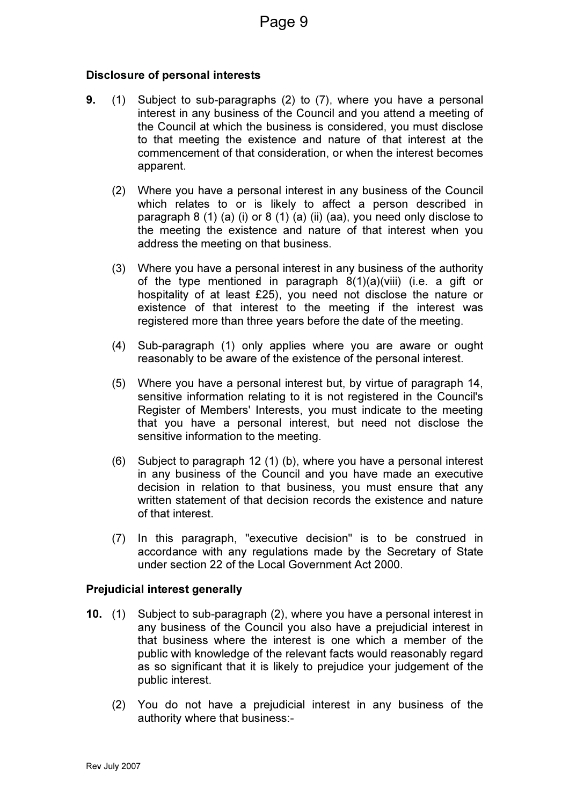#### Disclosure of personal interests

- 9. (1) Subject to sub-paragraphs (2) to (7), where you have a personal interest in any business of the Council and you attend a meeting of the Council at which the business is considered, you must disclose to that meeting the existence and nature of that interest at the commencement of that consideration, or when the interest becomes apparent.
	- (2) Where you have a personal interest in any business of the Council which relates to or is likely to affect a person described in paragraph 8 (1) (a) (i) or 8 (1) (a) (ii) (aa), you need only disclose to the meeting the existence and nature of that interest when you address the meeting on that business.
	- (3) Where you have a personal interest in any business of the authority of the type mentioned in paragraph 8(1)(a)(viii) (i.e. a gift or hospitality of at least £25), you need not disclose the nature or existence of that interest to the meeting if the interest was registered more than three years before the date of the meeting.
	- (4) Sub-paragraph (1) only applies where you are aware or ought reasonably to be aware of the existence of the personal interest.
	- (5) Where you have a personal interest but, by virtue of paragraph 14, sensitive information relating to it is not registered in the Council's Register of Members' Interests, you must indicate to the meeting that you have a personal interest, but need not disclose the sensitive information to the meeting.
	- (6) Subject to paragraph 12 (1) (b), where you have a personal interest in any business of the Council and you have made an executive decision in relation to that business, you must ensure that any written statement of that decision records the existence and nature of that interest.
	- (7) In this paragraph, "executive decision" is to be construed in accordance with any regulations made by the Secretary of State under section 22 of the Local Government Act 2000.

#### Prejudicial interest generally

- 10. (1) Subject to sub-paragraph (2), where you have a personal interest in any business of the Council you also have a prejudicial interest in that business where the interest is one which a member of the public with knowledge of the relevant facts would reasonably regard as so significant that it is likely to prejudice your judgement of the public interest.
	- (2) You do not have a prejudicial interest in any business of the authority where that business:-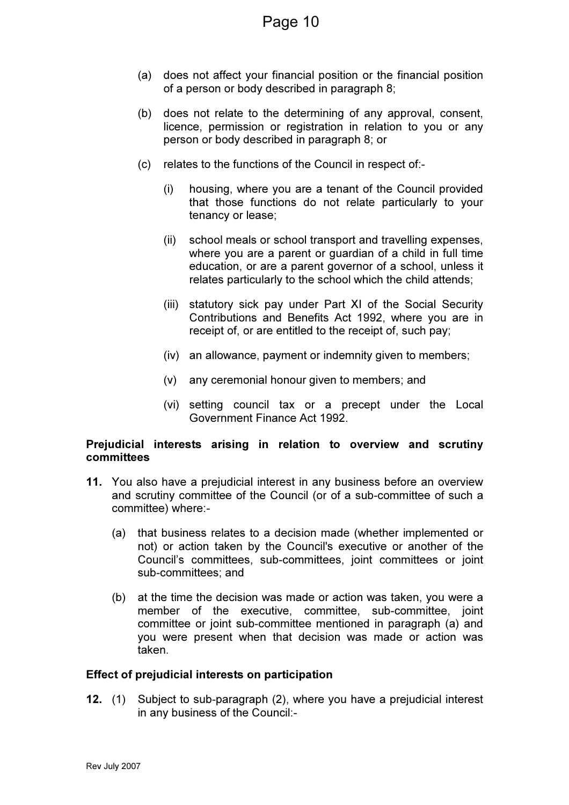- (a) does not affect your financial position or the financial position of a person or body described in paragraph 8;
- (b) does not relate to the determining of any approval, consent, licence, permission or registration in relation to you or any person or body described in paragraph 8; or
- (c) relates to the functions of the Council in respect of:-
	- (i) housing, where you are a tenant of the Council provided that those functions do not relate particularly to your tenancy or lease;
	- (ii) school meals or school transport and travelling expenses, where you are a parent or guardian of a child in full time education, or are a parent governor of a school, unless it relates particularly to the school which the child attends;
	- (iii) statutory sick pay under Part XI of the Social Security Contributions and Benefits Act 1992, where you are in receipt of, or are entitled to the receipt of, such pay;
	- (iv) an allowance, payment or indemnity given to members;
	- (v) any ceremonial honour given to members; and
	- (vi) setting council tax or a precept under the Local Government Finance Act 1992.

#### Prejudicial interests arising in relation to overview and scrutiny committees

- 11. You also have a prejudicial interest in any business before an overview and scrutiny committee of the Council (or of a sub-committee of such a committee) where:-
	- (a) that business relates to a decision made (whether implemented or not) or action taken by the Council's executive or another of the Council's committees, sub-committees, joint committees or joint sub-committees; and
	- (b) at the time the decision was made or action was taken, you were a member of the executive, committee, sub-committee, joint committee or joint sub-committee mentioned in paragraph (a) and you were present when that decision was made or action was taken.

#### Effect of prejudicial interests on participation

12. (1) Subject to sub-paragraph (2), where you have a prejudicial interest in any business of the Council:-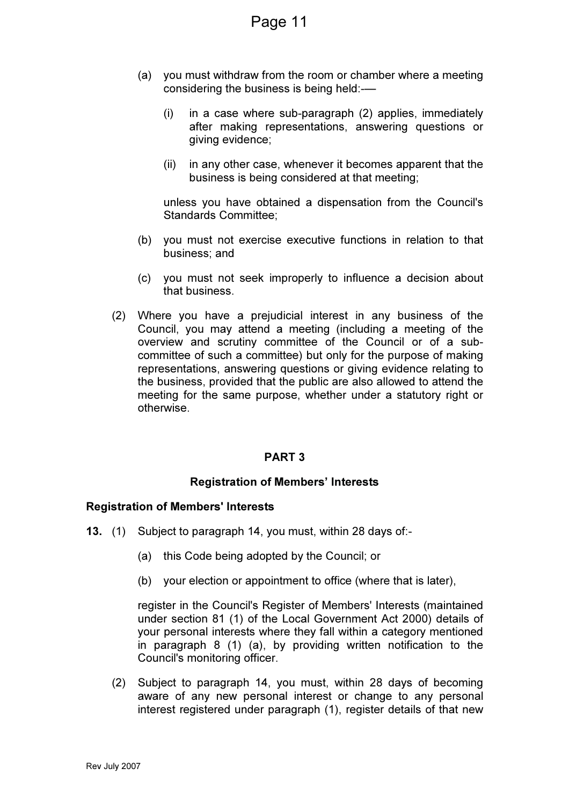- (a) you must withdraw from the room or chamber where a meeting considering the business is being held:-—
	- (i) in a case where sub-paragraph (2) applies, immediately after making representations, answering questions or giving evidence;
	- (ii) in any other case, whenever it becomes apparent that the business is being considered at that meeting;

unless you have obtained a dispensation from the Council's Standards Committee;

- (b) you must not exercise executive functions in relation to that business; and
- (c) you must not seek improperly to influence a decision about that business.
- (2) Where you have a prejudicial interest in any business of the Council, you may attend a meeting (including a meeting of the overview and scrutiny committee of the Council or of a subcommittee of such a committee) but only for the purpose of making representations, answering questions or giving evidence relating to the business, provided that the public are also allowed to attend the meeting for the same purpose, whether under a statutory right or otherwise.

#### PART 3

#### Registration of Members' Interests

#### Registration of Members' Interests

- 13. (1) Subject to paragraph 14, you must, within 28 days of:-
	- (a) this Code being adopted by the Council; or
	- (b) your election or appointment to office (where that is later),

register in the Council's Register of Members' Interests (maintained under section 81 (1) of the Local Government Act 2000) details of your personal interests where they fall within a category mentioned in paragraph 8 (1) (a), by providing written notification to the Council's monitoring officer.

 (2) Subject to paragraph 14, you must, within 28 days of becoming aware of any new personal interest or change to any personal interest registered under paragraph (1), register details of that new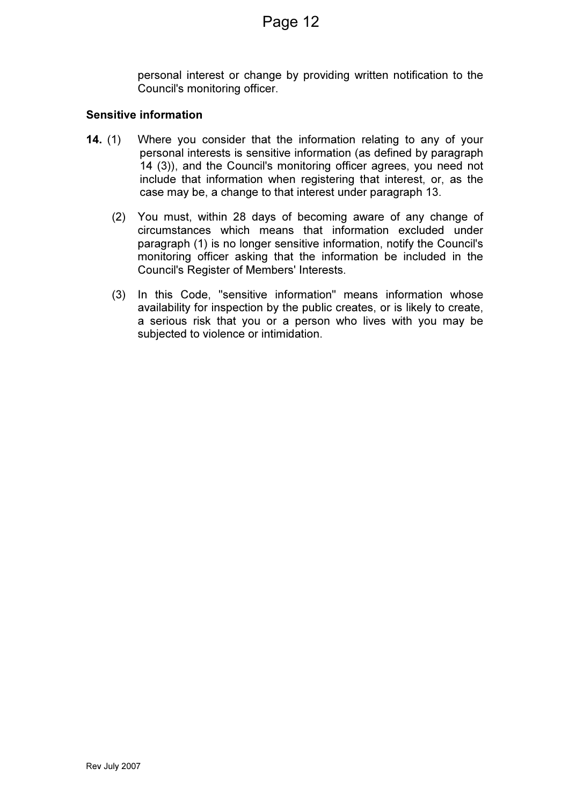personal interest or change by providing written notification to the Council's monitoring officer.

#### Sensitive information

- 14. (1) Where you consider that the information relating to any of your personal interests is sensitive information (as defined by paragraph 14 (3)), and the Council's monitoring officer agrees, you need not include that information when registering that interest, or, as the case may be, a change to that interest under paragraph 13.
	- (2) You must, within 28 days of becoming aware of any change of circumstances which means that information excluded under paragraph (1) is no longer sensitive information, notify the Council's monitoring officer asking that the information be included in the Council's Register of Members' Interests.
	- (3) In this Code, "sensitive information" means information whose availability for inspection by the public creates, or is likely to create, a serious risk that you or a person who lives with you may be subjected to violence or intimidation.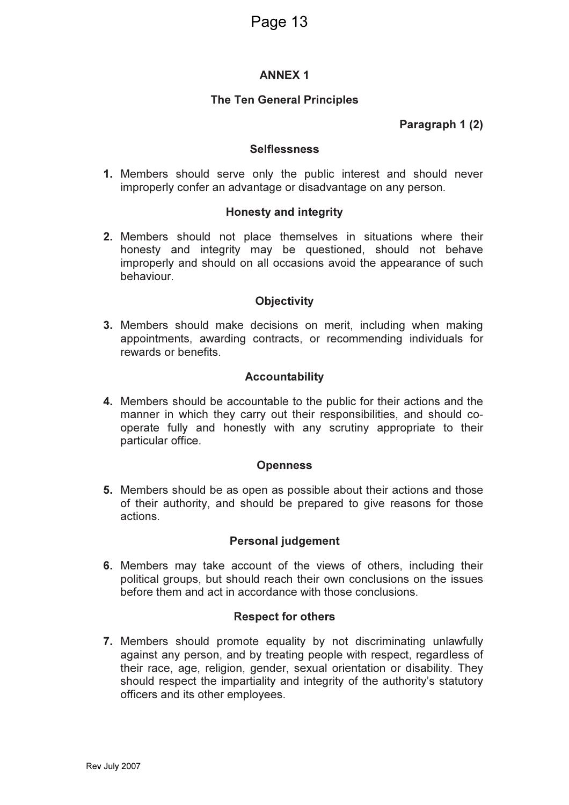#### ANNEX 1

#### The Ten General Principles

Paragraph 1 (2)

#### **Selflessness**

1. Members should serve only the public interest and should never improperly confer an advantage or disadvantage on any person.

#### Honesty and integrity

2. Members should not place themselves in situations where their honesty and integrity may be questioned, should not behave improperly and should on all occasions avoid the appearance of such behaviour.

#### **Objectivity**

3. Members should make decisions on merit, including when making appointments, awarding contracts, or recommending individuals for rewards or benefits.

#### Accountability

4. Members should be accountable to the public for their actions and the manner in which they carry out their responsibilities, and should cooperate fully and honestly with any scrutiny appropriate to their particular office.

#### **Openness**

5. Members should be as open as possible about their actions and those of their authority, and should be prepared to give reasons for those actions.

#### Personal judgement

6. Members may take account of the views of others, including their political groups, but should reach their own conclusions on the issues before them and act in accordance with those conclusions.

#### Respect for others

7. Members should promote equality by not discriminating unlawfully against any person, and by treating people with respect, regardless of their race, age, religion, gender, sexual orientation or disability. They should respect the impartiality and integrity of the authority's statutory officers and its other employees.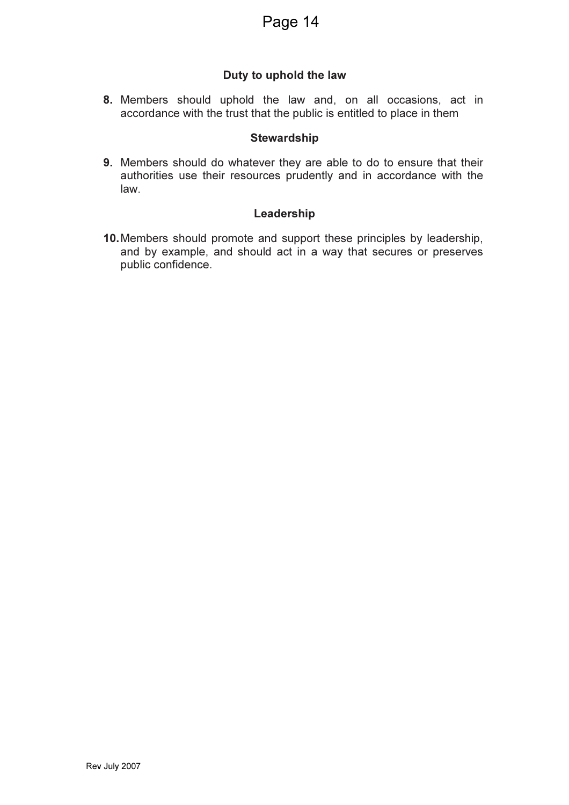#### Duty to uphold the law

8. Members should uphold the law and, on all occasions, act in accordance with the trust that the public is entitled to place in them

#### **Stewardship**

9. Members should do whatever they are able to do to ensure that their authorities use their resources prudently and in accordance with the law.

#### Leadership

10. Members should promote and support these principles by leadership, and by example, and should act in a way that secures or preserves public confidence.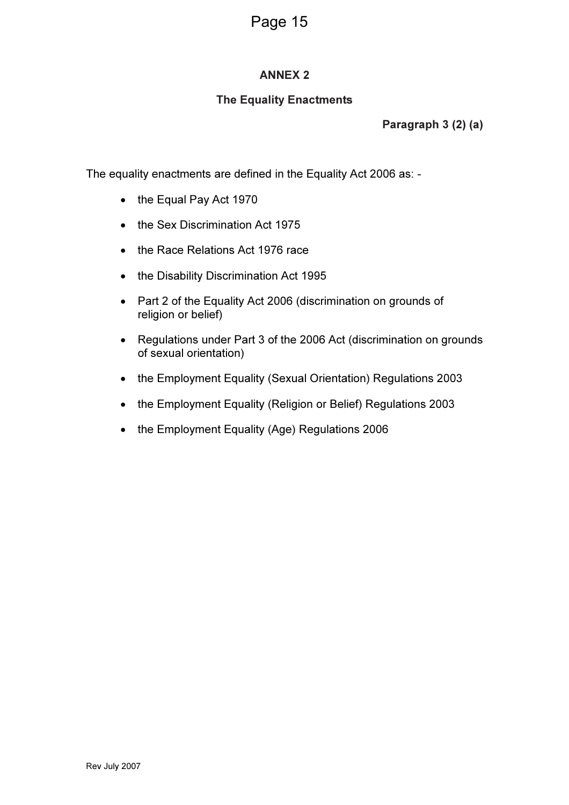#### ANNEX 2

#### The Equality Enactments

Paragraph 3 (2) (a)

The equality enactments are defined in the Equality Act 2006 as: -

- the Equal Pay Act 1970
- the Sex Discrimination Act 1975
- the Race Relations Act 1976 race
- the Disability Discrimination Act 1995
- Part 2 of the Equality Act 2006 (discrimination on grounds of religion or belief)
- Regulations under Part 3 of the 2006 Act (discrimination on grounds of sexual orientation)
- the Employment Equality (Sexual Orientation) Regulations 2003
- the Employment Equality (Religion or Belief) Regulations 2003
- the Employment Equality (Age) Regulations 2006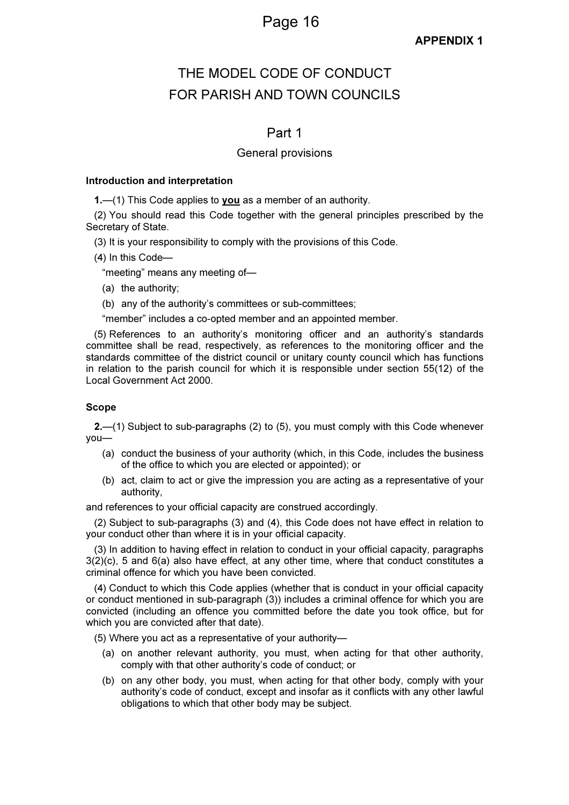#### APPENDIX 1

### THE MODEL CODE OF CONDUCT FOR PARISH AND TOWN COUNCILS

#### Part 1

#### General provisions

#### Introduction and interpretation

1.—(1) This Code applies to **you** as a member of an authority.

(2) You should read this Code together with the general principles prescribed by the Secretary of State.

(3) It is your responsibility to comply with the provisions of this Code.

(4) In this Code—

"meeting" means any meeting of—

- (a) the authority;
- (b) any of the authority's committees or sub-committees;

"member" includes a co-opted member and an appointed member.

(5) References to an authority's monitoring officer and an authority's standards committee shall be read, respectively, as references to the monitoring officer and the standards committee of the district council or unitary county council which has functions in relation to the parish council for which it is responsible under section 55(12) of the Local Government Act 2000.

#### Scope

2.—(1) Subject to sub-paragraphs (2) to (5), you must comply with this Code whenever you—

- (a) conduct the business of your authority (which, in this Code, includes the business of the office to which you are elected or appointed); or
- (b) act, claim to act or give the impression you are acting as a representative of your authority,

and references to your official capacity are construed accordingly.

(2) Subject to sub-paragraphs (3) and (4), this Code does not have effect in relation to your conduct other than where it is in your official capacity.

(3) In addition to having effect in relation to conduct in your official capacity, paragraphs  $3(2)(c)$ , 5 and  $6(a)$  also have effect, at any other time, where that conduct constitutes a criminal offence for which you have been convicted.

(4) Conduct to which this Code applies (whether that is conduct in your official capacity or conduct mentioned in sub-paragraph (3)) includes a criminal offence for which you are convicted (including an offence you committed before the date you took office, but for which you are convicted after that date).

(5) Where you act as a representative of your authority—

- (a) on another relevant authority, you must, when acting for that other authority, comply with that other authority's code of conduct; or
- (b) on any other body, you must, when acting for that other body, comply with your authority's code of conduct, except and insofar as it conflicts with any other lawful obligations to which that other body may be subject.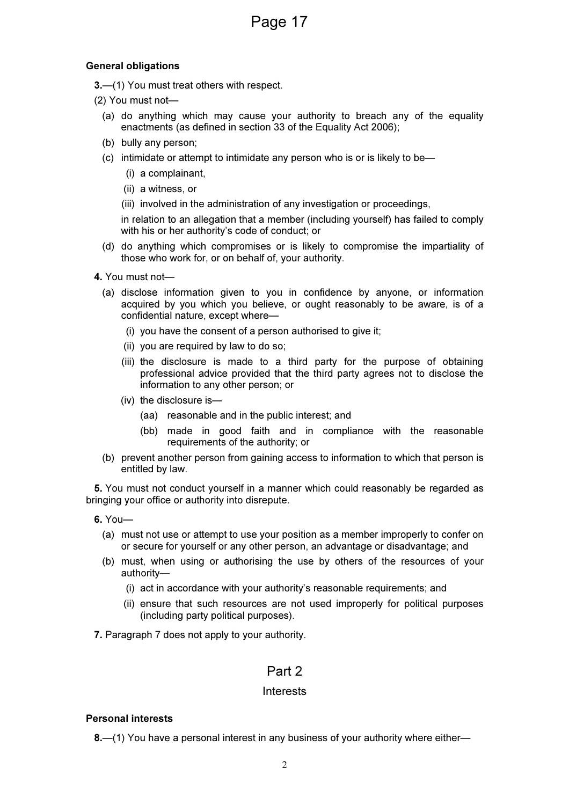#### General obligations

3.—(1) You must treat others with respect.

- (2) You must not—
	- (a) do anything which may cause your authority to breach any of the equality enactments (as defined in section 33 of the Equality Act 2006);
	- (b) bully any person;
	- (c) intimidate or attempt to intimidate any person who is or is likely to be—
		- (i) a complainant,
		- (ii) a witness, or
		- (iii) involved in the administration of any investigation or proceedings,

in relation to an allegation that a member (including yourself) has failed to comply with his or her authority's code of conduct; or

- (d) do anything which compromises or is likely to compromise the impartiality of those who work for, or on behalf of, your authority.
- 4. You must not—
	- (a) disclose information given to you in confidence by anyone, or information acquired by you which you believe, or ought reasonably to be aware, is of a confidential nature, except where—
		- (i) you have the consent of a person authorised to give it;
		- (ii) you are required by law to do so;
		- (iii) the disclosure is made to a third party for the purpose of obtaining professional advice provided that the third party agrees not to disclose the information to any other person; or
		- (iv) the disclosure is—
			- (aa) reasonable and in the public interest; and
			- (bb) made in good faith and in compliance with the reasonable requirements of the authority; or
	- (b) prevent another person from gaining access to information to which that person is entitled by law.

5. You must not conduct yourself in a manner which could reasonably be regarded as bringing your office or authority into disrepute.

- 6. You—
	- (a) must not use or attempt to use your position as a member improperly to confer on or secure for yourself or any other person, an advantage or disadvantage; and
	- (b) must, when using or authorising the use by others of the resources of your authority—
		- (i) act in accordance with your authority's reasonable requirements; and
		- (ii) ensure that such resources are not used improperly for political purposes (including party political purposes).
- 7. Paragraph 7 does not apply to your authority.

#### Part 2

#### Interests

#### Personal interests

8.—(1) You have a personal interest in any business of your authority where either—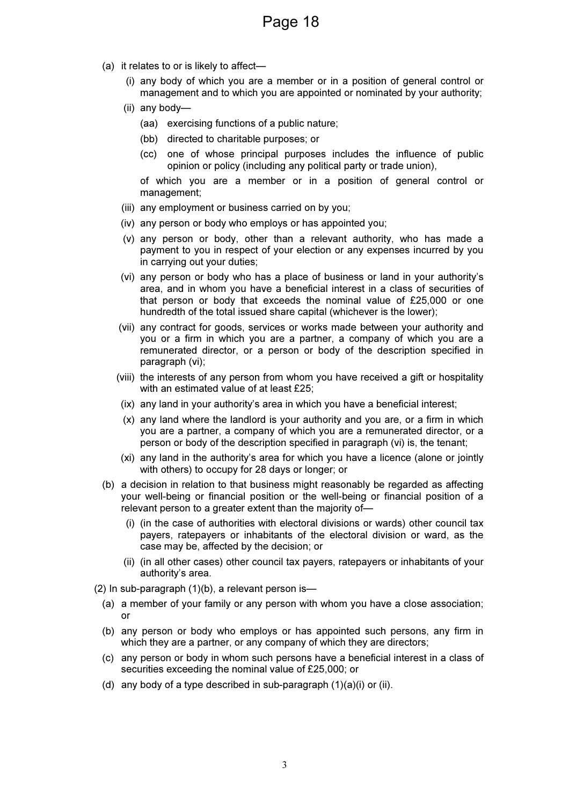- (a) it relates to or is likely to affect—
	- (i) any body of which you are a member or in a position of general control or management and to which you are appointed or nominated by your authority;
	- (ii) any body—
		- (aa) exercising functions of a public nature;
		- (bb) directed to charitable purposes; or
		- (cc) one of whose principal purposes includes the influence of public opinion or policy (including any political party or trade union),

of which you are a member or in a position of general control or management;

- (iii) any employment or business carried on by you;
- (iv) any person or body who employs or has appointed you;
- (v) any person or body, other than a relevant authority, who has made a payment to you in respect of your election or any expenses incurred by you in carrying out your duties;
- (vi) any person or body who has a place of business or land in your authority's area, and in whom you have a beneficial interest in a class of securities of that person or body that exceeds the nominal value of £25,000 or one hundredth of the total issued share capital (whichever is the lower);
- (vii) any contract for goods, services or works made between your authority and you or a firm in which you are a partner, a company of which you are a remunerated director, or a person or body of the description specified in paragraph (vi);
- (viii) the interests of any person from whom you have received a gift or hospitality with an estimated value of at least £25;
- (ix) any land in your authority's area in which you have a beneficial interest;
- (x) any land where the landlord is your authority and you are, or a firm in which you are a partner, a company of which you are a remunerated director, or a person or body of the description specified in paragraph (vi) is, the tenant;
- (xi) any land in the authority's area for which you have a licence (alone or jointly with others) to occupy for 28 days or longer; or
- (b) a decision in relation to that business might reasonably be regarded as affecting your well-being or financial position or the well-being or financial position of a relevant person to a greater extent than the majority of-
	- (i) (in the case of authorities with electoral divisions or wards) other council tax payers, ratepayers or inhabitants of the electoral division or ward, as the case may be, affected by the decision; or
	- (ii) (in all other cases) other council tax payers, ratepayers or inhabitants of your authority's area.
- (2) In sub-paragraph (1)(b), a relevant person is—
	- (a) a member of your family or any person with whom you have a close association; or
	- (b) any person or body who employs or has appointed such persons, any firm in which they are a partner, or any company of which they are directors;
	- (c) any person or body in whom such persons have a beneficial interest in a class of securities exceeding the nominal value of £25,000; or
	- (d) any body of a type described in sub-paragraph  $(1)(a)(i)$  or  $(ii)$ .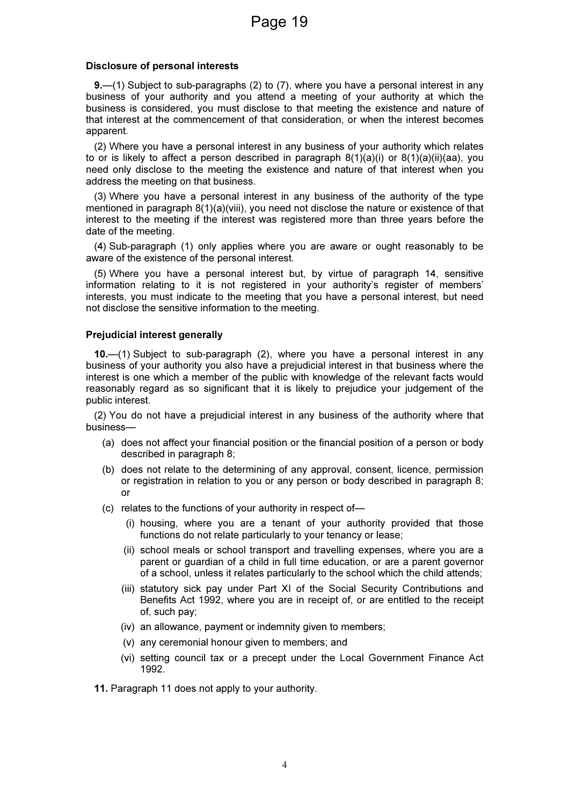#### Disclosure of personal interests

9.—(1) Subject to sub-paragraphs (2) to (7), where you have a personal interest in any business of your authority and you attend a meeting of your authority at which the business is considered, you must disclose to that meeting the existence and nature of that interest at the commencement of that consideration, or when the interest becomes apparent.

(2) Where you have a personal interest in any business of your authority which relates to or is likely to affect a person described in paragraph 8(1)(a)(i) or 8(1)(a)(ii)(aa), you need only disclose to the meeting the existence and nature of that interest when you address the meeting on that business.

(3) Where you have a personal interest in any business of the authority of the type mentioned in paragraph 8(1)(a)(viii), you need not disclose the nature or existence of that interest to the meeting if the interest was registered more than three years before the date of the meeting.

(4) Sub-paragraph (1) only applies where you are aware or ought reasonably to be aware of the existence of the personal interest.

(5) Where you have a personal interest but, by virtue of paragraph 14, sensitive information relating to it is not registered in your authority's register of members' interests, you must indicate to the meeting that you have a personal interest, but need not disclose the sensitive information to the meeting.

#### Prejudicial interest generally

10.—(1) Subject to sub-paragraph (2), where you have a personal interest in any business of your authority you also have a prejudicial interest in that business where the interest is one which a member of the public with knowledge of the relevant facts would reasonably regard as so significant that it is likely to prejudice your judgement of the public interest.

(2) You do not have a prejudicial interest in any business of the authority where that business—

- (a) does not affect your financial position or the financial position of a person or body described in paragraph 8;
- (b) does not relate to the determining of any approval, consent, licence, permission or registration in relation to you or any person or body described in paragraph 8; or
- (c) relates to the functions of your authority in respect of—
	- (i) housing, where you are a tenant of your authority provided that those functions do not relate particularly to your tenancy or lease;
	- (ii) school meals or school transport and travelling expenses, where you are a parent or guardian of a child in full time education, or are a parent governor of a school, unless it relates particularly to the school which the child attends;
	- (iii) statutory sick pay under Part XI of the Social Security Contributions and Benefits Act 1992, where you are in receipt of, or are entitled to the receipt of, such pay;
	- (iv) an allowance, payment or indemnity given to members;
	- (v) any ceremonial honour given to members; and
	- (vi) setting council tax or a precept under the Local Government Finance Act 1992.
- 11. Paragraph 11 does not apply to your authority.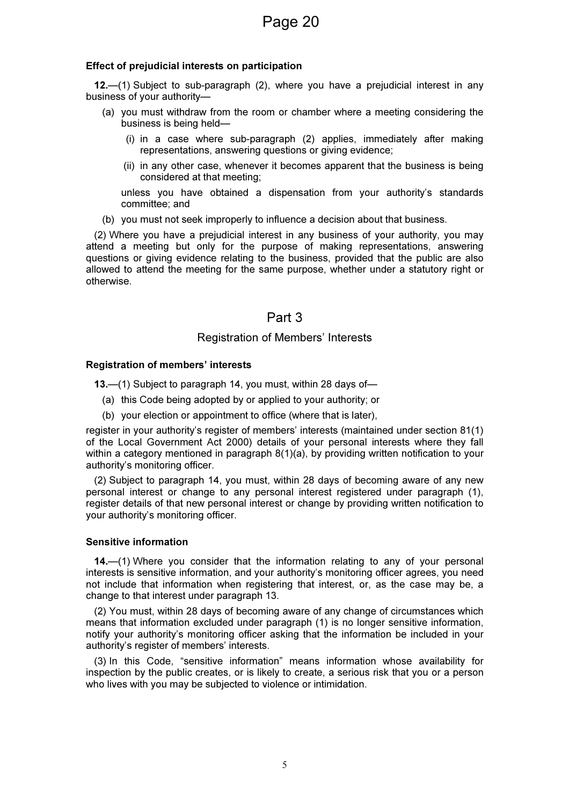#### Effect of prejudicial interests on participation

12.—(1) Subject to sub-paragraph (2), where you have a prejudicial interest in any business of your authority—

- (a) you must withdraw from the room or chamber where a meeting considering the business is being held—
	- (i) in a case where sub-paragraph (2) applies, immediately after making representations, answering questions or giving evidence;
	- (ii) in any other case, whenever it becomes apparent that the business is being considered at that meeting;

unless you have obtained a dispensation from your authority's standards committee; and

(b) you must not seek improperly to influence a decision about that business.

(2) Where you have a prejudicial interest in any business of your authority, you may attend a meeting but only for the purpose of making representations, answering questions or giving evidence relating to the business, provided that the public are also allowed to attend the meeting for the same purpose, whether under a statutory right or otherwise.

#### Part 3

#### Registration of Members' Interests

#### Registration of members' interests

13.—(1) Subject to paragraph 14, you must, within 28 days of—

- (a) this Code being adopted by or applied to your authority; or
- (b) your election or appointment to office (where that is later),

register in your authority's register of members' interests (maintained under section 81(1) of the Local Government Act 2000) details of your personal interests where they fall within a category mentioned in paragraph 8(1)(a), by providing written notification to your authority's monitoring officer.

(2) Subject to paragraph 14, you must, within 28 days of becoming aware of any new personal interest or change to any personal interest registered under paragraph (1), register details of that new personal interest or change by providing written notification to your authority's monitoring officer.

#### Sensitive information

14.—(1) Where you consider that the information relating to any of your personal interests is sensitive information, and your authority's monitoring officer agrees, you need not include that information when registering that interest, or, as the case may be, a change to that interest under paragraph 13.

(2) You must, within 28 days of becoming aware of any change of circumstances which means that information excluded under paragraph (1) is no longer sensitive information, notify your authority's monitoring officer asking that the information be included in your authority's register of members' interests.

(3) In this Code, "sensitive information" means information whose availability for inspection by the public creates, or is likely to create, a serious risk that you or a person who lives with you may be subjected to violence or intimidation.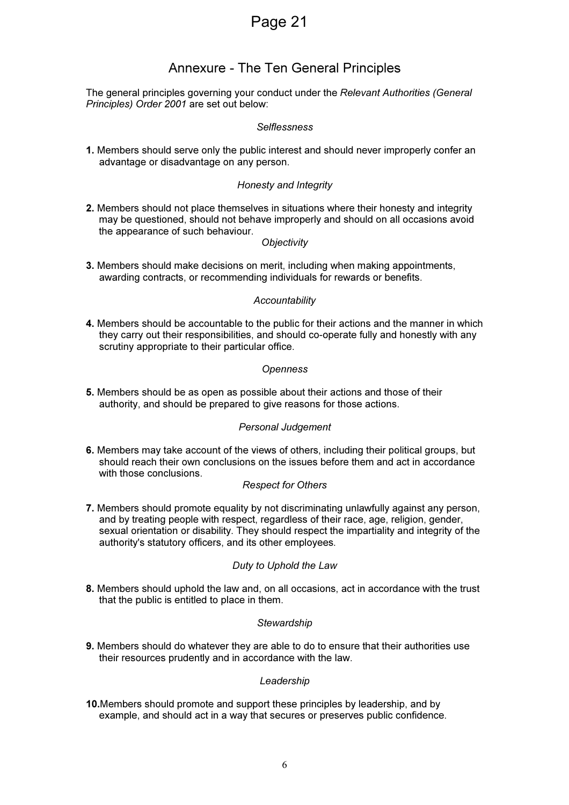### Annexure - The Ten General Principles

The general principles governing your conduct under the Relevant Authorities (General Principles) Order 2001 are set out below:

#### Selflessness

1. Members should serve only the public interest and should never improperly confer an advantage or disadvantage on any person.

#### Honesty and Integrity

2. Members should not place themselves in situations where their honesty and integrity may be questioned, should not behave improperly and should on all occasions avoid the appearance of such behaviour.

#### **Objectivity**

3. Members should make decisions on merit, including when making appointments, awarding contracts, or recommending individuals for rewards or benefits.

#### **Accountability**

4. Members should be accountable to the public for their actions and the manner in which they carry out their responsibilities, and should co-operate fully and honestly with any scrutiny appropriate to their particular office.

#### **Openness**

5. Members should be as open as possible about their actions and those of their authority, and should be prepared to give reasons for those actions.

#### Personal Judgement

6. Members may take account of the views of others, including their political groups, but should reach their own conclusions on the issues before them and act in accordance with those conclusions.

#### Respect for Others

7. Members should promote equality by not discriminating unlawfully against any person, and by treating people with respect, regardless of their race, age, religion, gender, sexual orientation or disability. They should respect the impartiality and integrity of the authority's statutory officers, and its other employees.

#### Duty to Uphold the Law

8. Members should uphold the law and, on all occasions, act in accordance with the trust that the public is entitled to place in them.

#### **Stewardship**

9. Members should do whatever they are able to do to ensure that their authorities use their resources prudently and in accordance with the law.

#### Leadership

10.Members should promote and support these principles by leadership, and by example, and should act in a way that secures or preserves public confidence.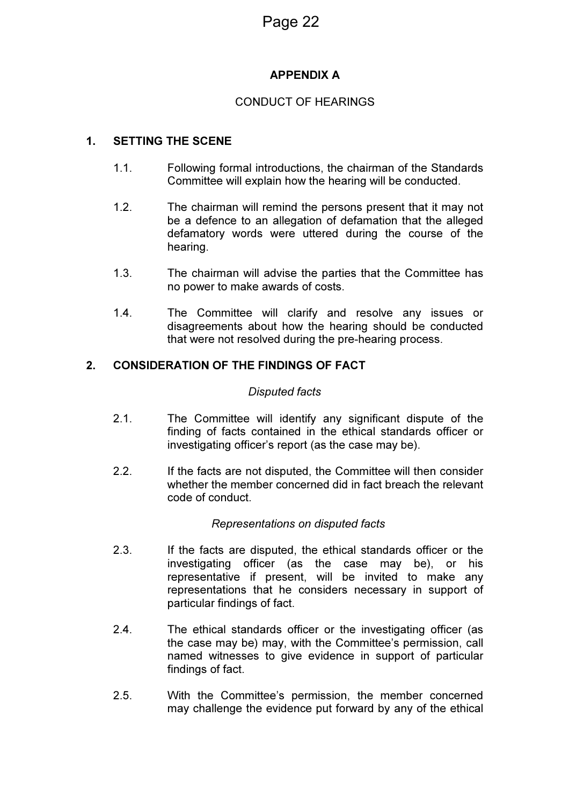#### APPENDIX A

#### CONDUCT OF HEARINGS

#### 1. SETTING THE SCENE

- 1.1. Following formal introductions, the chairman of the Standards Committee will explain how the hearing will be conducted.
- 1.2. The chairman will remind the persons present that it may not be a defence to an allegation of defamation that the alleged defamatory words were uttered during the course of the hearing.
- 1.3. The chairman will advise the parties that the Committee has no power to make awards of costs.
- 1.4. The Committee will clarify and resolve any issues or disagreements about how the hearing should be conducted that were not resolved during the pre-hearing process.

#### 2. CONSIDERATION OF THE FINDINGS OF FACT

#### Disputed facts

- 2.1. The Committee will identify any significant dispute of the finding of facts contained in the ethical standards officer or investigating officer's report (as the case may be).
- 2.2. If the facts are not disputed, the Committee will then consider whether the member concerned did in fact breach the relevant code of conduct.

#### Representations on disputed facts

- 2.3. If the facts are disputed, the ethical standards officer or the investigating officer (as the case may be), or his representative if present, will be invited to make any representations that he considers necessary in support of particular findings of fact.
- 2.4. The ethical standards officer or the investigating officer (as the case may be) may, with the Committee's permission, call named witnesses to give evidence in support of particular findings of fact.
- 2.5. With the Committee's permission, the member concerned may challenge the evidence put forward by any of the ethical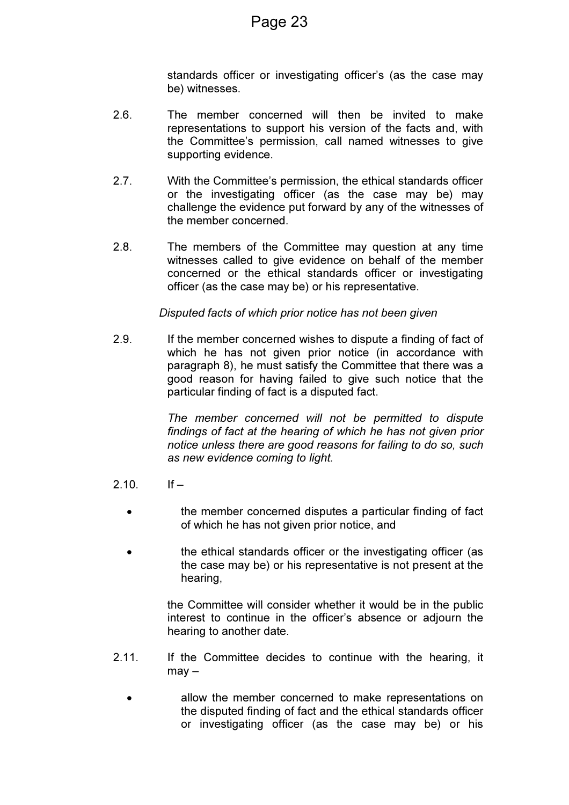standards officer or investigating officer's (as the case may be) witnesses.

- 2.6. The member concerned will then be invited to make representations to support his version of the facts and, with the Committee's permission, call named witnesses to give supporting evidence.
- 2.7. With the Committee's permission, the ethical standards officer or the investigating officer (as the case may be) may challenge the evidence put forward by any of the witnesses of the member concerned.
- 2.8. The members of the Committee may question at any time witnesses called to give evidence on behalf of the member concerned or the ethical standards officer or investigating officer (as the case may be) or his representative.

#### Disputed facts of which prior notice has not been given

2.9. If the member concerned wishes to dispute a finding of fact of which he has not given prior notice (in accordance with paragraph 8), he must satisfy the Committee that there was a good reason for having failed to give such notice that the particular finding of fact is a disputed fact.

> The member concerned will not be permitted to dispute findings of fact at the hearing of which he has not given prior notice unless there are good reasons for failing to do so, such as new evidence coming to light.

- $2.10$  If  $-$ 
	- the member concerned disputes a particular finding of fact of which he has not given prior notice, and
	- the ethical standards officer or the investigating officer (as the case may be) or his representative is not present at the hearing,

the Committee will consider whether it would be in the public interest to continue in the officer's absence or adjourn the hearing to another date.

- 2.11. If the Committee decides to continue with the hearing, it may –
	- allow the member concerned to make representations on the disputed finding of fact and the ethical standards officer or investigating officer (as the case may be) or his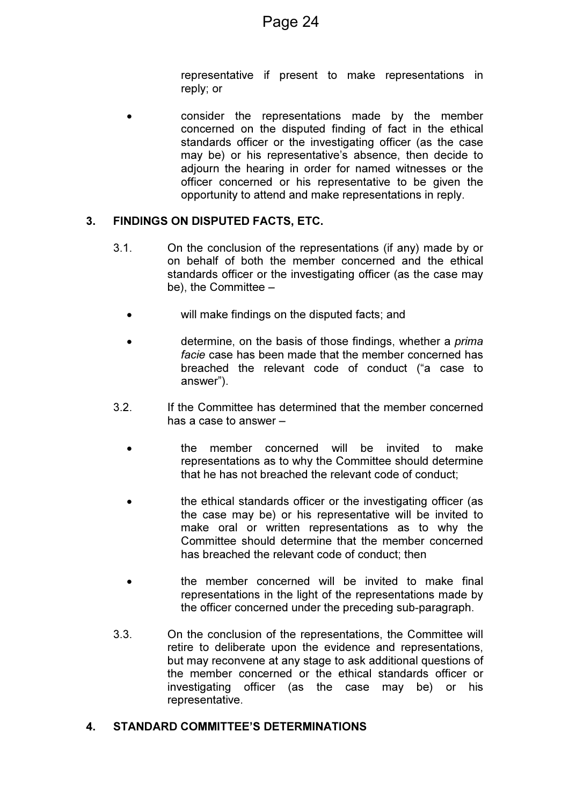representative if present to make representations in reply; or

• consider the representations made by the member concerned on the disputed finding of fact in the ethical standards officer or the investigating officer (as the case may be) or his representative's absence, then decide to adjourn the hearing in order for named witnesses or the officer concerned or his representative to be given the opportunity to attend and make representations in reply.

#### 3. FINDINGS ON DISPUTED FACTS, ETC.

- 3.1. On the conclusion of the representations (if any) made by or on behalf of both the member concerned and the ethical standards officer or the investigating officer (as the case may be), the Committee –
	- will make findings on the disputed facts; and
	- determine, on the basis of those findings, whether a *prima* facie case has been made that the member concerned has breached the relevant code of conduct ("a case to answer").
- 3.2. If the Committee has determined that the member concerned has a case to answer –
	- the member concerned will be invited to make representations as to why the Committee should determine that he has not breached the relevant code of conduct;
	- the ethical standards officer or the investigating officer (as the case may be) or his representative will be invited to make oral or written representations as to why the Committee should determine that the member concerned has breached the relevant code of conduct; then
	- the member concerned will be invited to make final representations in the light of the representations made by the officer concerned under the preceding sub-paragraph.
- 3.3. On the conclusion of the representations, the Committee will retire to deliberate upon the evidence and representations, but may reconvene at any stage to ask additional questions of the member concerned or the ethical standards officer or investigating officer (as the case may be) or his representative.

#### 4. STANDARD COMMITTEE'S DETERMINATIONS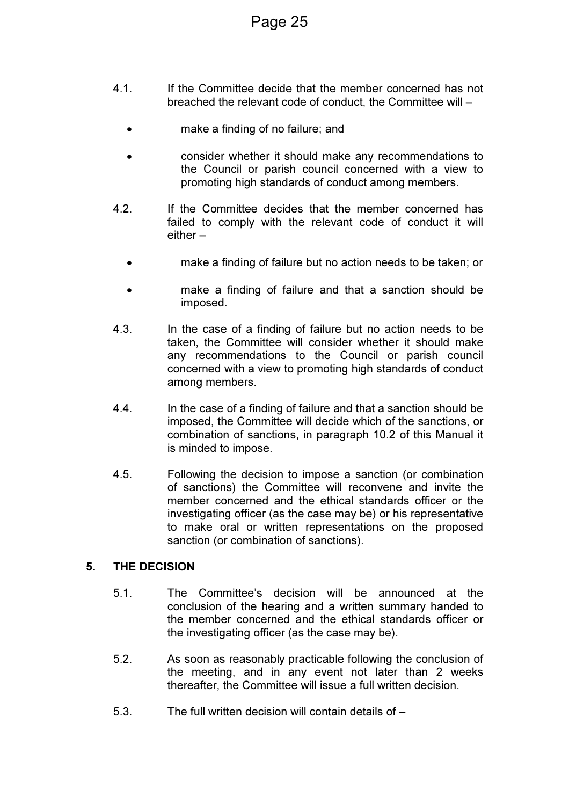- 4.1. If the Committee decide that the member concerned has not breached the relevant code of conduct, the Committee will –
	- make a finding of no failure; and
	- consider whether it should make any recommendations to the Council or parish council concerned with a view to promoting high standards of conduct among members.
- 4.2. If the Committee decides that the member concerned has failed to comply with the relevant code of conduct it will either –
	- make a finding of failure but no action needs to be taken; or
	- make a finding of failure and that a sanction should be imposed.
- 4.3. In the case of a finding of failure but no action needs to be taken, the Committee will consider whether it should make any recommendations to the Council or parish council concerned with a view to promoting high standards of conduct among members.
- 4.4. In the case of a finding of failure and that a sanction should be imposed, the Committee will decide which of the sanctions, or combination of sanctions, in paragraph 10.2 of this Manual it is minded to impose.
- 4.5. Following the decision to impose a sanction (or combination of sanctions) the Committee will reconvene and invite the member concerned and the ethical standards officer or the investigating officer (as the case may be) or his representative to make oral or written representations on the proposed sanction (or combination of sanctions).

#### 5. THE DECISION

- 5.1. The Committee's decision will be announced at the conclusion of the hearing and a written summary handed to the member concerned and the ethical standards officer or the investigating officer (as the case may be).
- 5.2. As soon as reasonably practicable following the conclusion of the meeting, and in any event not later than 2 weeks thereafter, the Committee will issue a full written decision.
- 5.3. The full written decision will contain details of –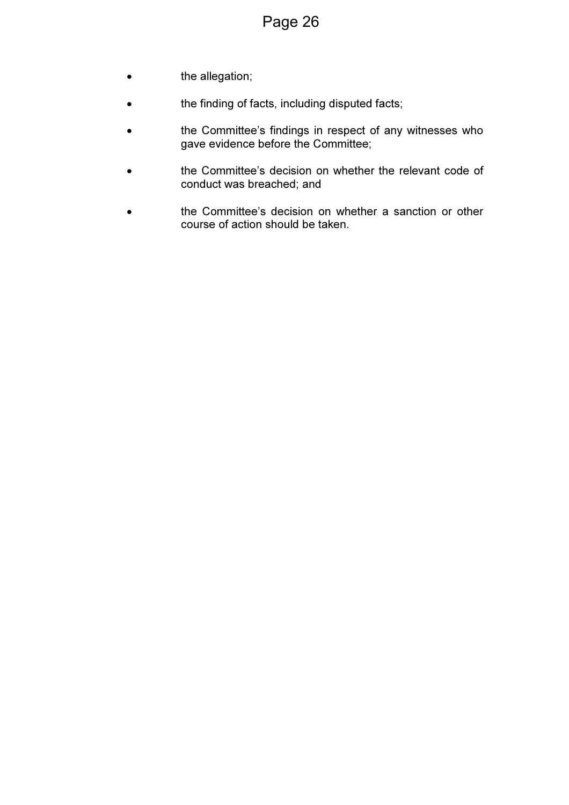- **the allegation;**
- the finding of facts, including disputed facts;
- the Committee's findings in respect of any witnesses who gave evidence before the Committee;
- the Committee's decision on whether the relevant code of conduct was breached; and
- the Committee's decision on whether a sanction or other course of action should be taken.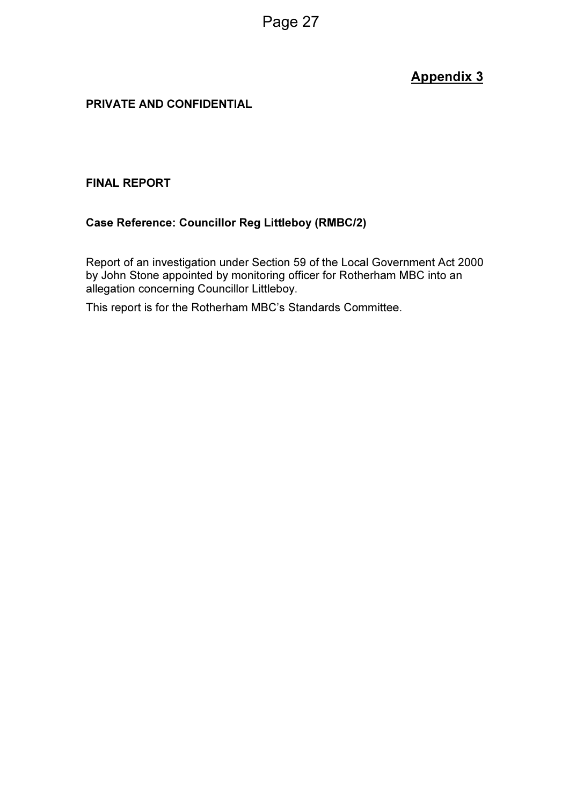### Appendix 3

#### PRIVATE AND CONFIDENTIAL

#### FINAL REPORT

#### Case Reference: Councillor Reg Littleboy (RMBC/2)

Report of an investigation under Section 59 of the Local Government Act 2000 by John Stone appointed by monitoring officer for Rotherham MBC into an allegation concerning Councillor Littleboy.

This report is for the Rotherham MBC's Standards Committee.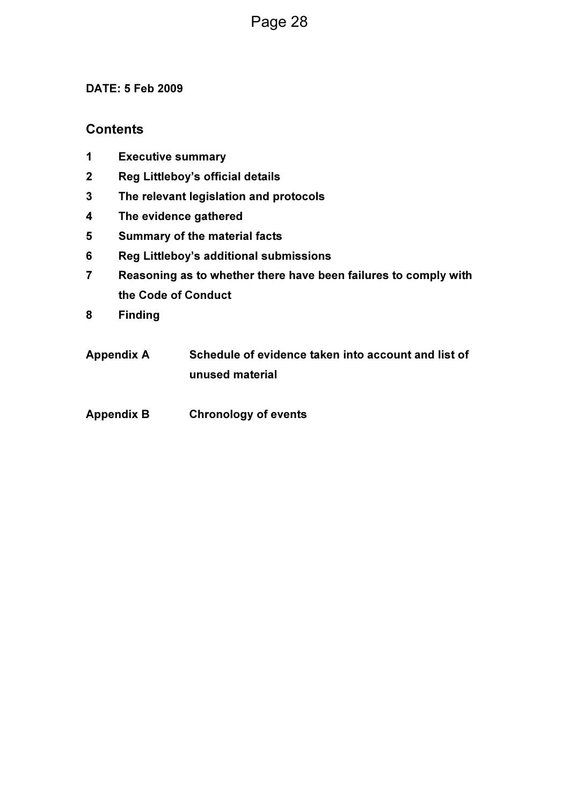#### DATE: 5 Feb 2009

#### **Contents**

- 1 Executive summary
- 2 Reg Littleboy's official details
- 3 The relevant legislation and protocols
- 4 The evidence gathered
- 5 Summary of the material facts
- 6 Reg Littleboy's additional submissions
- 7 Reasoning as to whether there have been failures to comply with the Code of Conduct
- 8 Finding
- Appendix A Schedule of evidence taken into account and list of unused material
- Appendix B Chronology of events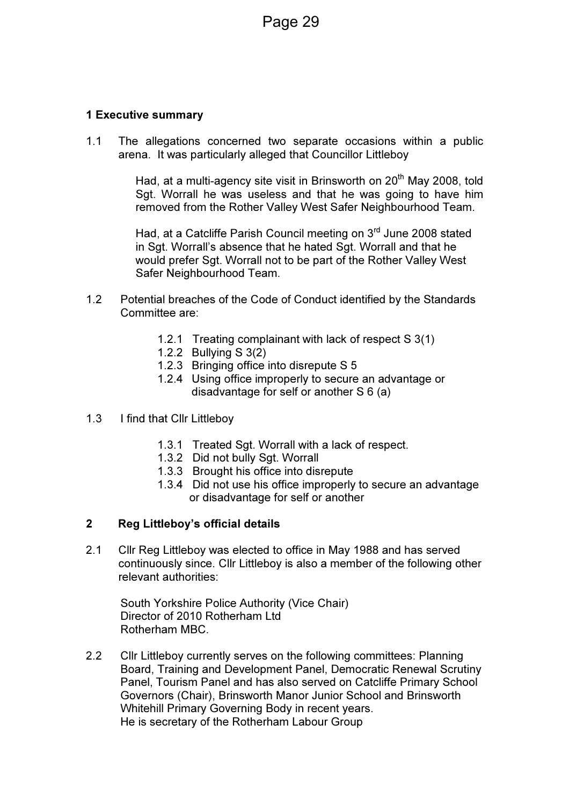#### 1 Executive summary

1.1 The allegations concerned two separate occasions within a public arena. It was particularly alleged that Councillor Littleboy

> Had, at a multi-agency site visit in Brinsworth on  $20<sup>th</sup>$  May 2008, told Sgt. Worrall he was useless and that he was going to have him removed from the Rother Valley West Safer Neighbourhood Team.

Had, at a Catcliffe Parish Council meeting on 3<sup>rd</sup> June 2008 stated in Sgt. Worrall's absence that he hated Sgt. Worrall and that he would prefer Sgt. Worrall not to be part of the Rother Valley West Safer Neighbourhood Team.

- 1.2 Potential breaches of the Code of Conduct identified by the Standards Committee are:
	- 1.2.1 Treating complainant with lack of respect S 3(1)
	- 1.2.2 Bullying S 3(2)
	- 1.2.3 Bringing office into disrepute S 5
	- 1.2.4 Using office improperly to secure an advantage or disadvantage for self or another S 6 (a)
- 1.3 I find that Cllr Littleboy
	- 1.3.1 Treated Sgt. Worrall with a lack of respect.
	- 1.3.2 Did not bully Sgt. Worrall
	- 1.3.3 Brought his office into disrepute
	- 1.3.4 Did not use his office improperly to secure an advantage or disadvantage for self or another

#### 2 Reg Littleboy's official details

2.1 Cllr Reg Littleboy was elected to office in May 1988 and has served continuously since. Cllr Littleboy is also a member of the following other relevant authorities:

South Yorkshire Police Authority (Vice Chair) Director of 2010 Rotherham Ltd Rotherham MBC.

2.2 Cllr Littleboy currently serves on the following committees: Planning Board, Training and Development Panel, Democratic Renewal Scrutiny Panel, Tourism Panel and has also served on Catcliffe Primary School Governors (Chair), Brinsworth Manor Junior School and Brinsworth Whitehill Primary Governing Body in recent years. He is secretary of the Rotherham Labour Group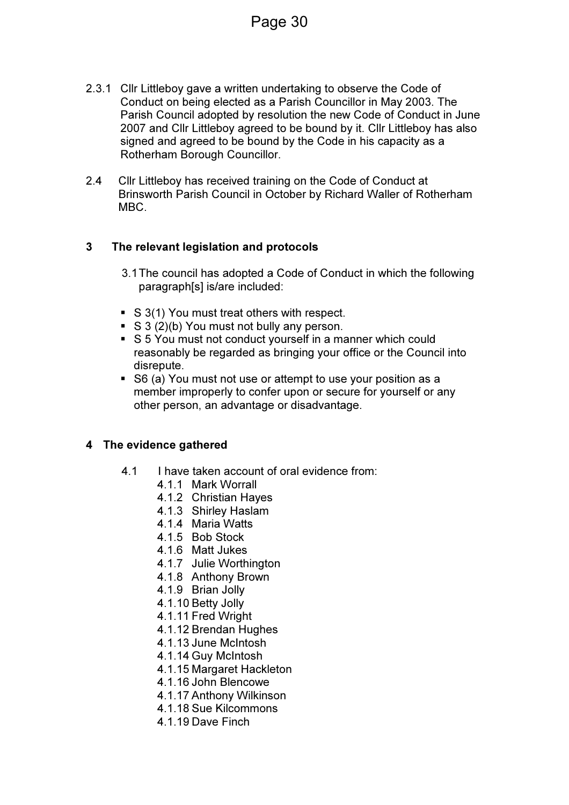2.3.1 Cllr Littleboy gave a written undertaking to observe the Code of Conduct on being elected as a Parish Councillor in May 2003. The Parish Council adopted by resolution the new Code of Conduct in June 2007 and Cllr Littleboy agreed to be bound by it. Cllr Littleboy has also signed and agreed to be bound by the Code in his capacity as a Rotherham Borough Councillor.

Page 30

2.4 Cllr Littleboy has received training on the Code of Conduct at Brinsworth Parish Council in October by Richard Waller of Rotherham MBC.

#### 3 The relevant legislation and protocols

- 3.1 The council has adopted a Code of Conduct in which the following paragraph[s] is/are included:
- S 3(1) You must treat others with respect.
- $\bullet$  S 3 (2)(b) You must not bully any person.
- S 5 You must not conduct yourself in a manner which could reasonably be regarded as bringing your office or the Council into disrepute.
- S6 (a) You must not use or attempt to use your position as a member improperly to confer upon or secure for yourself or any other person, an advantage or disadvantage.

#### 4 The evidence gathered

- 4.1 I have taken account of oral evidence from:
	- 4.1.1 Mark Worrall
	- 4.1.2 Christian Hayes
	- 4.1.3 Shirley Haslam
	- 4.1.4 Maria Watts
	- 4.1.5 Bob Stock
	- 4.1.6 Matt Jukes
	- 4.1.7 Julie Worthington
	- 4.1.8 Anthony Brown
	- 4.1.9 Brian Jolly
	- 4.1.10 Betty Jolly
	- 4.1.11 Fred Wright
	- 4.1.12 Brendan Hughes
	- 4.1.13 June McIntosh
	- 4.1.14 Guy McIntosh
	- 4.1.15 Margaret Hackleton
	- 4.1.16 John Blencowe
	- 4.1.17 Anthony Wilkinson
	- 4.1.18 Sue Kilcommons
	- 4.1.19 Dave Finch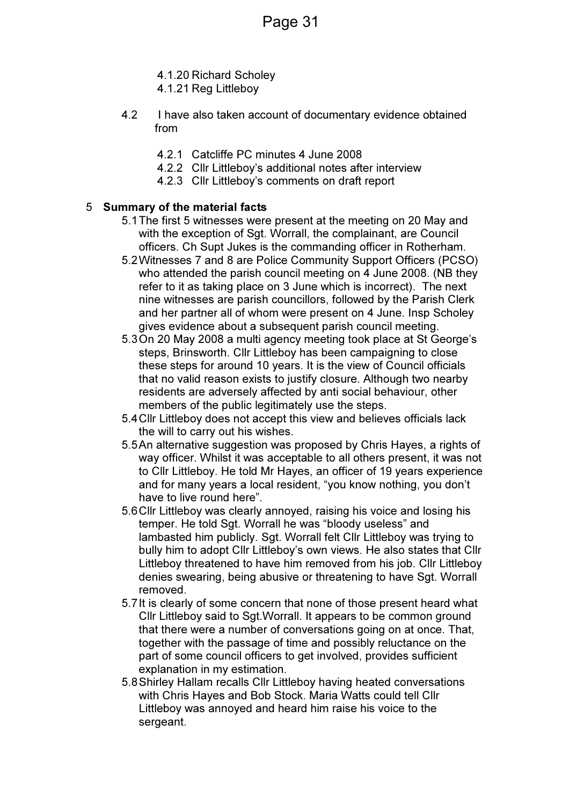- 4.1.20 Richard Scholey
- 4.1.21 Reg Littleboy
- 4.2 I have also taken account of documentary evidence obtained from
	- 4.2.1 Catcliffe PC minutes 4 June 2008
	- 4.2.2 Cllr Littleboy's additional notes after interview
	- 4.2.3 Cllr Littleboy's comments on draft report

#### 5 Summary of the material facts

- 5.1 The first 5 witnesses were present at the meeting on 20 May and with the exception of Sgt. Worrall, the complainant, are Council officers. Ch Supt Jukes is the commanding officer in Rotherham.
- 5.2 Witnesses 7 and 8 are Police Community Support Officers (PCSO) who attended the parish council meeting on 4 June 2008. (NB they refer to it as taking place on 3 June which is incorrect). The next nine witnesses are parish councillors, followed by the Parish Clerk and her partner all of whom were present on 4 June. Insp Scholey gives evidence about a subsequent parish council meeting.
- 5.3 On 20 May 2008 a multi agency meeting took place at St George's steps, Brinsworth. Cllr Littleboy has been campaigning to close these steps for around 10 years. It is the view of Council officials that no valid reason exists to justify closure. Although two nearby residents are adversely affected by anti social behaviour, other members of the public legitimately use the steps.
- 5.4 Cllr Littleboy does not accept this view and believes officials lack the will to carry out his wishes.
- 5.5 An alternative suggestion was proposed by Chris Hayes, a rights of way officer. Whilst it was acceptable to all others present, it was not to Cllr Littleboy. He told Mr Hayes, an officer of 19 years experience and for many years a local resident, "you know nothing, you don't have to live round here".
- 5.6 Cllr Littleboy was clearly annoyed, raising his voice and losing his temper. He told Sgt. Worrall he was "bloody useless" and lambasted him publicly. Sgt. Worrall felt Cllr Littleboy was trying to bully him to adopt Cllr Littleboy's own views. He also states that Cllr Littleboy threatened to have him removed from his job. Cllr Littleboy denies swearing, being abusive or threatening to have Sgt. Worrall removed.
- 5.7 It is clearly of some concern that none of those present heard what Cllr Littleboy said to Sqt. Worrall. It appears to be common ground that there were a number of conversations going on at once. That, together with the passage of time and possibly reluctance on the part of some council officers to get involved, provides sufficient explanation in my estimation.
- 5.8 Shirley Hallam recalls Cllr Littleboy having heated conversations with Chris Hayes and Bob Stock. Maria Watts could tell Cllr Littleboy was annoyed and heard him raise his voice to the sergeant.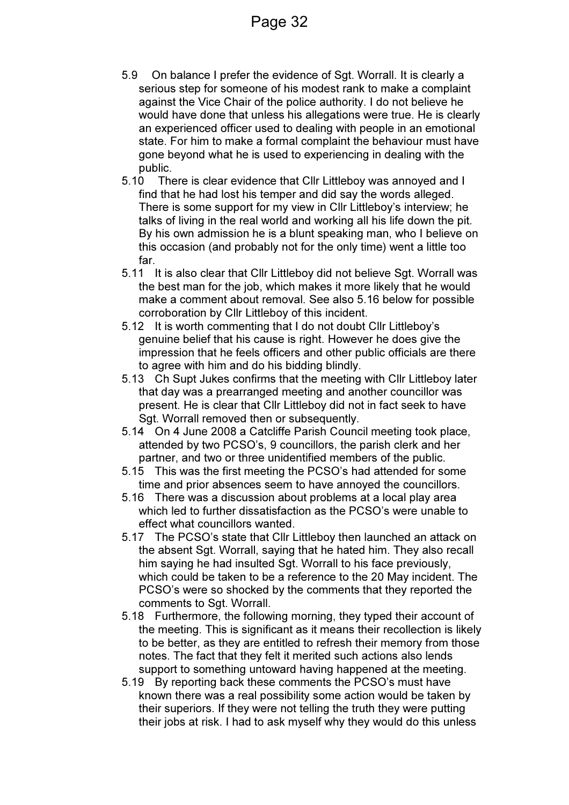- 5.9 On balance I prefer the evidence of Sgt. Worrall. It is clearly a serious step for someone of his modest rank to make a complaint against the Vice Chair of the police authority. I do not believe he would have done that unless his allegations were true. He is clearly an experienced officer used to dealing with people in an emotional state. For him to make a formal complaint the behaviour must have gone beyond what he is used to experiencing in dealing with the public.
- 5.10 There is clear evidence that Cllr Littleboy was annoyed and I find that he had lost his temper and did say the words alleged. There is some support for my view in Cllr Littleboy's interview; he talks of living in the real world and working all his life down the pit. By his own admission he is a blunt speaking man, who I believe on this occasion (and probably not for the only time) went a little too far.
- 5.11 It is also clear that Cllr Littleboy did not believe Sgt. Worrall was the best man for the job, which makes it more likely that he would make a comment about removal. See also 5.16 below for possible corroboration by Cllr Littleboy of this incident.
- 5.12 It is worth commenting that I do not doubt Cllr Littleboy's genuine belief that his cause is right. However he does give the impression that he feels officers and other public officials are there to agree with him and do his bidding blindly.
- 5.13 Ch Supt Jukes confirms that the meeting with Cllr Littleboy later that day was a prearranged meeting and another councillor was present. He is clear that Cllr Littleboy did not in fact seek to have Sgt. Worrall removed then or subsequently.
- 5.14 On 4 June 2008 a Catcliffe Parish Council meeting took place, attended by two PCSO's, 9 councillors, the parish clerk and her partner, and two or three unidentified members of the public.
- 5.15 This was the first meeting the PCSO's had attended for some time and prior absences seem to have annoyed the councillors.
- 5.16 There was a discussion about problems at a local play area which led to further dissatisfaction as the PCSO's were unable to effect what councillors wanted.
- 5.17 The PCSO's state that Cllr Littleboy then launched an attack on the absent Sgt. Worrall, saying that he hated him. They also recall him saying he had insulted Sgt. Worrall to his face previously, which could be taken to be a reference to the 20 May incident. The PCSO's were so shocked by the comments that they reported the comments to Sqt. Worrall.
- 5.18 Furthermore, the following morning, they typed their account of the meeting. This is significant as it means their recollection is likely to be better, as they are entitled to refresh their memory from those notes. The fact that they felt it merited such actions also lends support to something untoward having happened at the meeting.
- 5.19 By reporting back these comments the PCSO's must have known there was a real possibility some action would be taken by their superiors. If they were not telling the truth they were putting their jobs at risk. I had to ask myself why they would do this unless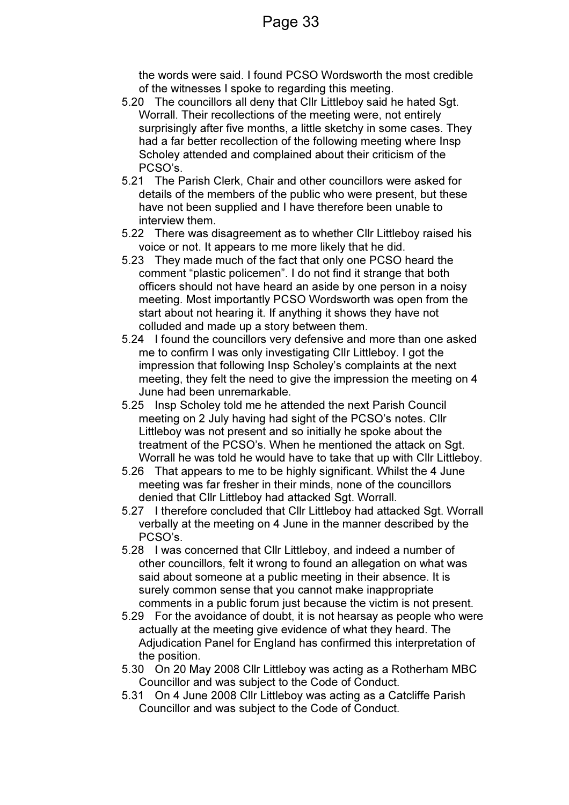the words were said. I found PCSO Wordsworth the most credible of the witnesses I spoke to regarding this meeting.

- 5.20 The councillors all deny that Cllr Littleboy said he hated Sgt. Worrall. Their recollections of the meeting were, not entirely surprisingly after five months, a little sketchy in some cases. They had a far better recollection of the following meeting where Insp Scholey attended and complained about their criticism of the PCSO's.
- 5.21 The Parish Clerk, Chair and other councillors were asked for details of the members of the public who were present, but these have not been supplied and I have therefore been unable to interview them.
- 5.22 There was disagreement as to whether Cllr Littleboy raised his voice or not. It appears to me more likely that he did.
- 5.23 They made much of the fact that only one PCSO heard the comment "plastic policemen". I do not find it strange that both officers should not have heard an aside by one person in a noisy meeting. Most importantly PCSO Wordsworth was open from the start about not hearing it. If anything it shows they have not colluded and made up a story between them.
- 5.24 I found the councillors very defensive and more than one asked me to confirm I was only investigating Cllr Littleboy. I got the impression that following Insp Scholey's complaints at the next meeting, they felt the need to give the impression the meeting on 4 June had been unremarkable.
- 5.25 Insp Scholey told me he attended the next Parish Council meeting on 2 July having had sight of the PCSO's notes. Cllr Littleboy was not present and so initially he spoke about the treatment of the PCSO's. When he mentioned the attack on Sgt. Worrall he was told he would have to take that up with Cllr Littleboy.
- 5.26 That appears to me to be highly significant. Whilst the 4 June meeting was far fresher in their minds, none of the councillors denied that Cllr Littleboy had attacked Sgt. Worrall.
- 5.27 I therefore concluded that Cllr Littleboy had attacked Sgt. Worrall verbally at the meeting on 4 June in the manner described by the PCSO's.
- 5.28 I was concerned that Cllr Littleboy, and indeed a number of other councillors, felt it wrong to found an allegation on what was said about someone at a public meeting in their absence. It is surely common sense that you cannot make inappropriate comments in a public forum just because the victim is not present.
- 5.29 For the avoidance of doubt, it is not hearsay as people who were actually at the meeting give evidence of what they heard. The Adjudication Panel for England has confirmed this interpretation of the position.
- 5.30 On 20 May 2008 Cllr Littleboy was acting as a Rotherham MBC Councillor and was subject to the Code of Conduct.
- 5.31 On 4 June 2008 Cllr Littleboy was acting as a Catcliffe Parish Councillor and was subject to the Code of Conduct.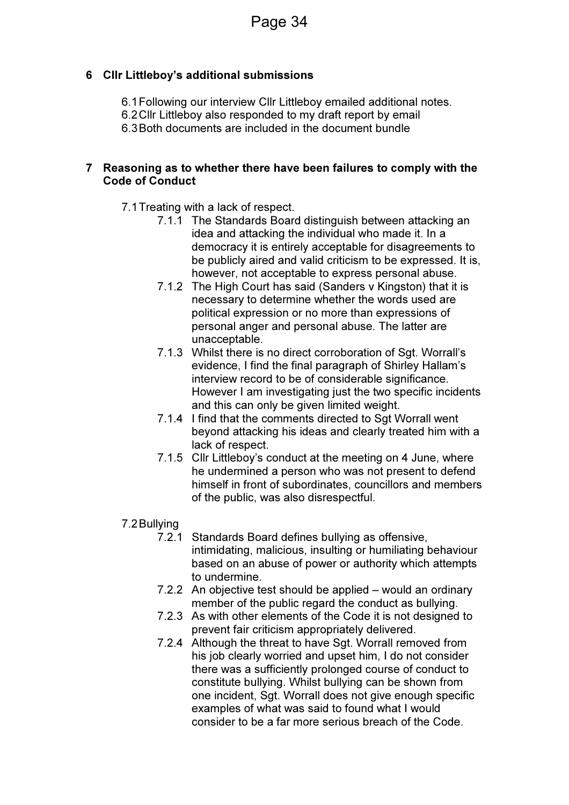#### 6 Cllr Littleboy's additional submissions

6.1 Following our interview Cllr Littleboy emailed additional notes.

6.2 Cllr Littleboy also responded to my draft report by email

6.3 Both documents are included in the document bundle

#### 7 Reasoning as to whether there have been failures to comply with the Code of Conduct

- 7.1 Treating with a lack of respect.
	- 7.1.1 The Standards Board distinguish between attacking an idea and attacking the individual who made it. In a democracy it is entirely acceptable for disagreements to be publicly aired and valid criticism to be expressed. It is, however, not acceptable to express personal abuse.
	- 7.1.2 The High Court has said (Sanders v Kingston) that it is necessary to determine whether the words used are political expression or no more than expressions of personal anger and personal abuse. The latter are unacceptable.
	- 7.1.3 Whilst there is no direct corroboration of Sqt. Worrall's evidence, I find the final paragraph of Shirley Hallam's interview record to be of considerable significance. However I am investigating just the two specific incidents and this can only be given limited weight.
	- 7.1.4 I find that the comments directed to Sgt Worrall went beyond attacking his ideas and clearly treated him with a lack of respect.
	- 7.1.5 Cllr Littleboy's conduct at the meeting on 4 June, where he undermined a person who was not present to defend himself in front of subordinates, councillors and members of the public, was also disrespectful.

#### 7.2 Bullying

- 7.2.1 Standards Board defines bullying as offensive, intimidating, malicious, insulting or humiliating behaviour based on an abuse of power or authority which attempts to undermine.
- 7.2.2 An objective test should be applied would an ordinary member of the public regard the conduct as bullying.
- 7.2.3 As with other elements of the Code it is not designed to prevent fair criticism appropriately delivered.
- 7.2.4 Although the threat to have Sgt. Worrall removed from his job clearly worried and upset him, I do not consider there was a sufficiently prolonged course of conduct to constitute bullying. Whilst bullying can be shown from one incident, Sgt. Worrall does not give enough specific examples of what was said to found what I would consider to be a far more serious breach of the Code.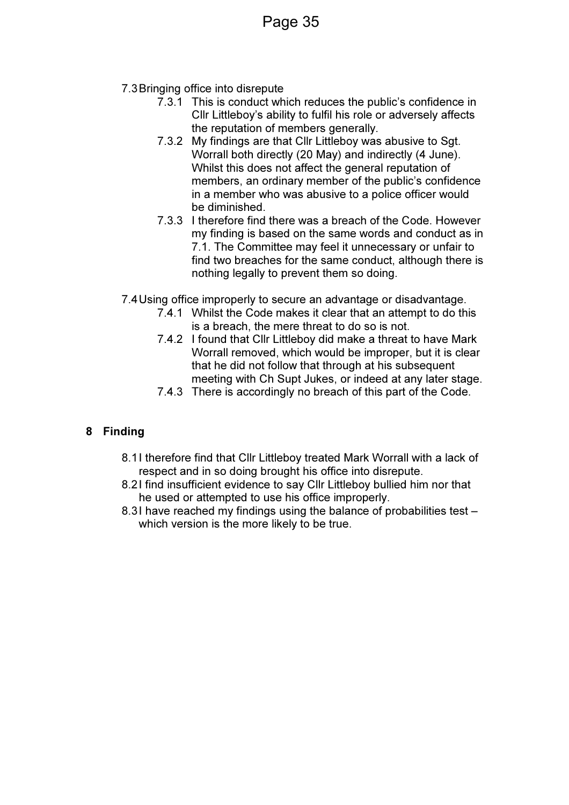- 7.3 Bringing office into disrepute
	- 7.3.1 This is conduct which reduces the public's confidence in Cllr Littleboy's ability to fulfil his role or adversely affects the reputation of members generally.
	- 7.3.2 My findings are that Cllr Littleboy was abusive to Sgt. Worrall both directly (20 May) and indirectly (4 June). Whilst this does not affect the general reputation of members, an ordinary member of the public's confidence in a member who was abusive to a police officer would be diminished.
	- 7.3.3 I therefore find there was a breach of the Code. However my finding is based on the same words and conduct as in 7.1. The Committee may feel it unnecessary or unfair to find two breaches for the same conduct, although there is nothing legally to prevent them so doing.
- 7.4 Using office improperly to secure an advantage or disadvantage.
	- 7.4.1 Whilst the Code makes it clear that an attempt to do this is a breach, the mere threat to do so is not.
	- 7.4.2 I found that Cllr Littleboy did make a threat to have Mark Worrall removed, which would be improper, but it is clear that he did not follow that through at his subsequent meeting with Ch Supt Jukes, or indeed at any later stage.
	- 7.4.3 There is accordingly no breach of this part of the Code.

### 8 Finding

- 8.1 I therefore find that Cllr Littleboy treated Mark Worrall with a lack of respect and in so doing brought his office into disrepute.
- 8.2 I find insufficient evidence to say Cllr Littleboy bullied him nor that he used or attempted to use his office improperly.
- 8.3I have reached my findings using the balance of probabilities test which version is the more likely to be true.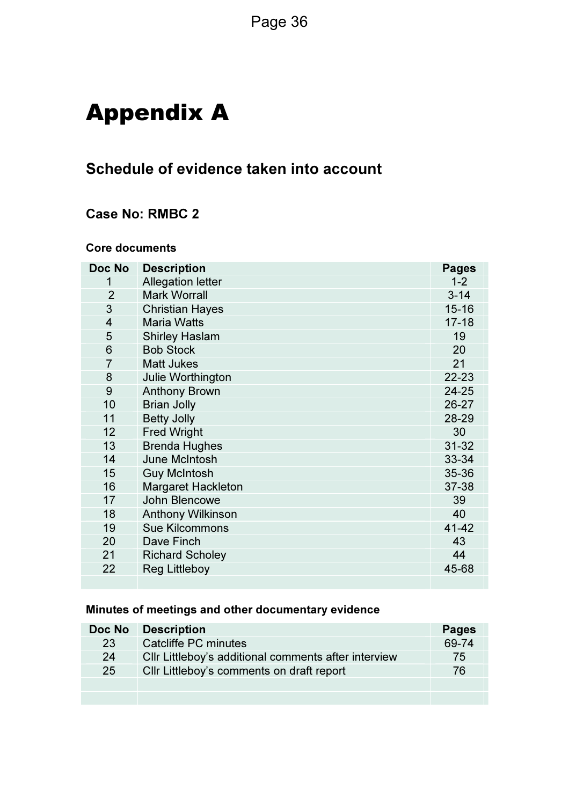# Appendix A

### Schedule of evidence taken into account

### Case No: RMBC 2

#### Core documents

| Doc No         | <b>Description</b>        | <b>Pages</b> |
|----------------|---------------------------|--------------|
| 1              | <b>Allegation letter</b>  | $1 - 2$      |
| $\overline{2}$ | <b>Mark Worrall</b>       | $3 - 14$     |
| 3              | <b>Christian Hayes</b>    | $15 - 16$    |
| $\overline{4}$ | <b>Maria Watts</b>        | $17 - 18$    |
| 5              | <b>Shirley Haslam</b>     | 19           |
| 6              | <b>Bob Stock</b>          | 20           |
| $\overline{7}$ | <b>Matt Jukes</b>         | 21           |
| 8              | Julie Worthington         | 22-23        |
| 9              | <b>Anthony Brown</b>      | 24-25        |
| 10             | <b>Brian Jolly</b>        | 26-27        |
| 11             | <b>Betty Jolly</b>        | 28-29        |
| 12             | <b>Fred Wright</b>        | 30           |
| 13             | <b>Brenda Hughes</b>      | $31 - 32$    |
| 14             | June McIntosh             | 33-34        |
| 15             | <b>Guy McIntosh</b>       | 35-36        |
| 16             | <b>Margaret Hackleton</b> | 37-38        |
| 17             | John Blencowe             | 39           |
| 18             | <b>Anthony Wilkinson</b>  | 40           |
| 19             | <b>Sue Kilcommons</b>     | 41-42        |
| 20             | Dave Finch                | 43           |
| 21             | <b>Richard Scholey</b>    | 44           |
| 22             | <b>Reg Littleboy</b>      | 45-68        |
|                |                           |              |

### Minutes of meetings and other documentary evidence

| Doc No | <b>Description</b>                                   | <b>Pages</b> |
|--------|------------------------------------------------------|--------------|
| 23     | Catcliffe PC minutes                                 | 69-74        |
| 24     | Cllr Littleboy's additional comments after interview | 75           |
| 25     | Cllr Littleboy's comments on draft report            | 76           |
|        |                                                      |              |
|        |                                                      |              |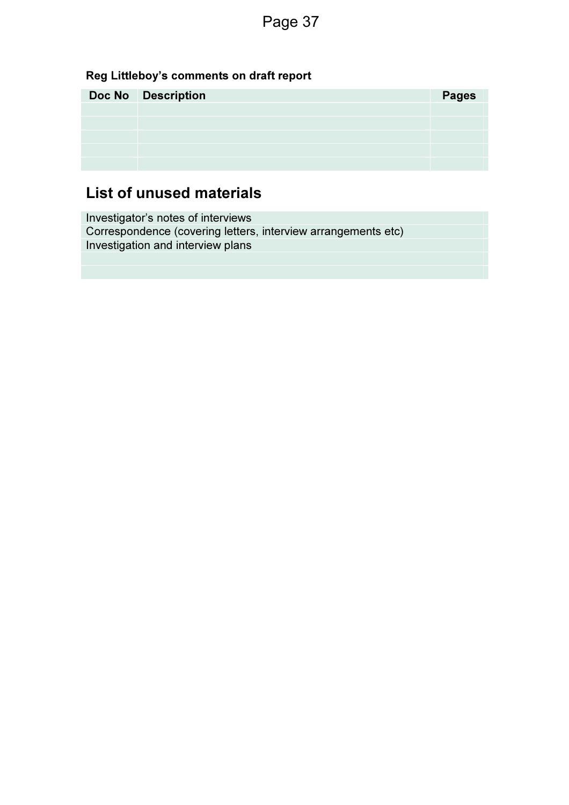### Reg Littleboy's comments on draft report

| <b>Doc No</b> Description | <b>Pages</b> |
|---------------------------|--------------|
|                           |              |
|                           |              |
|                           |              |
|                           |              |
|                           |              |

### List of unused materials

Investigator's notes of interviews Correspondence (covering letters, interview arrangements etc) Investigation and interview plans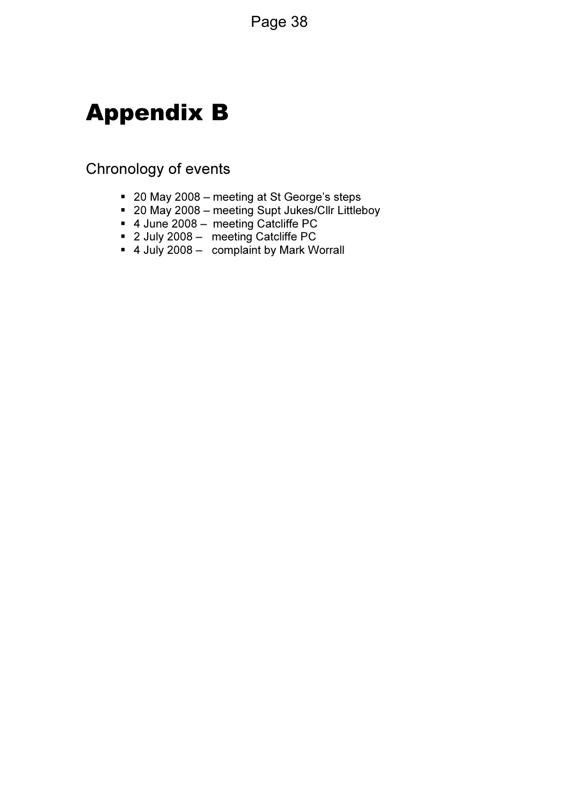# Appendix B

### Chronology of events

- 20 May 2008 meeting at St George's steps
- 20 May 2008 meeting Supt Jukes/Cllr Littleboy
- 4 June 2008 meeting Catcliffe PC
- 2 July 2008 meeting Catcliffe PC
- 4 July 2008 complaint by Mark Worrall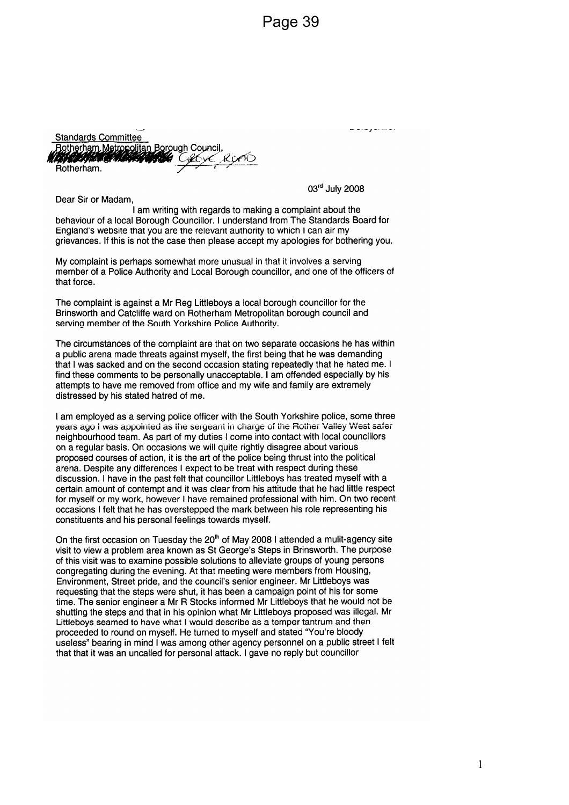**Standards Committee** Rotherham Metropolitan Borough Council, **A MARINA CALL** an de la Caractería Corre Rotherham.

Dear Sir or Madam.

03rd July 2008

القادما والمارك والمداوية

I am writing with regards to making a complaint about the behaviour of a local Borough Councillor. I understand from The Standards Board for England's website that you are the relevant authority to which I can air my grievances. If this is not the case then please accept my apologies for bothering you.

My complaint is perhaps somewhat more unusual in that it involves a serving member of a Police Authority and Local Borough councillor, and one of the officers of that force.

The complaint is against a Mr Reg Littleboys a local borough councillor for the Brinsworth and Catcliffe ward on Rotherham Metropolitan borough council and serving member of the South Yorkshire Police Authority.

The circumstances of the complaint are that on two separate occasions he has within a public arena made threats against myself, the first being that he was demanding that I was sacked and on the second occasion stating repeatedly that he hated me. I find these comments to be personally unacceptable. I am offended especially by his attempts to have me removed from office and my wife and family are extremely distressed by his stated hatred of me.

I am employed as a serving police officer with the South Yorkshire police, some three years ago I was appointed as the sergeant in charge of the Rother Valley West safer neighbourhood team. As part of my duties I come into contact with local councillors on a regular basis. On occasions we will quite rightly disagree about various proposed courses of action, it is the art of the police being thrust into the political arena. Despite any differences I expect to be treat with respect during these discussion. I have in the past felt that councillor Littleboys has treated myself with a certain amount of contempt and it was clear from his attitude that he had little respect for myself or my work, however I have remained professional with him. On two recent occasions I felt that he has overstepped the mark between his role representing his constituents and his personal feelings towards myself.

On the first occasion on Tuesday the 20<sup>th</sup> of May 2008 I attended a mulit-agency site visit to view a problem area known as St George's Steps in Brinsworth. The purpose of this visit was to examine possible solutions to alleviate groups of young persons congregating during the evening. At that meeting were members from Housing, Environment, Street pride, and the council's senior engineer. Mr Littleboys was requesting that the steps were shut, it has been a campaign point of his for some time. The senior engineer a Mr R Stocks informed Mr Littleboys that he would not be shutting the steps and that in his opinion what Mr Littleboys proposed was illegal. Mr Littleboys seamed to have what I would describe as a temper tantrum and then proceeded to round on myself. He turned to myself and stated "You're bloody useless" bearing in mind I was among other agency personnel on a public street I felt that that it was an uncalled for personal attack. I gave no reply but councillor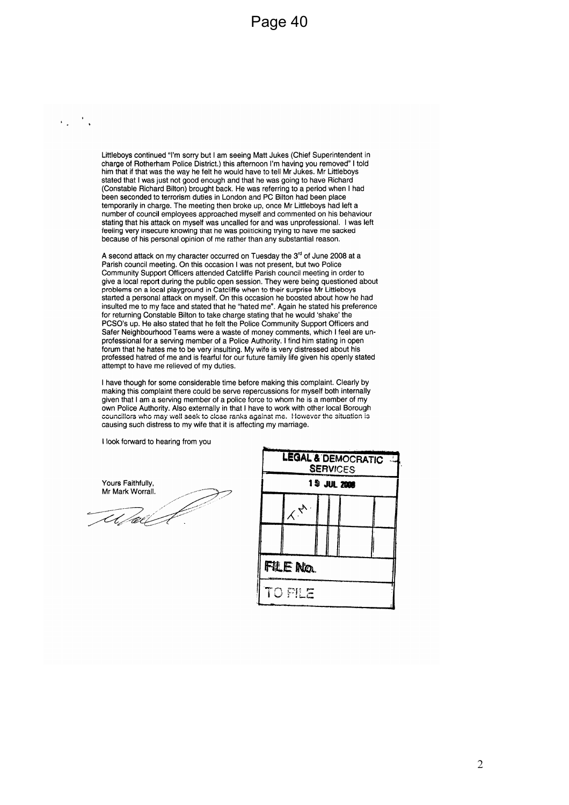Littleboys continued "I'm sorry but I am seeing Matt Jukes (Chief Superintendent in charge of Rotherham Police District.) this afternoon I'm having you removed" I told him that if that was the way he felt he would have to tell Mr Jukes. Mr Littleboys stated that I was just not good enough and that he was going to have Richard (Constable Richard Bilton) brought back. He was referring to a period when I had been seconded to terrorism duties in London and PC Bilton had been place temporarily in charge. The meeting then broke up, once Mr Littleboys had left a number of council employees approached myself and commented on his behaviour stating that his attack on myself was uncalled for and was unprofessional. I was left feeling very insecure knowing that he was politicking trying to have me sacked because of his personal opinion of me rather than any substantial reason.

A second attack on my character occurred on Tuesday the 3<sup>rd</sup> of June 2008 at a Parish council meeting. On this occasion I was not present, but two Police Community Support Officers attended Catcliffe Parish council meeting in order to give a local report during the public open session. They were being questioned about problems on a local playground in Catcliffe when to their surprise Mr Littleboys started a personal attack on myself. On this occasion he boosted about how he had insulted me to my face and stated that he "hated me". Again he stated his preference for returning Constable Bilton to take charge stating that he would 'shake' the PCSO's up. He also stated that he felt the Police Community Support Officers and Safer Neighbourhood Teams were a waste of money comments, which I feel are unprofessional for a serving member of a Police Authority. I find him stating in open forum that he hates me to be very insulting. My wife is very distressed about his professed hatred of me and is fearful for our future family life given his openly stated attempt to have me relieved of my duties.

I have though for some considerable time before making this complaint. Clearly by making this complaint there could be serve repercussions for myself both internally given that I am a serving member of a police force to whom he is a member of my own Police Authority. Also externally in that I have to work with other local Borough councillors who may well seek to close ranks against me. However the situation is causing such distress to my wife that it is affecting my marriage.

I look forward to hearing from you

Yours Faithfully, Mr Mark Worrall.

 $\frac{1}{2}$ 

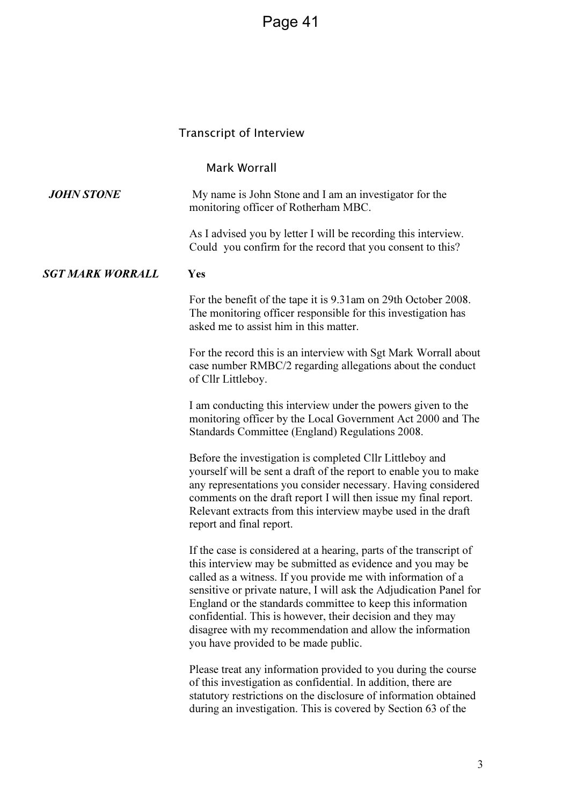#### Transcript of Interview

#### Mark Worrall

**JOHN STONE** My name is John Stone and I am an investigator for the monitoring officer of Rotherham MBC.

> As I advised you by letter I will be recording this interview. Could you confirm for the record that you consent to this?

#### SGT MARK WORRALL Yes

For the benefit of the tape it is 9.31am on 29th October 2008. The monitoring officer responsible for this investigation has asked me to assist him in this matter.

For the record this is an interview with Sgt Mark Worrall about case number RMBC/2 regarding allegations about the conduct of Cllr Littleboy.

I am conducting this interview under the powers given to the monitoring officer by the Local Government Act 2000 and The Standards Committee (England) Regulations 2008.

Before the investigation is completed Cllr Littleboy and yourself will be sent a draft of the report to enable you to make any representations you consider necessary. Having considered comments on the draft report I will then issue my final report. Relevant extracts from this interview maybe used in the draft report and final report.

If the case is considered at a hearing, parts of the transcript of this interview may be submitted as evidence and you may be called as a witness. If you provide me with information of a sensitive or private nature, I will ask the Adjudication Panel for England or the standards committee to keep this information confidential. This is however, their decision and they may disagree with my recommendation and allow the information you have provided to be made public.

Please treat any information provided to you during the course of this investigation as confidential. In addition, there are statutory restrictions on the disclosure of information obtained during an investigation. This is covered by Section 63 of the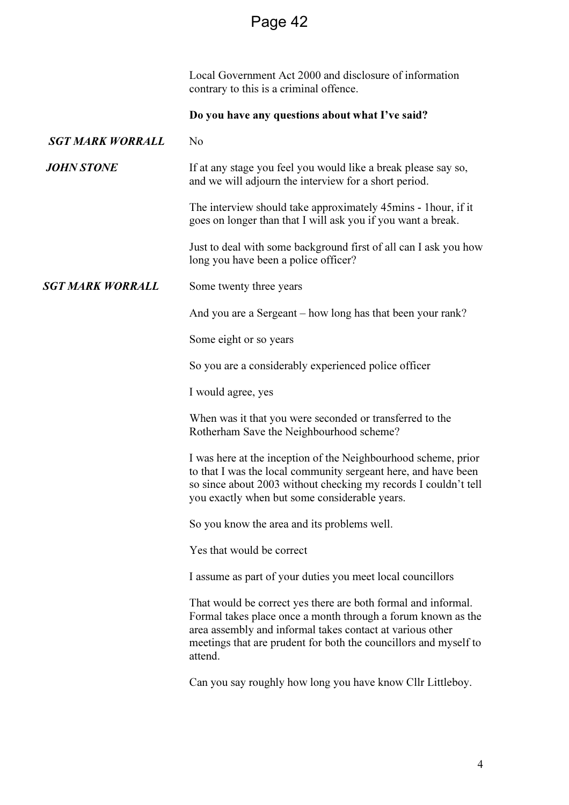|                         | Local Government Act 2000 and disclosure of information<br>contrary to this is a criminal offence.                                                                                                                                                                        |
|-------------------------|---------------------------------------------------------------------------------------------------------------------------------------------------------------------------------------------------------------------------------------------------------------------------|
|                         | Do you have any questions about what I've said?                                                                                                                                                                                                                           |
| <b>SGT MARK WORRALL</b> | N <sub>o</sub>                                                                                                                                                                                                                                                            |
| <b>JOHN STONE</b>       | If at any stage you feel you would like a break please say so,<br>and we will adjourn the interview for a short period.                                                                                                                                                   |
|                         | The interview should take approximately 45mins - 1 hour, if it<br>goes on longer than that I will ask you if you want a break.                                                                                                                                            |
|                         | Just to deal with some background first of all can I ask you how<br>long you have been a police officer?                                                                                                                                                                  |
| <b>SGT MARK WORRALL</b> | Some twenty three years                                                                                                                                                                                                                                                   |
|                         | And you are a Sergeant – how long has that been your rank?                                                                                                                                                                                                                |
|                         | Some eight or so years                                                                                                                                                                                                                                                    |
|                         | So you are a considerably experienced police officer                                                                                                                                                                                                                      |
|                         | I would agree, yes                                                                                                                                                                                                                                                        |
|                         | When was it that you were seconded or transferred to the<br>Rotherham Save the Neighbourhood scheme?                                                                                                                                                                      |
|                         | I was here at the inception of the Neighbourhood scheme, prior<br>to that I was the local community sergeant here, and have been<br>so since about 2003 without checking my records I couldn't tell<br>you exactly when but some considerable years.                      |
|                         | So you know the area and its problems well.                                                                                                                                                                                                                               |
|                         | Yes that would be correct                                                                                                                                                                                                                                                 |
|                         | I assume as part of your duties you meet local councillors                                                                                                                                                                                                                |
|                         | That would be correct yes there are both formal and informal.<br>Formal takes place once a month through a forum known as the<br>area assembly and informal takes contact at various other<br>meetings that are prudent for both the councillors and myself to<br>attend. |
|                         | Can you say roughly how long you have know Cllr Littleboy.                                                                                                                                                                                                                |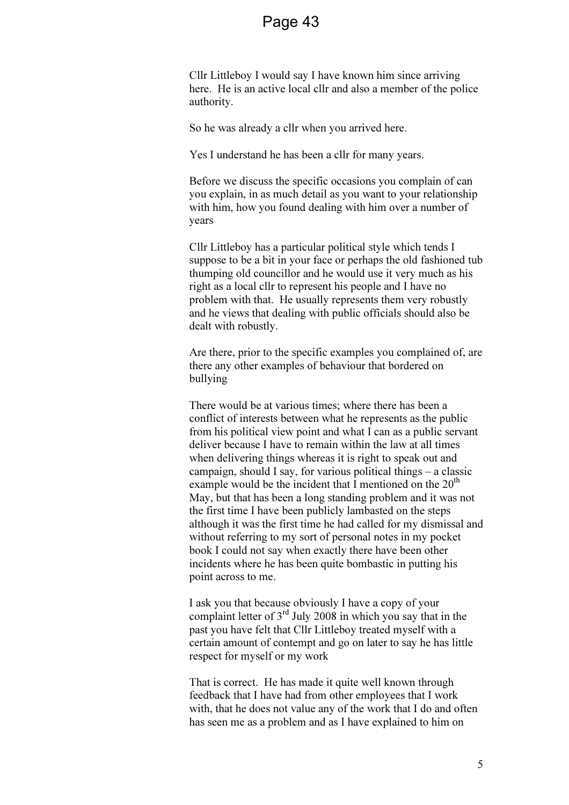Cllr Littleboy I would say I have known him since arriving here. He is an active local cllr and also a member of the police authority.

So he was already a cllr when you arrived here.

Yes I understand he has been a cllr for many years.

 Before we discuss the specific occasions you complain of can you explain, in as much detail as you want to your relationship with him, how you found dealing with him over a number of years

Cllr Littleboy has a particular political style which tends I suppose to be a bit in your face or perhaps the old fashioned tub thumping old councillor and he would use it very much as his right as a local cllr to represent his people and I have no problem with that. He usually represents them very robustly and he views that dealing with public officials should also be dealt with robustly.

Are there, prior to the specific examples you complained of, are there any other examples of behaviour that bordered on bullying

There would be at various times; where there has been a conflict of interests between what he represents as the public from his political view point and what I can as a public servant deliver because I have to remain within the law at all times when delivering things whereas it is right to speak out and campaign, should I say, for various political things – a classic example would be the incident that I mentioned on the  $20<sup>th</sup>$ May, but that has been a long standing problem and it was not the first time I have been publicly lambasted on the steps although it was the first time he had called for my dismissal and without referring to my sort of personal notes in my pocket book I could not say when exactly there have been other incidents where he has been quite bombastic in putting his point across to me.

I ask you that because obviously I have a copy of your complaint letter of  $3<sup>rd</sup>$  July 2008 in which you say that in the past you have felt that Cllr Littleboy treated myself with a certain amount of contempt and go on later to say he has little respect for myself or my work

That is correct. He has made it quite well known through feedback that I have had from other employees that I work with, that he does not value any of the work that I do and often has seen me as a problem and as I have explained to him on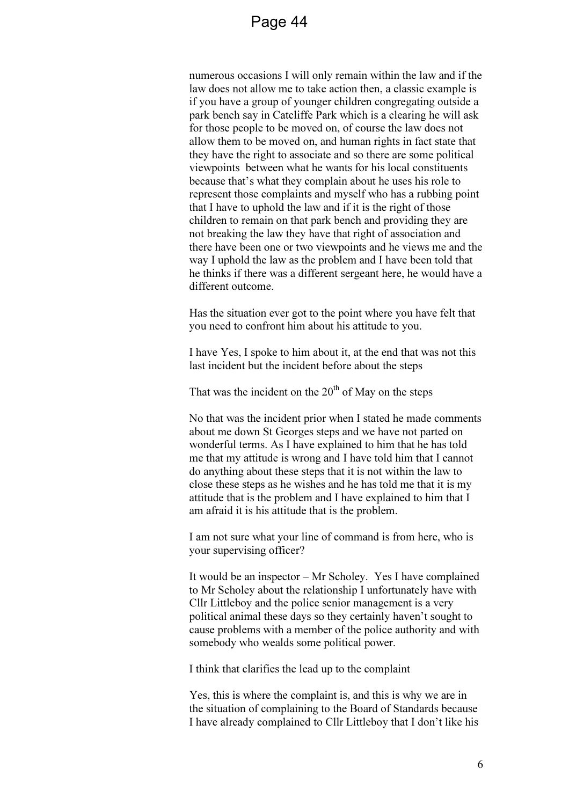numerous occasions I will only remain within the law and if the law does not allow me to take action then, a classic example is if you have a group of younger children congregating outside a park bench say in Catcliffe Park which is a clearing he will ask for those people to be moved on, of course the law does not allow them to be moved on, and human rights in fact state that they have the right to associate and so there are some political viewpoints between what he wants for his local constituents because that's what they complain about he uses his role to represent those complaints and myself who has a rubbing point that I have to uphold the law and if it is the right of those children to remain on that park bench and providing they are not breaking the law they have that right of association and there have been one or two viewpoints and he views me and the way I uphold the law as the problem and I have been told that he thinks if there was a different sergeant here, he would have a different outcome.

Has the situation ever got to the point where you have felt that you need to confront him about his attitude to you.

I have Yes, I spoke to him about it, at the end that was not this last incident but the incident before about the steps

That was the incident on the  $20<sup>th</sup>$  of May on the steps

No that was the incident prior when I stated he made comments about me down St Georges steps and we have not parted on wonderful terms. As I have explained to him that he has told me that my attitude is wrong and I have told him that I cannot do anything about these steps that it is not within the law to close these steps as he wishes and he has told me that it is my attitude that is the problem and I have explained to him that I am afraid it is his attitude that is the problem.

I am not sure what your line of command is from here, who is your supervising officer?

It would be an inspector – Mr Scholey. Yes I have complained to Mr Scholey about the relationship I unfortunately have with Cllr Littleboy and the police senior management is a very political animal these days so they certainly haven't sought to cause problems with a member of the police authority and with somebody who wealds some political power.

I think that clarifies the lead up to the complaint

Yes, this is where the complaint is, and this is why we are in the situation of complaining to the Board of Standards because I have already complained to Cllr Littleboy that I don't like his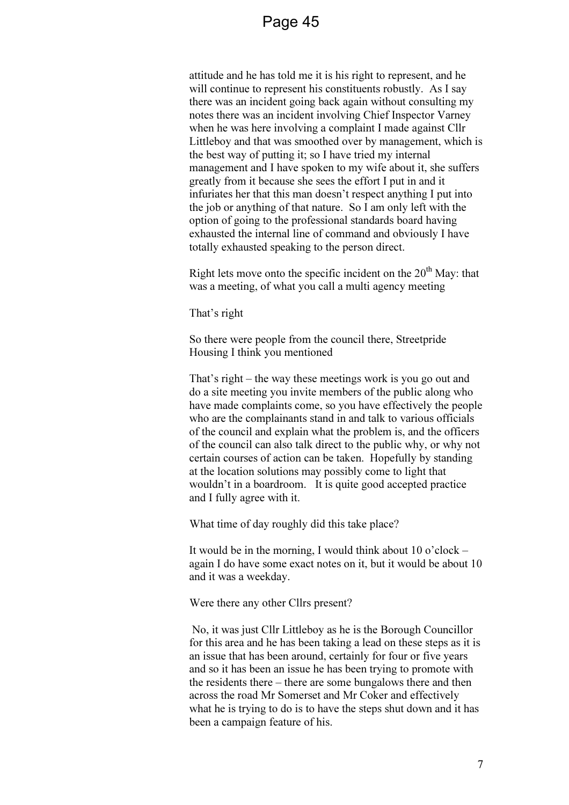attitude and he has told me it is his right to represent, and he will continue to represent his constituents robustly. As I say there was an incident going back again without consulting my notes there was an incident involving Chief Inspector Varney when he was here involving a complaint I made against Cllr Littleboy and that was smoothed over by management, which is the best way of putting it; so I have tried my internal management and I have spoken to my wife about it, she suffers greatly from it because she sees the effort I put in and it infuriates her that this man doesn't respect anything I put into the job or anything of that nature. So I am only left with the option of going to the professional standards board having exhausted the internal line of command and obviously I have totally exhausted speaking to the person direct.

Right lets move onto the specific incident on the  $20<sup>th</sup>$  May: that was a meeting, of what you call a multi agency meeting

That's right

So there were people from the council there, Streetpride Housing I think you mentioned

That's right – the way these meetings work is you go out and do a site meeting you invite members of the public along who have made complaints come, so you have effectively the people who are the complainants stand in and talk to various officials of the council and explain what the problem is, and the officers of the council can also talk direct to the public why, or why not certain courses of action can be taken. Hopefully by standing at the location solutions may possibly come to light that wouldn't in a boardroom. It is quite good accepted practice and I fully agree with it.

What time of day roughly did this take place?

It would be in the morning, I would think about 10 o'clock – again I do have some exact notes on it, but it would be about 10 and it was a weekday.

Were there any other Cllrs present?

 No, it was just Cllr Littleboy as he is the Borough Councillor for this area and he has been taking a lead on these steps as it is an issue that has been around, certainly for four or five years and so it has been an issue he has been trying to promote with the residents there – there are some bungalows there and then across the road Mr Somerset and Mr Coker and effectively what he is trying to do is to have the steps shut down and it has been a campaign feature of his.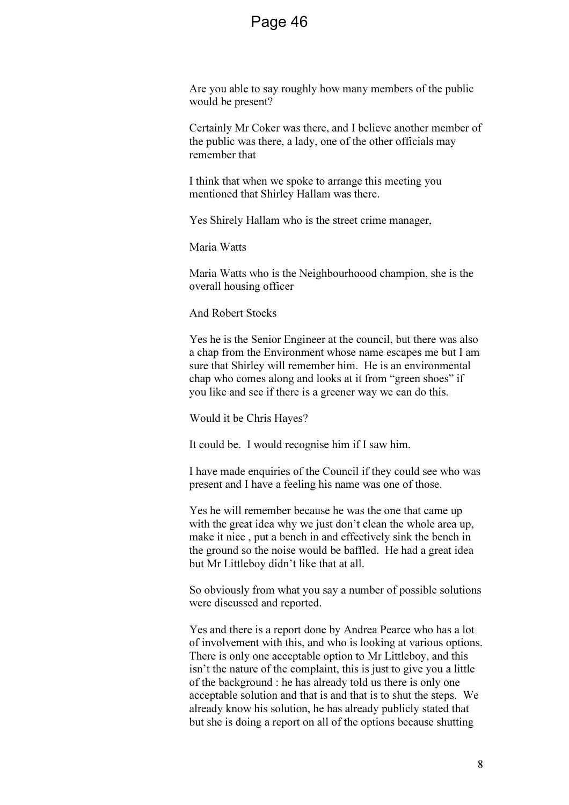Are you able to say roughly how many members of the public would be present?

Certainly Mr Coker was there, and I believe another member of the public was there, a lady, one of the other officials may remember that

I think that when we spoke to arrange this meeting you mentioned that Shirley Hallam was there.

Yes Shirely Hallam who is the street crime manager,

Maria Watts

Maria Watts who is the Neighbourhoood champion, she is the overall housing officer

And Robert Stocks

Yes he is the Senior Engineer at the council, but there was also a chap from the Environment whose name escapes me but I am sure that Shirley will remember him. He is an environmental chap who comes along and looks at it from "green shoes" if you like and see if there is a greener way we can do this.

Would it be Chris Hayes?

It could be. I would recognise him if I saw him.

I have made enquiries of the Council if they could see who was present and I have a feeling his name was one of those.

Yes he will remember because he was the one that came up with the great idea why we just don't clean the whole area up, make it nice , put a bench in and effectively sink the bench in the ground so the noise would be baffled. He had a great idea but Mr Littleboy didn't like that at all.

So obviously from what you say a number of possible solutions were discussed and reported.

Yes and there is a report done by Andrea Pearce who has a lot of involvement with this, and who is looking at various options. There is only one acceptable option to Mr Littleboy, and this isn't the nature of the complaint, this is just to give you a little of the background : he has already told us there is only one acceptable solution and that is and that is to shut the steps. We already know his solution, he has already publicly stated that but she is doing a report on all of the options because shutting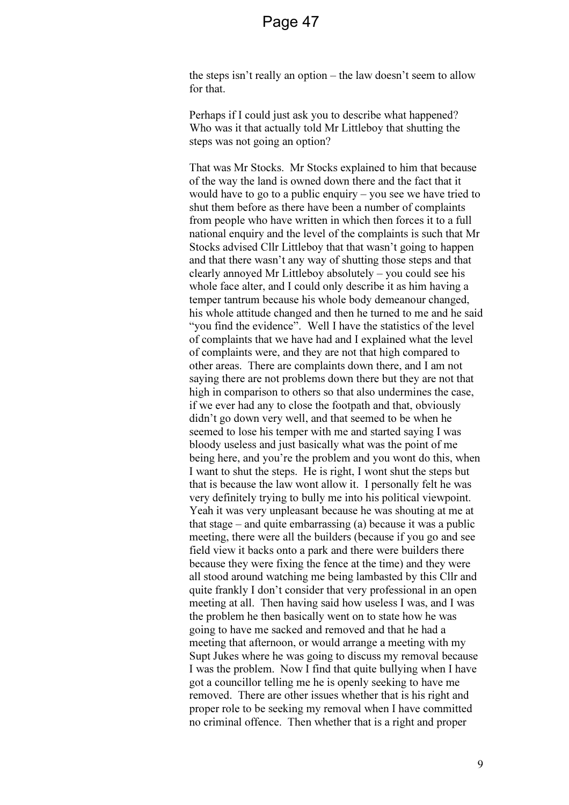the steps isn't really an option – the law doesn't seem to allow for that.

Perhaps if I could just ask you to describe what happened? Who was it that actually told Mr Littleboy that shutting the steps was not going an option?

That was Mr Stocks. Mr Stocks explained to him that because of the way the land is owned down there and the fact that it would have to go to a public enquiry – you see we have tried to shut them before as there have been a number of complaints from people who have written in which then forces it to a full national enquiry and the level of the complaints is such that Mr Stocks advised Cllr Littleboy that that wasn't going to happen and that there wasn't any way of shutting those steps and that clearly annoyed Mr Littleboy absolutely – you could see his whole face alter, and I could only describe it as him having a temper tantrum because his whole body demeanour changed, his whole attitude changed and then he turned to me and he said "you find the evidence". Well I have the statistics of the level of complaints that we have had and I explained what the level of complaints were, and they are not that high compared to other areas. There are complaints down there, and I am not saying there are not problems down there but they are not that high in comparison to others so that also undermines the case, if we ever had any to close the footpath and that, obviously didn't go down very well, and that seemed to be when he seemed to lose his temper with me and started saying I was bloody useless and just basically what was the point of me being here, and you're the problem and you wont do this, when I want to shut the steps. He is right, I wont shut the steps but that is because the law wont allow it. I personally felt he was very definitely trying to bully me into his political viewpoint. Yeah it was very unpleasant because he was shouting at me at that stage – and quite embarrassing (a) because it was a public meeting, there were all the builders (because if you go and see field view it backs onto a park and there were builders there because they were fixing the fence at the time) and they were all stood around watching me being lambasted by this Cllr and quite frankly I don't consider that very professional in an open meeting at all. Then having said how useless I was, and I was the problem he then basically went on to state how he was going to have me sacked and removed and that he had a meeting that afternoon, or would arrange a meeting with my Supt Jukes where he was going to discuss my removal because I was the problem. Now I find that quite bullying when I have got a councillor telling me he is openly seeking to have me removed. There are other issues whether that is his right and proper role to be seeking my removal when I have committed no criminal offence. Then whether that is a right and proper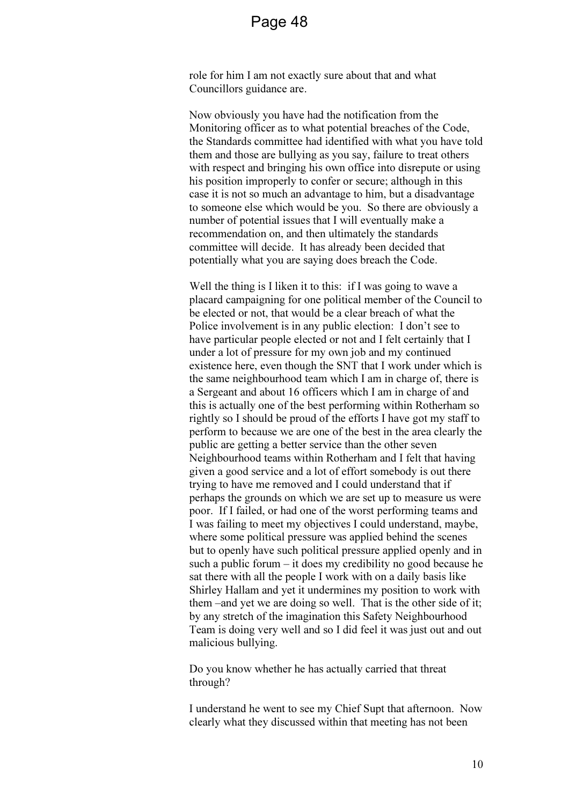role for him I am not exactly sure about that and what Councillors guidance are.

Now obviously you have had the notification from the Monitoring officer as to what potential breaches of the Code, the Standards committee had identified with what you have told them and those are bullying as you say, failure to treat others with respect and bringing his own office into disrepute or using his position improperly to confer or secure; although in this case it is not so much an advantage to him, but a disadvantage to someone else which would be you. So there are obviously a number of potential issues that I will eventually make a recommendation on, and then ultimately the standards committee will decide. It has already been decided that potentially what you are saying does breach the Code.

Well the thing is I liken it to this: if I was going to wave a placard campaigning for one political member of the Council to be elected or not, that would be a clear breach of what the Police involvement is in any public election: I don't see to have particular people elected or not and I felt certainly that I under a lot of pressure for my own job and my continued existence here, even though the SNT that I work under which is the same neighbourhood team which I am in charge of, there is a Sergeant and about 16 officers which I am in charge of and this is actually one of the best performing within Rotherham so rightly so I should be proud of the efforts I have got my staff to perform to because we are one of the best in the area clearly the public are getting a better service than the other seven Neighbourhood teams within Rotherham and I felt that having given a good service and a lot of effort somebody is out there trying to have me removed and I could understand that if perhaps the grounds on which we are set up to measure us were poor. If I failed, or had one of the worst performing teams and I was failing to meet my objectives I could understand, maybe, where some political pressure was applied behind the scenes but to openly have such political pressure applied openly and in such a public forum – it does my credibility no good because he sat there with all the people I work with on a daily basis like Shirley Hallam and yet it undermines my position to work with them –and yet we are doing so well. That is the other side of it; by any stretch of the imagination this Safety Neighbourhood Team is doing very well and so I did feel it was just out and out malicious bullying.

Do you know whether he has actually carried that threat through?

I understand he went to see my Chief Supt that afternoon. Now clearly what they discussed within that meeting has not been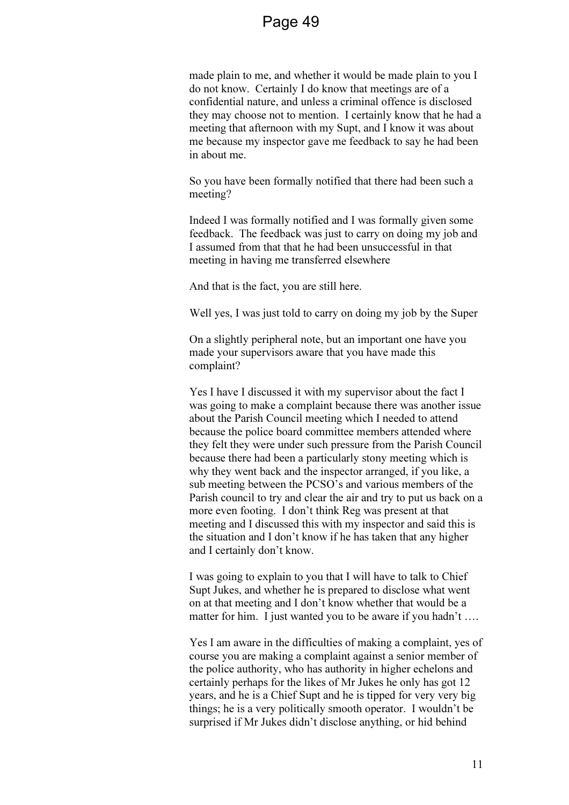made plain to me, and whether it would be made plain to you I do not know. Certainly I do know that meetings are of a confidential nature, and unless a criminal offence is disclosed they may choose not to mention. I certainly know that he had a meeting that afternoon with my Supt, and I know it was about me because my inspector gave me feedback to say he had been in about me.

So you have been formally notified that there had been such a meeting?

Indeed I was formally notified and I was formally given some feedback. The feedback was just to carry on doing my job and I assumed from that that he had been unsuccessful in that meeting in having me transferred elsewhere

And that is the fact, you are still here.

Well yes, I was just told to carry on doing my job by the Super

On a slightly peripheral note, but an important one have you made your supervisors aware that you have made this complaint?

Yes I have I discussed it with my supervisor about the fact I was going to make a complaint because there was another issue about the Parish Council meeting which I needed to attend because the police board committee members attended where they felt they were under such pressure from the Parish Council because there had been a particularly stony meeting which is why they went back and the inspector arranged, if you like, a sub meeting between the PCSO's and various members of the Parish council to try and clear the air and try to put us back on a more even footing. I don't think Reg was present at that meeting and I discussed this with my inspector and said this is the situation and I don't know if he has taken that any higher and I certainly don't know.

I was going to explain to you that I will have to talk to Chief Supt Jukes, and whether he is prepared to disclose what went on at that meeting and I don't know whether that would be a matter for him. I just wanted you to be aware if you hadn't ....

Yes I am aware in the difficulties of making a complaint, yes of course you are making a complaint against a senior member of the police authority, who has authority in higher echelons and certainly perhaps for the likes of Mr Jukes he only has got 12 years, and he is a Chief Supt and he is tipped for very very big things; he is a very politically smooth operator. I wouldn't be surprised if Mr Jukes didn't disclose anything, or hid behind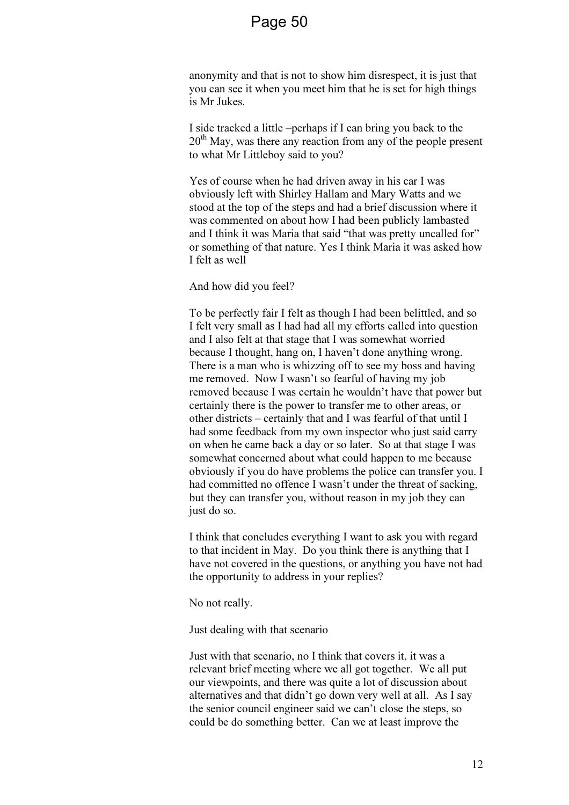anonymity and that is not to show him disrespect, it is just that you can see it when you meet him that he is set for high things is Mr Jukes.

I side tracked a little –perhaps if I can bring you back to the  $20<sup>th</sup>$  May, was there any reaction from any of the people present to what Mr Littleboy said to you?

Yes of course when he had driven away in his car I was obviously left with Shirley Hallam and Mary Watts and we stood at the top of the steps and had a brief discussion where it was commented on about how I had been publicly lambasted and I think it was Maria that said "that was pretty uncalled for" or something of that nature. Yes I think Maria it was asked how I felt as well

And how did you feel?

To be perfectly fair I felt as though I had been belittled, and so I felt very small as I had had all my efforts called into question and I also felt at that stage that I was somewhat worried because I thought, hang on, I haven't done anything wrong. There is a man who is whizzing off to see my boss and having me removed. Now I wasn't so fearful of having my job removed because I was certain he wouldn't have that power but certainly there is the power to transfer me to other areas, or other districts – certainly that and I was fearful of that until I had some feedback from my own inspector who just said carry on when he came back a day or so later. So at that stage I was somewhat concerned about what could happen to me because obviously if you do have problems the police can transfer you. I had committed no offence I wasn't under the threat of sacking, but they can transfer you, without reason in my job they can just do so.

I think that concludes everything I want to ask you with regard to that incident in May. Do you think there is anything that I have not covered in the questions, or anything you have not had the opportunity to address in your replies?

No not really.

Just dealing with that scenario

Just with that scenario, no I think that covers it, it was a relevant brief meeting where we all got together. We all put our viewpoints, and there was quite a lot of discussion about alternatives and that didn't go down very well at all. As I say the senior council engineer said we can't close the steps, so could be do something better. Can we at least improve the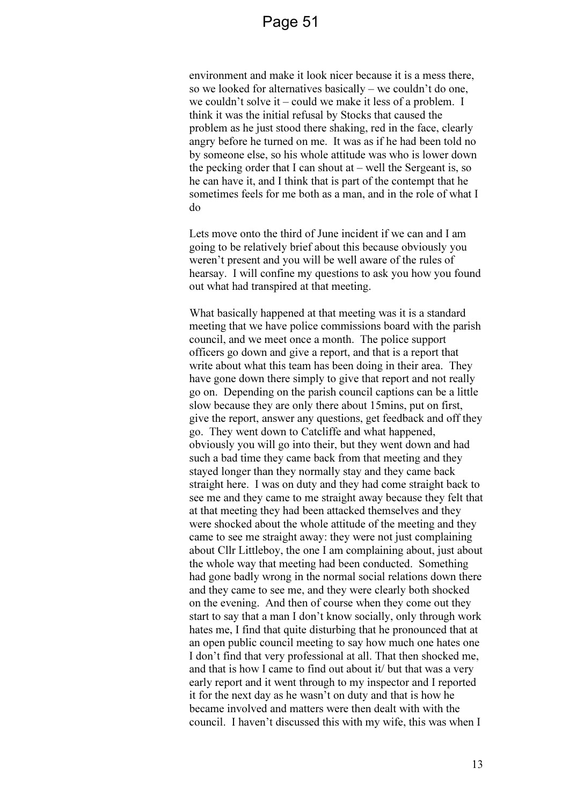environment and make it look nicer because it is a mess there, so we looked for alternatives basically – we couldn't do one, we couldn't solve it – could we make it less of a problem. I think it was the initial refusal by Stocks that caused the problem as he just stood there shaking, red in the face, clearly angry before he turned on me. It was as if he had been told no by someone else, so his whole attitude was who is lower down the pecking order that I can shout at  $-$  well the Sergeant is, so he can have it, and I think that is part of the contempt that he sometimes feels for me both as a man, and in the role of what I do

Lets move onto the third of June incident if we can and I am going to be relatively brief about this because obviously you weren't present and you will be well aware of the rules of hearsay. I will confine my questions to ask you how you found out what had transpired at that meeting.

What basically happened at that meeting was it is a standard meeting that we have police commissions board with the parish council, and we meet once a month. The police support officers go down and give a report, and that is a report that write about what this team has been doing in their area. They have gone down there simply to give that report and not really go on. Depending on the parish council captions can be a little slow because they are only there about 15mins, put on first, give the report, answer any questions, get feedback and off they go. They went down to Catcliffe and what happened, obviously you will go into their, but they went down and had such a bad time they came back from that meeting and they stayed longer than they normally stay and they came back straight here. I was on duty and they had come straight back to see me and they came to me straight away because they felt that at that meeting they had been attacked themselves and they were shocked about the whole attitude of the meeting and they came to see me straight away: they were not just complaining about Cllr Littleboy, the one I am complaining about, just about the whole way that meeting had been conducted. Something had gone badly wrong in the normal social relations down there and they came to see me, and they were clearly both shocked on the evening. And then of course when they come out they start to say that a man I don't know socially, only through work hates me, I find that quite disturbing that he pronounced that at an open public council meeting to say how much one hates one I don't find that very professional at all. That then shocked me, and that is how I came to find out about it/ but that was a very early report and it went through to my inspector and I reported it for the next day as he wasn't on duty and that is how he became involved and matters were then dealt with with the council. I haven't discussed this with my wife, this was when I

13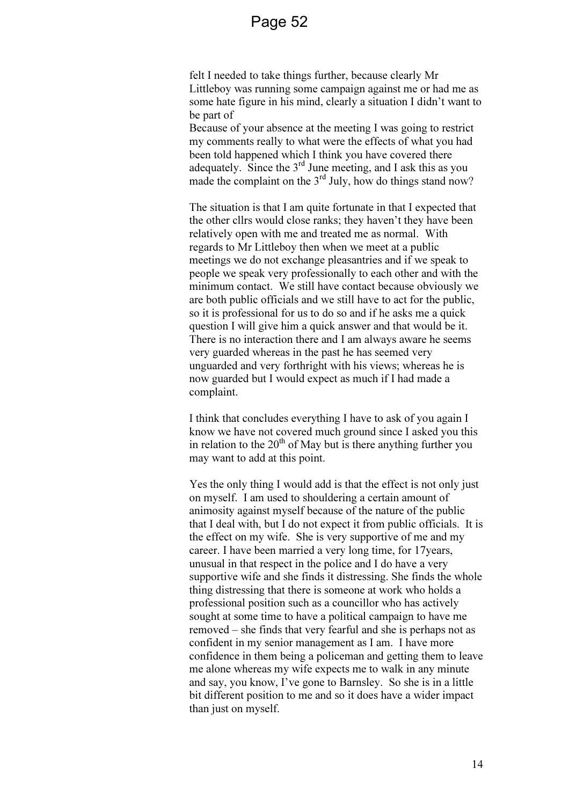felt I needed to take things further, because clearly Mr Littleboy was running some campaign against me or had me as some hate figure in his mind, clearly a situation I didn't want to be part of

Because of your absence at the meeting I was going to restrict my comments really to what were the effects of what you had been told happened which I think you have covered there adequately. Since the  $3<sup>rd</sup>$  June meeting, and I ask this as you made the complaint on the  $3<sup>rd</sup>$  July, how do things stand now?

The situation is that I am quite fortunate in that I expected that the other cllrs would close ranks; they haven't they have been relatively open with me and treated me as normal. With regards to Mr Littleboy then when we meet at a public meetings we do not exchange pleasantries and if we speak to people we speak very professionally to each other and with the minimum contact. We still have contact because obviously we are both public officials and we still have to act for the public, so it is professional for us to do so and if he asks me a quick question I will give him a quick answer and that would be it. There is no interaction there and I am always aware he seems very guarded whereas in the past he has seemed very unguarded and very forthright with his views; whereas he is now guarded but I would expect as much if I had made a complaint.

I think that concludes everything I have to ask of you again I know we have not covered much ground since I asked you this in relation to the  $20<sup>th</sup>$  of May but is there anything further you may want to add at this point.

Yes the only thing I would add is that the effect is not only just on myself. I am used to shouldering a certain amount of animosity against myself because of the nature of the public that I deal with, but I do not expect it from public officials. It is the effect on my wife. She is very supportive of me and my career. I have been married a very long time, for 17years, unusual in that respect in the police and I do have a very supportive wife and she finds it distressing. She finds the whole thing distressing that there is someone at work who holds a professional position such as a councillor who has actively sought at some time to have a political campaign to have me removed – she finds that very fearful and she is perhaps not as confident in my senior management as I am. I have more confidence in them being a policeman and getting them to leave me alone whereas my wife expects me to walk in any minute and say, you know, I've gone to Barnsley. So she is in a little bit different position to me and so it does have a wider impact than just on myself.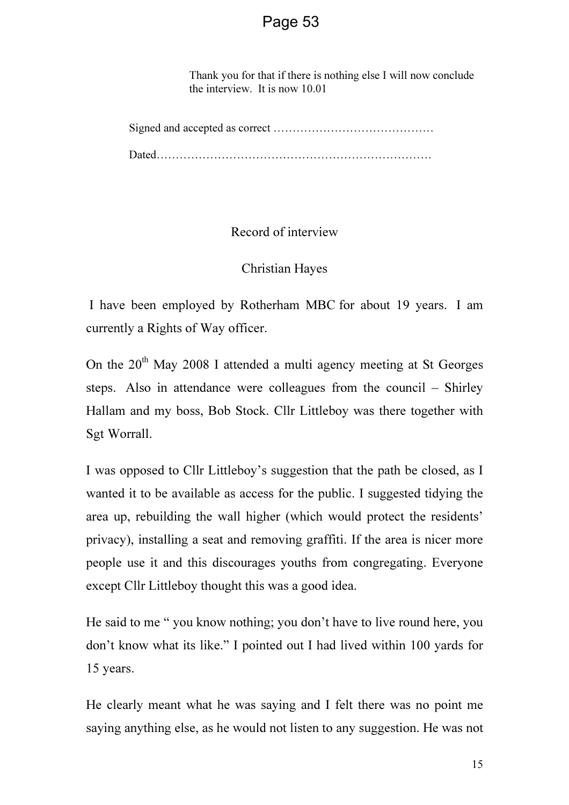Thank you for that if there is nothing else I will now conclude the interview. It is now 10.01

Record of interview

Christian Hayes

 I have been employed by Rotherham MBC for about 19 years. I am currently a Rights of Way officer.

On the  $20<sup>th</sup>$  May 2008 I attended a multi agency meeting at St Georges steps. Also in attendance were colleagues from the council – Shirley Hallam and my boss, Bob Stock. Cllr Littleboy was there together with Sgt Worrall.

I was opposed to Cllr Littleboy's suggestion that the path be closed, as I wanted it to be available as access for the public. I suggested tidying the area up, rebuilding the wall higher (which would protect the residents' privacy), installing a seat and removing graffiti. If the area is nicer more people use it and this discourages youths from congregating. Everyone except Cllr Littleboy thought this was a good idea.

He said to me " you know nothing; you don't have to live round here, you don't know what its like." I pointed out I had lived within 100 yards for 15 years.

He clearly meant what he was saying and I felt there was no point me saying anything else, as he would not listen to any suggestion. He was not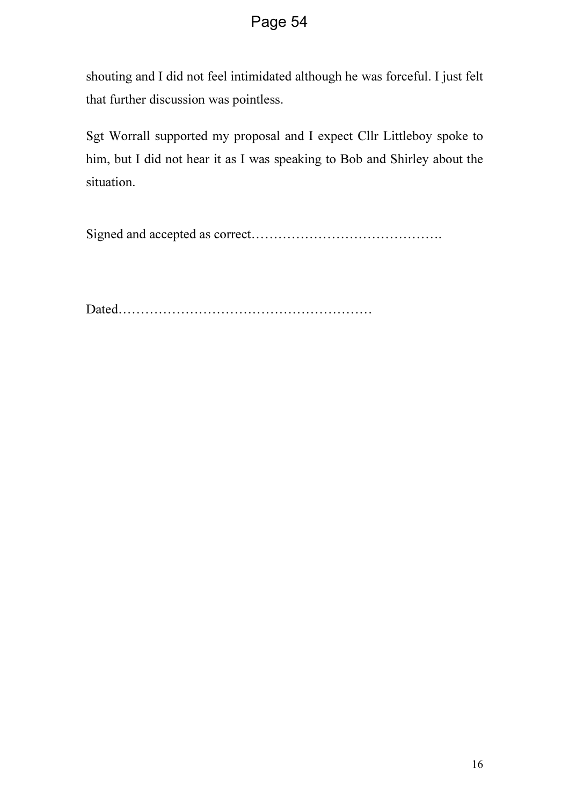shouting and I did not feel intimidated although he was forceful. I just felt that further discussion was pointless.

Sgt Worrall supported my proposal and I expect Cllr Littleboy spoke to him, but I did not hear it as I was speaking to Bob and Shirley about the situation.

Signed and accepted as correct…………………………………….

Dated…………………………………………………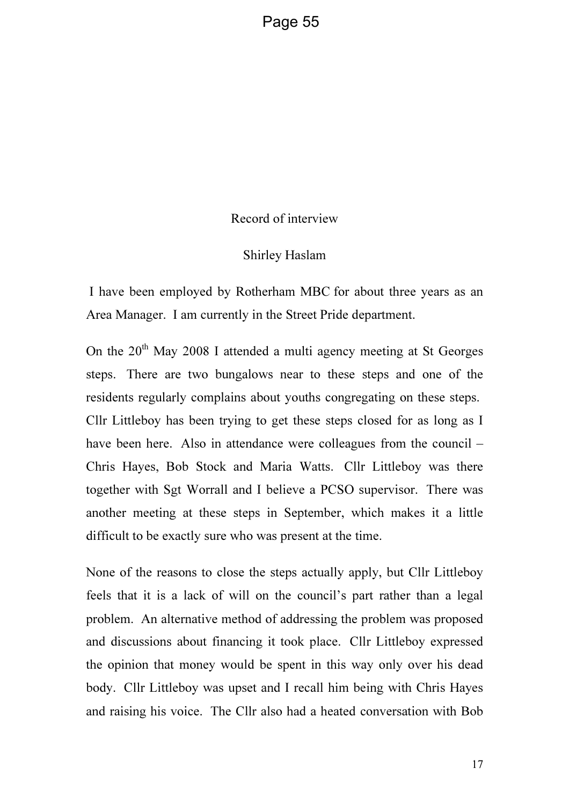#### Record of interview

#### Shirley Haslam

 I have been employed by Rotherham MBC for about three years as an Area Manager. I am currently in the Street Pride department.

On the  $20<sup>th</sup>$  May 2008 I attended a multi agency meeting at St Georges steps. There are two bungalows near to these steps and one of the residents regularly complains about youths congregating on these steps. Cllr Littleboy has been trying to get these steps closed for as long as I have been here. Also in attendance were colleagues from the council – Chris Hayes, Bob Stock and Maria Watts. Cllr Littleboy was there together with Sgt Worrall and I believe a PCSO supervisor. There was another meeting at these steps in September, which makes it a little difficult to be exactly sure who was present at the time.

None of the reasons to close the steps actually apply, but Cllr Littleboy feels that it is a lack of will on the council's part rather than a legal problem. An alternative method of addressing the problem was proposed and discussions about financing it took place. Cllr Littleboy expressed the opinion that money would be spent in this way only over his dead body. Cllr Littleboy was upset and I recall him being with Chris Hayes and raising his voice. The Cllr also had a heated conversation with Bob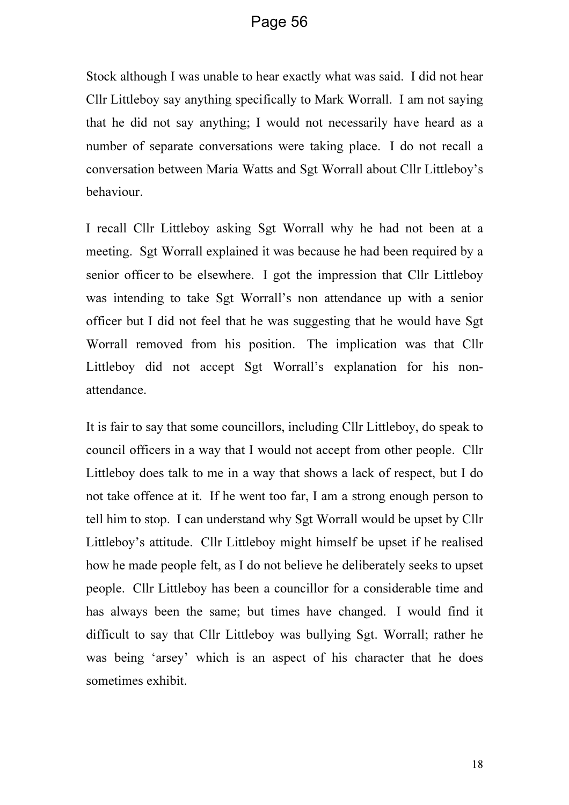Stock although I was unable to hear exactly what was said. I did not hear Cllr Littleboy say anything specifically to Mark Worrall. I am not saying that he did not say anything; I would not necessarily have heard as a number of separate conversations were taking place. I do not recall a conversation between Maria Watts and Sgt Worrall about Cllr Littleboy's behaviour.

I recall Cllr Littleboy asking Sgt Worrall why he had not been at a meeting. Sgt Worrall explained it was because he had been required by a senior officer to be elsewhere. I got the impression that Cllr Littleboy was intending to take Sgt Worrall's non attendance up with a senior officer but I did not feel that he was suggesting that he would have Sgt Worrall removed from his position. The implication was that Cllr Littleboy did not accept Sgt Worrall's explanation for his nonattendance.

It is fair to say that some councillors, including Cllr Littleboy, do speak to council officers in a way that I would not accept from other people. Cllr Littleboy does talk to me in a way that shows a lack of respect, but I do not take offence at it. If he went too far, I am a strong enough person to tell him to stop. I can understand why Sgt Worrall would be upset by Cllr Littleboy's attitude. Cllr Littleboy might himself be upset if he realised how he made people felt, as I do not believe he deliberately seeks to upset people. Cllr Littleboy has been a councillor for a considerable time and has always been the same; but times have changed. I would find it difficult to say that Cllr Littleboy was bullying Sgt. Worrall; rather he was being 'arsey' which is an aspect of his character that he does sometimes exhibit.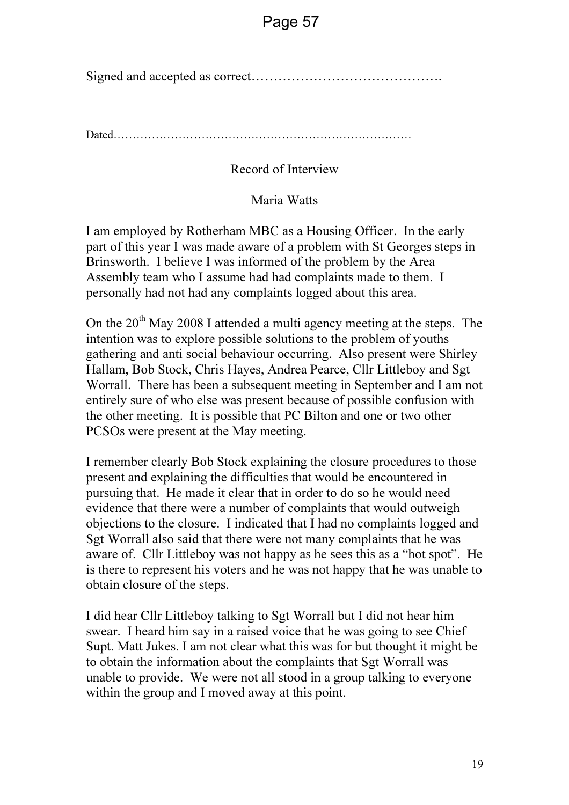Signed and accepted as correct…………………………………….

Dated……………………………………………………………………

### Record of Interview

### Maria Watts

I am employed by Rotherham MBC as a Housing Officer. In the early part of this year I was made aware of a problem with St Georges steps in Brinsworth. I believe I was informed of the problem by the Area Assembly team who I assume had had complaints made to them. I personally had not had any complaints logged about this area.

On the  $20<sup>th</sup>$  May 2008 I attended a multi agency meeting at the steps. The intention was to explore possible solutions to the problem of youths gathering and anti social behaviour occurring. Also present were Shirley Hallam, Bob Stock, Chris Hayes, Andrea Pearce, Cllr Littleboy and Sgt Worrall. There has been a subsequent meeting in September and I am not entirely sure of who else was present because of possible confusion with the other meeting. It is possible that PC Bilton and one or two other PCSOs were present at the May meeting.

I remember clearly Bob Stock explaining the closure procedures to those present and explaining the difficulties that would be encountered in pursuing that. He made it clear that in order to do so he would need evidence that there were a number of complaints that would outweigh objections to the closure. I indicated that I had no complaints logged and Sgt Worrall also said that there were not many complaints that he was aware of. Cllr Littleboy was not happy as he sees this as a "hot spot". He is there to represent his voters and he was not happy that he was unable to obtain closure of the steps.

I did hear Cllr Littleboy talking to Sgt Worrall but I did not hear him swear. I heard him say in a raised voice that he was going to see Chief Supt. Matt Jukes. I am not clear what this was for but thought it might be to obtain the information about the complaints that Sgt Worrall was unable to provide. We were not all stood in a group talking to everyone within the group and I moved away at this point.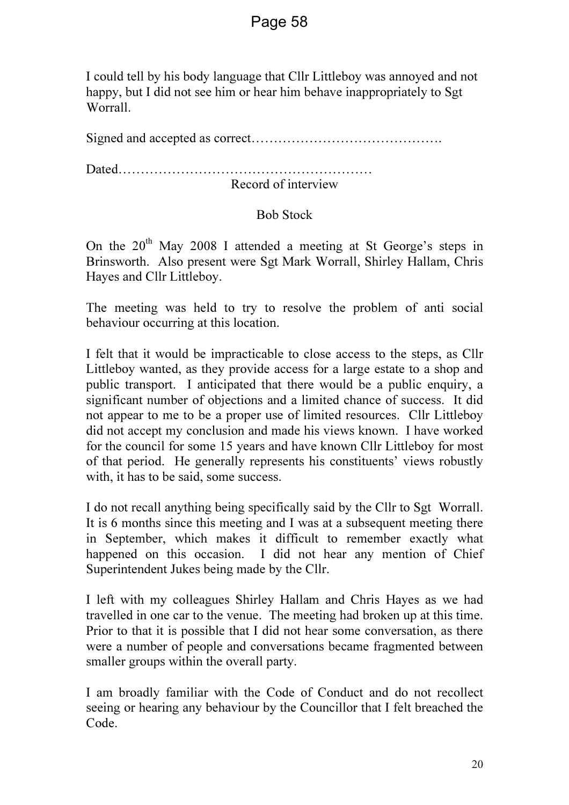I could tell by his body language that Cllr Littleboy was annoyed and not happy, but I did not see him or hear him behave inappropriately to Sgt Worrall.

Signed and accepted as correct…………………………………….

Dated…………………………………………………

Record of interview

### Bob Stock

On the  $20<sup>th</sup>$  May 2008 I attended a meeting at St George's steps in Brinsworth. Also present were Sgt Mark Worrall, Shirley Hallam, Chris Hayes and Cllr Littleboy.

The meeting was held to try to resolve the problem of anti social behaviour occurring at this location.

I felt that it would be impracticable to close access to the steps, as Cllr Littleboy wanted, as they provide access for a large estate to a shop and public transport. I anticipated that there would be a public enquiry, a significant number of objections and a limited chance of success. It did not appear to me to be a proper use of limited resources. Cllr Littleboy did not accept my conclusion and made his views known. I have worked for the council for some 15 years and have known Cllr Littleboy for most of that period. He generally represents his constituents' views robustly with, it has to be said, some success.

I do not recall anything being specifically said by the Cllr to Sgt Worrall. It is 6 months since this meeting and I was at a subsequent meeting there in September, which makes it difficult to remember exactly what happened on this occasion. I did not hear any mention of Chief Superintendent Jukes being made by the Cllr.

I left with my colleagues Shirley Hallam and Chris Hayes as we had travelled in one car to the venue. The meeting had broken up at this time. Prior to that it is possible that I did not hear some conversation, as there were a number of people and conversations became fragmented between smaller groups within the overall party.

I am broadly familiar with the Code of Conduct and do not recollect seeing or hearing any behaviour by the Councillor that I felt breached the Code.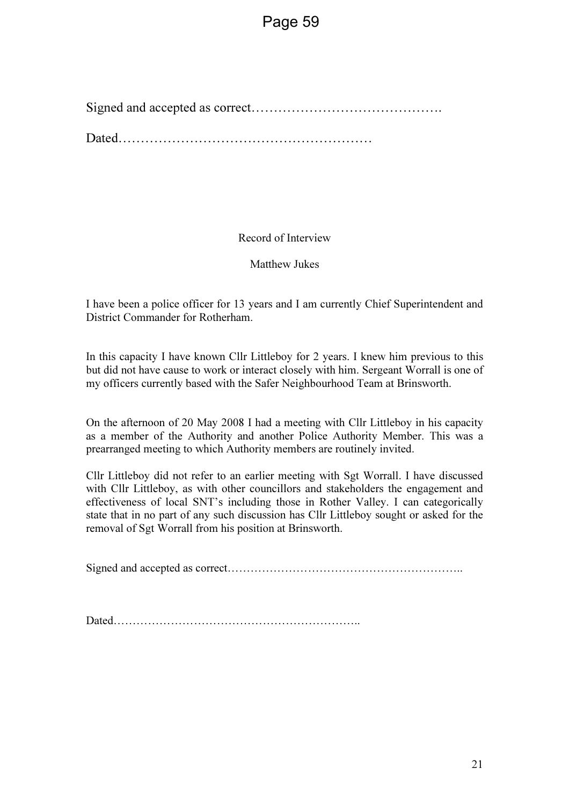Signed and accepted as correct……………………………………. Dated…………………………………………………

Record of Interview

Matthew Jukes

I have been a police officer for 13 years and I am currently Chief Superintendent and District Commander for Rotherham.

In this capacity I have known Cllr Littleboy for 2 years. I knew him previous to this but did not have cause to work or interact closely with him. Sergeant Worrall is one of my officers currently based with the Safer Neighbourhood Team at Brinsworth.

On the afternoon of 20 May 2008 I had a meeting with Cllr Littleboy in his capacity as a member of the Authority and another Police Authority Member. This was a prearranged meeting to which Authority members are routinely invited.

Cllr Littleboy did not refer to an earlier meeting with Sgt Worrall. I have discussed with Cllr Littleboy, as with other councillors and stakeholders the engagement and effectiveness of local SNT's including those in Rother Valley. I can categorically state that in no part of any such discussion has Cllr Littleboy sought or asked for the removal of Sgt Worrall from his position at Brinsworth.

Signed and accepted as correct……………………………………………………..

Dated………………………………………………………..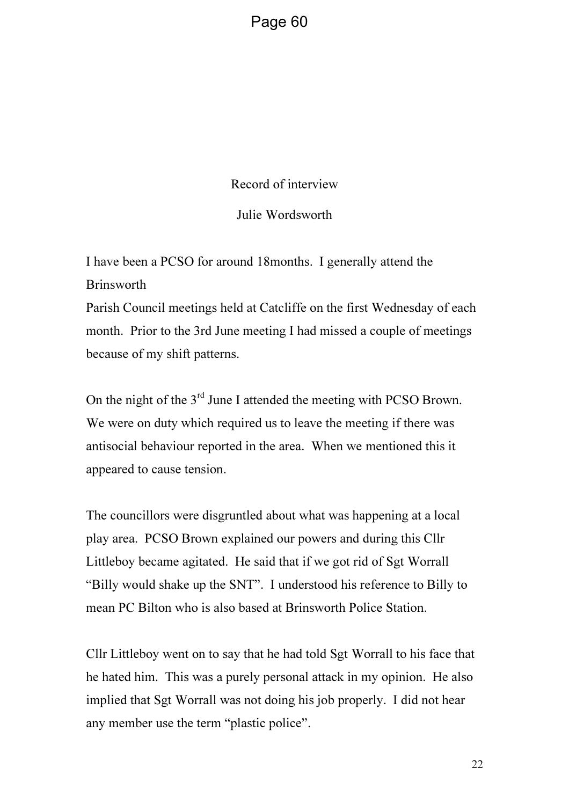Record of interview

Julie Wordsworth

I have been a PCSO for around 18months. I generally attend the Brinsworth

Parish Council meetings held at Catcliffe on the first Wednesday of each month. Prior to the 3rd June meeting I had missed a couple of meetings because of my shift patterns.

On the night of the 3<sup>rd</sup> June I attended the meeting with PCSO Brown. We were on duty which required us to leave the meeting if there was antisocial behaviour reported in the area. When we mentioned this it appeared to cause tension.

The councillors were disgruntled about what was happening at a local play area. PCSO Brown explained our powers and during this Cllr Littleboy became agitated. He said that if we got rid of Sgt Worrall "Billy would shake up the SNT". I understood his reference to Billy to mean PC Bilton who is also based at Brinsworth Police Station.

Cllr Littleboy went on to say that he had told Sgt Worrall to his face that he hated him. This was a purely personal attack in my opinion. He also implied that Sgt Worrall was not doing his job properly. I did not hear any member use the term "plastic police".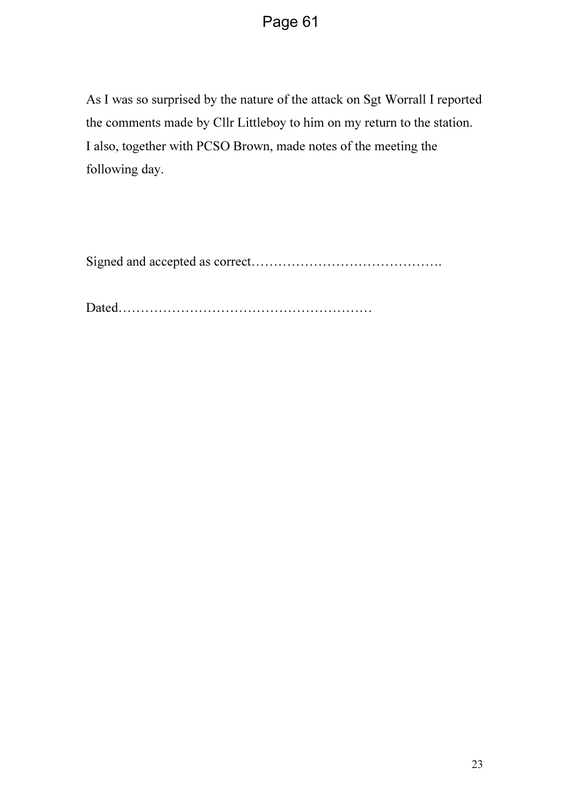As I was so surprised by the nature of the attack on Sgt Worrall I reported the comments made by Cllr Littleboy to him on my return to the station. I also, together with PCSO Brown, made notes of the meeting the following day.

Signed and accepted as correct…………………………………….

Dated…………………………………………………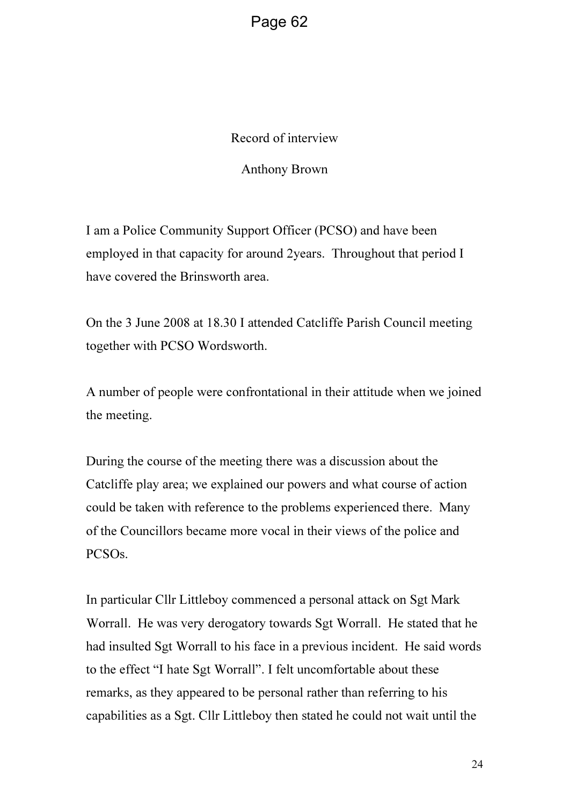Record of interview

Anthony Brown

I am a Police Community Support Officer (PCSO) and have been employed in that capacity for around 2years. Throughout that period I have covered the Brinsworth area.

On the 3 June 2008 at 18.30 I attended Catcliffe Parish Council meeting together with PCSO Wordsworth.

A number of people were confrontational in their attitude when we joined the meeting.

During the course of the meeting there was a discussion about the Catcliffe play area; we explained our powers and what course of action could be taken with reference to the problems experienced there. Many of the Councillors became more vocal in their views of the police and PCSOs.

In particular Cllr Littleboy commenced a personal attack on Sgt Mark Worrall. He was very derogatory towards Sgt Worrall. He stated that he had insulted Sgt Worrall to his face in a previous incident. He said words to the effect "I hate Sgt Worrall". I felt uncomfortable about these remarks, as they appeared to be personal rather than referring to his capabilities as a Sgt. Cllr Littleboy then stated he could not wait until the

24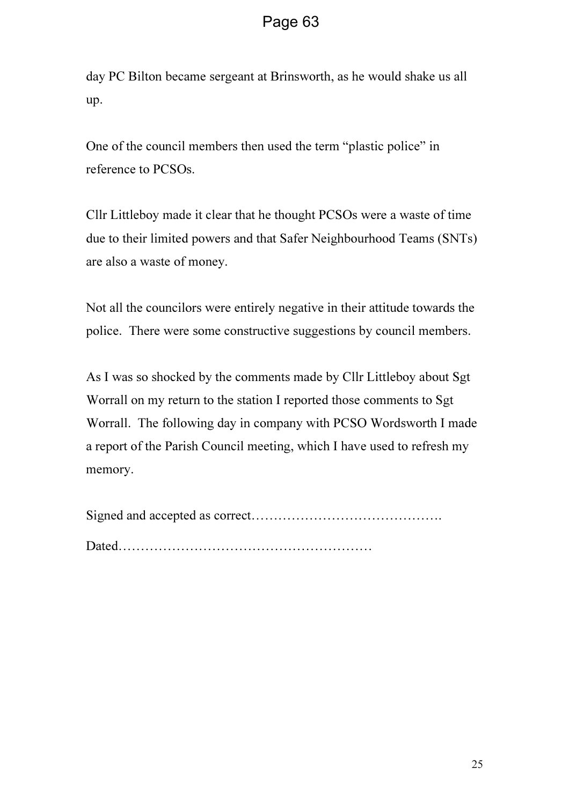day PC Bilton became sergeant at Brinsworth, as he would shake us all up.

One of the council members then used the term "plastic police" in reference to PCSOs.

Cllr Littleboy made it clear that he thought PCSOs were a waste of time due to their limited powers and that Safer Neighbourhood Teams (SNTs) are also a waste of money.

Not all the councilors were entirely negative in their attitude towards the police. There were some constructive suggestions by council members.

As I was so shocked by the comments made by Cllr Littleboy about Sgt Worrall on my return to the station I reported those comments to Sgt Worrall. The following day in company with PCSO Wordsworth I made a report of the Parish Council meeting, which I have used to refresh my memory.

Signed and accepted as correct……………………………………. Dated…………………………………………………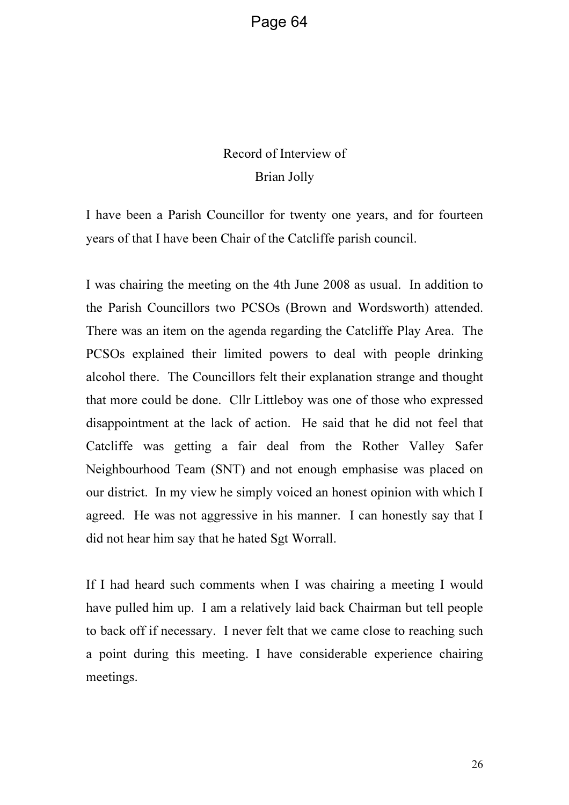# Record of Interview of Brian Jolly

I have been a Parish Councillor for twenty one years, and for fourteen years of that I have been Chair of the Catcliffe parish council.

I was chairing the meeting on the 4th June 2008 as usual. In addition to the Parish Councillors two PCSOs (Brown and Wordsworth) attended. There was an item on the agenda regarding the Catcliffe Play Area. The PCSOs explained their limited powers to deal with people drinking alcohol there. The Councillors felt their explanation strange and thought that more could be done. Cllr Littleboy was one of those who expressed disappointment at the lack of action. He said that he did not feel that Catcliffe was getting a fair deal from the Rother Valley Safer Neighbourhood Team (SNT) and not enough emphasise was placed on our district. In my view he simply voiced an honest opinion with which I agreed. He was not aggressive in his manner. I can honestly say that I did not hear him say that he hated Sgt Worrall.

If I had heard such comments when I was chairing a meeting I would have pulled him up. I am a relatively laid back Chairman but tell people to back off if necessary. I never felt that we came close to reaching such a point during this meeting. I have considerable experience chairing meetings.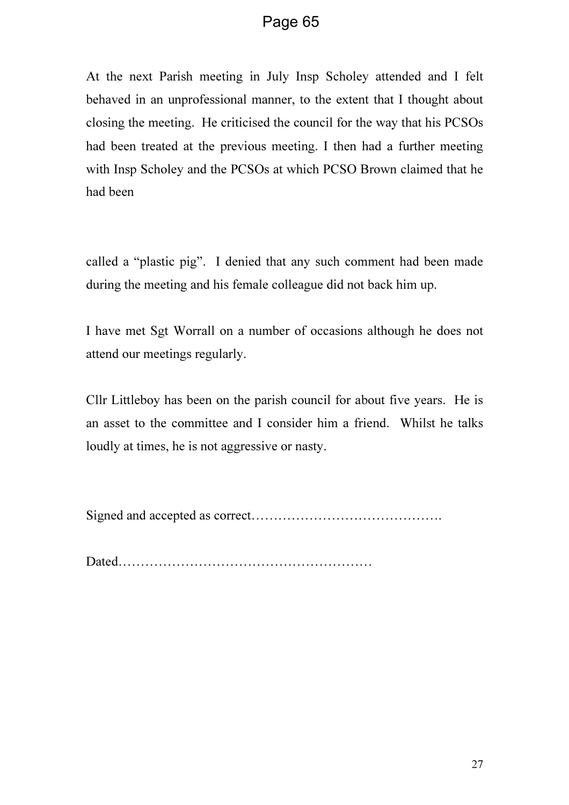At the next Parish meeting in July Insp Scholey attended and I felt behaved in an unprofessional manner, to the extent that I thought about closing the meeting. He criticised the council for the way that his PCSOs had been treated at the previous meeting. I then had a further meeting with Insp Scholey and the PCSOs at which PCSO Brown claimed that he had been

called a "plastic pig". I denied that any such comment had been made during the meeting and his female colleague did not back him up.

I have met Sgt Worrall on a number of occasions although he does not attend our meetings regularly.

Cllr Littleboy has been on the parish council for about five years. He is an asset to the committee and I consider him a friend. Whilst he talks loudly at times, he is not aggressive or nasty.

Signed and accepted as correct…………………………………….

Dated…………………………………………………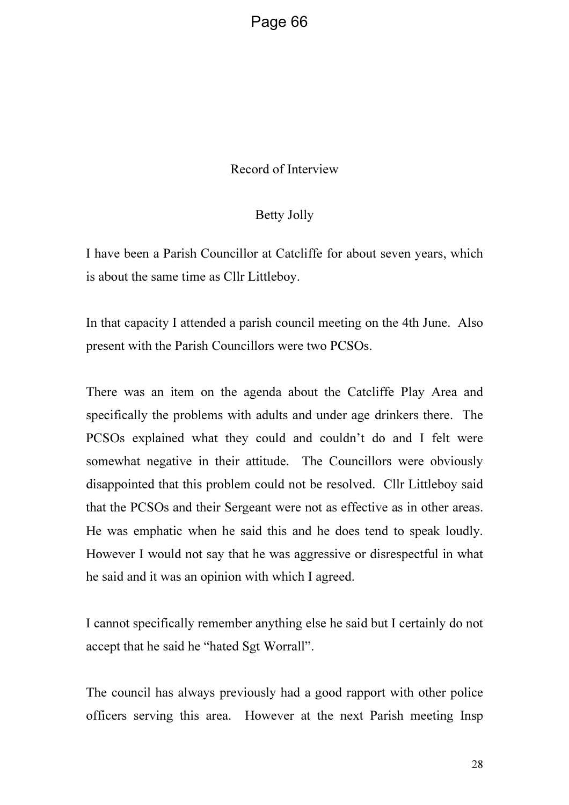#### Record of Interview

#### Betty Jolly

I have been a Parish Councillor at Catcliffe for about seven years, which is about the same time as Cllr Littleboy.

In that capacity I attended a parish council meeting on the 4th June. Also present with the Parish Councillors were two PCSOs.

There was an item on the agenda about the Catcliffe Play Area and specifically the problems with adults and under age drinkers there. The PCSOs explained what they could and couldn't do and I felt were somewhat negative in their attitude. The Councillors were obviously disappointed that this problem could not be resolved. Cllr Littleboy said that the PCSOs and their Sergeant were not as effective as in other areas. He was emphatic when he said this and he does tend to speak loudly. However I would not say that he was aggressive or disrespectful in what he said and it was an opinion with which I agreed.

I cannot specifically remember anything else he said but I certainly do not accept that he said he "hated Sgt Worrall".

The council has always previously had a good rapport with other police officers serving this area. However at the next Parish meeting Insp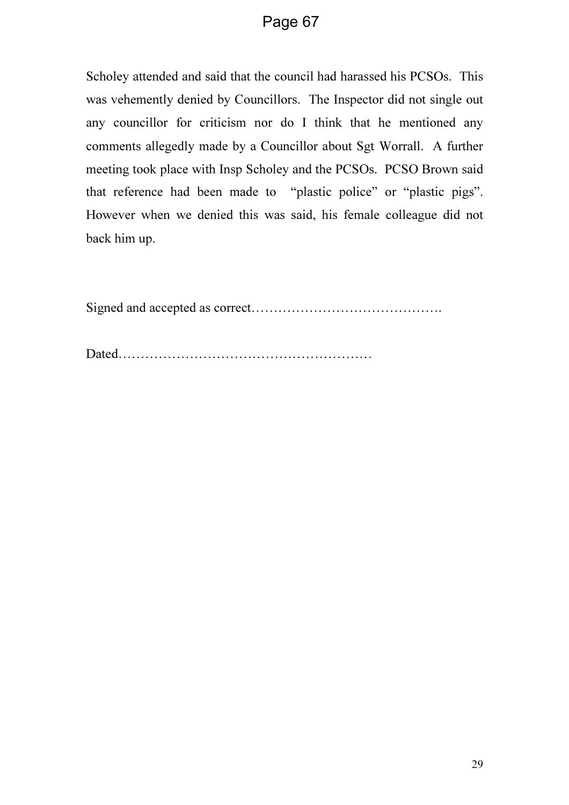Scholey attended and said that the council had harassed his PCSOs. This was vehemently denied by Councillors. The Inspector did not single out any councillor for criticism nor do I think that he mentioned any comments allegedly made by a Councillor about Sgt Worrall. A further meeting took place with Insp Scholey and the PCSOs. PCSO Brown said that reference had been made to "plastic police" or "plastic pigs". However when we denied this was said, his female colleague did not back him up.

Signed and accepted as correct…………………………………….

Dated…………………………………………………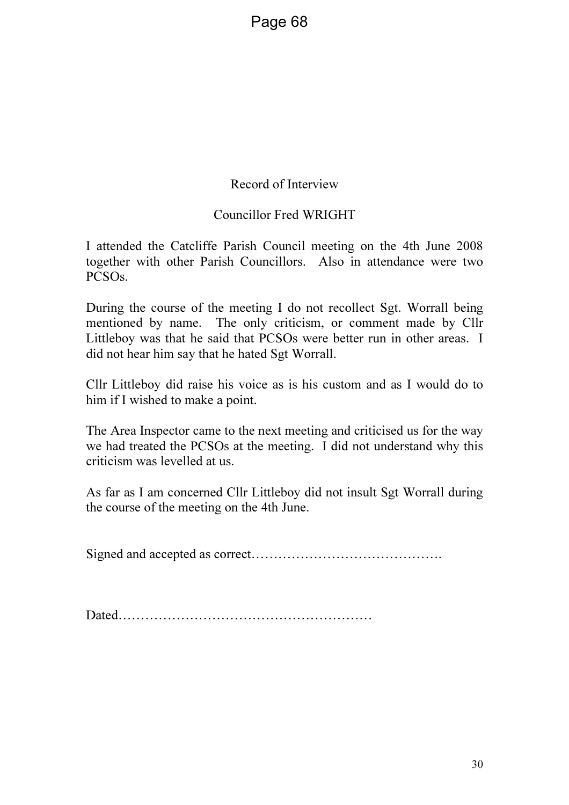### Record of Interview

### Councillor Fred WRIGHT

I attended the Catcliffe Parish Council meeting on the 4th June 2008 together with other Parish Councillors. Also in attendance were two PCSOs.

During the course of the meeting I do not recollect Sgt. Worrall being mentioned by name. The only criticism, or comment made by Cllr Littleboy was that he said that PCSOs were better run in other areas. I did not hear him say that he hated Sgt Worrall.

Cllr Littleboy did raise his voice as is his custom and as I would do to him if I wished to make a point.

The Area Inspector came to the next meeting and criticised us for the way we had treated the PCSOs at the meeting. I did not understand why this criticism was levelled at us.

As far as I am concerned Cllr Littleboy did not insult Sgt Worrall during the course of the meeting on the 4th June.

Signed and accepted as correct…………………………………….

Dated…………………………………………………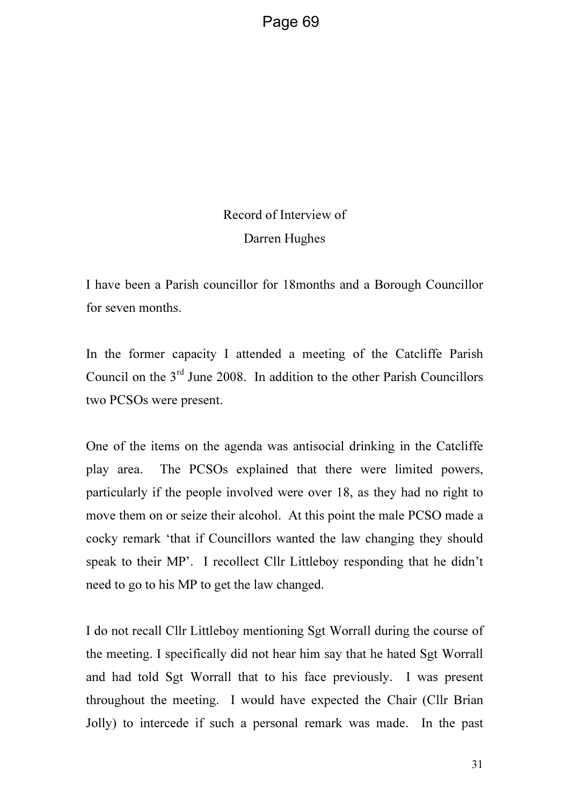# Record of Interview of Darren Hughes

I have been a Parish councillor for 18months and a Borough Councillor for seven months.

In the former capacity I attended a meeting of the Catcliffe Parish Council on the 3rd June 2008. In addition to the other Parish Councillors two PCSOs were present.

One of the items on the agenda was antisocial drinking in the Catcliffe play area. The PCSOs explained that there were limited powers, particularly if the people involved were over 18, as they had no right to move them on or seize their alcohol. At this point the male PCSO made a cocky remark 'that if Councillors wanted the law changing they should speak to their MP'. I recollect Cllr Littleboy responding that he didn't need to go to his MP to get the law changed.

I do not recall Cllr Littleboy mentioning Sgt Worrall during the course of the meeting. I specifically did not hear him say that he hated Sgt Worrall and had told Sgt Worrall that to his face previously. I was present throughout the meeting. I would have expected the Chair (Cllr Brian Jolly) to intercede if such a personal remark was made. In the past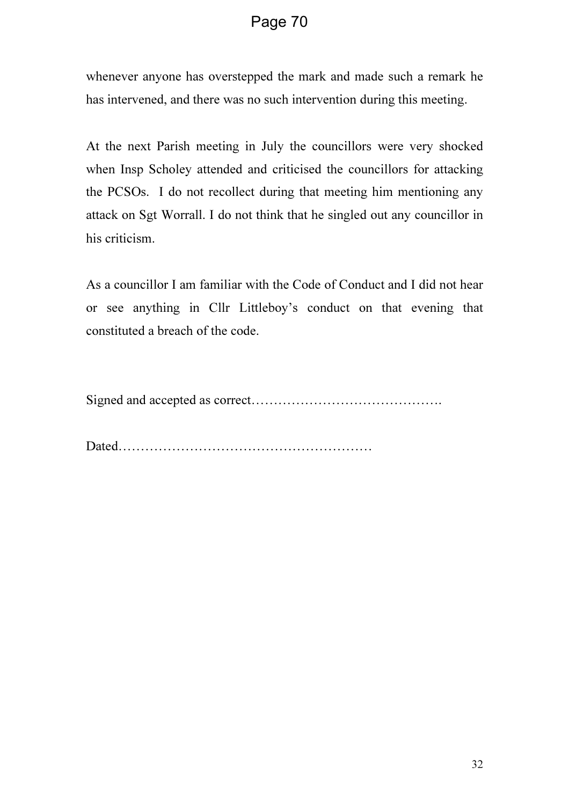whenever anyone has overstepped the mark and made such a remark he has intervened, and there was no such intervention during this meeting.

At the next Parish meeting in July the councillors were very shocked when Insp Scholey attended and criticised the councillors for attacking the PCSOs. I do not recollect during that meeting him mentioning any attack on Sgt Worrall. I do not think that he singled out any councillor in his criticism.

As a councillor I am familiar with the Code of Conduct and I did not hear or see anything in Cllr Littleboy's conduct on that evening that constituted a breach of the code.

Signed and accepted as correct…………………………………….

Dated…………………………………………………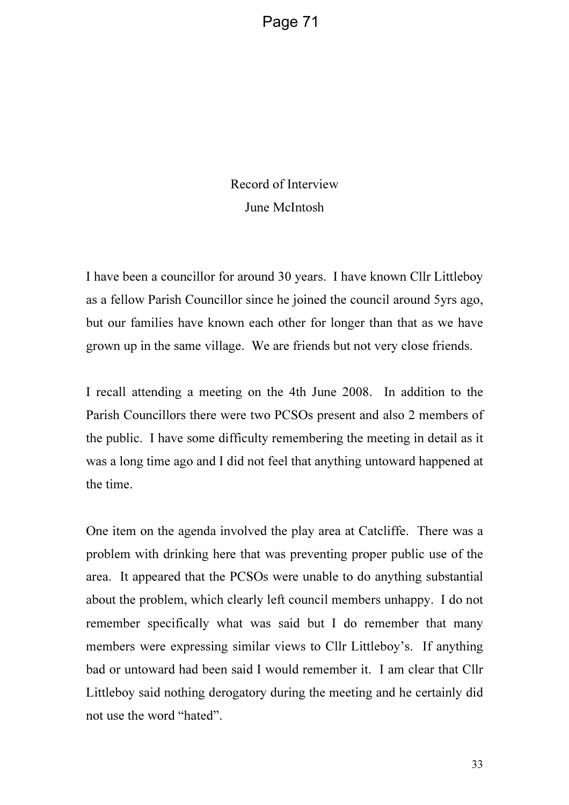## Record of Interview June McIntosh

I have been a councillor for around 30 years. I have known Cllr Littleboy as a fellow Parish Councillor since he joined the council around 5yrs ago, but our families have known each other for longer than that as we have grown up in the same village. We are friends but not very close friends.

I recall attending a meeting on the 4th June 2008. In addition to the Parish Councillors there were two PCSOs present and also 2 members of the public. I have some difficulty remembering the meeting in detail as it was a long time ago and I did not feel that anything untoward happened at the time.

One item on the agenda involved the play area at Catcliffe. There was a problem with drinking here that was preventing proper public use of the area. It appeared that the PCSOs were unable to do anything substantial about the problem, which clearly left council members unhappy. I do not remember specifically what was said but I do remember that many members were expressing similar views to Cllr Littleboy's. If anything bad or untoward had been said I would remember it. I am clear that Cllr Littleboy said nothing derogatory during the meeting and he certainly did not use the word "hated".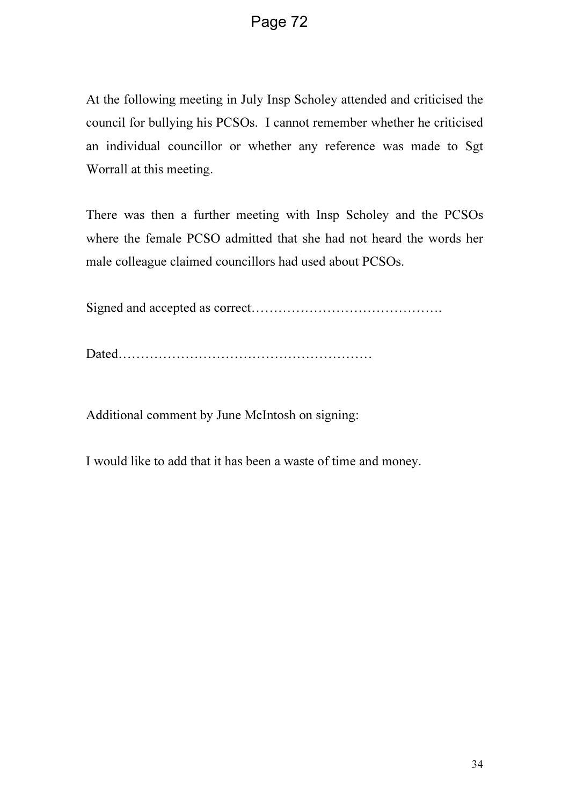At the following meeting in July Insp Scholey attended and criticised the council for bullying his PCSOs. I cannot remember whether he criticised an individual councillor or whether any reference was made to Sgt Worrall at this meeting.

There was then a further meeting with Insp Scholey and the PCSOs where the female PCSO admitted that she had not heard the words her male colleague claimed councillors had used about PCSOs.

Signed and accepted as correct…………………………………….

Dated…………………………………………………

Additional comment by June McIntosh on signing:

I would like to add that it has been a waste of time and money.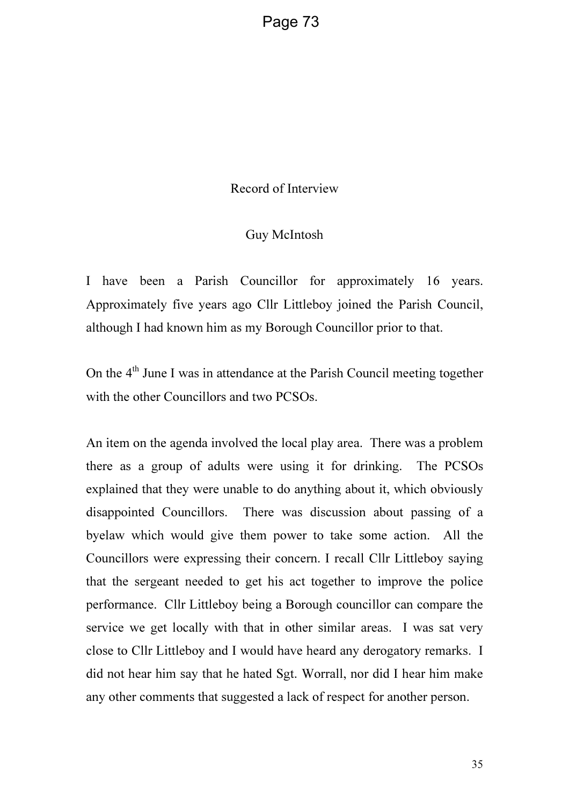Record of Interview

#### Guy McIntosh

I have been a Parish Councillor for approximately 16 years. Approximately five years ago Cllr Littleboy joined the Parish Council, although I had known him as my Borough Councillor prior to that.

On the 4<sup>th</sup> June I was in attendance at the Parish Council meeting together with the other Councillors and two PCSOs.

An item on the agenda involved the local play area. There was a problem there as a group of adults were using it for drinking. The PCSOs explained that they were unable to do anything about it, which obviously disappointed Councillors. There was discussion about passing of a byelaw which would give them power to take some action. All the Councillors were expressing their concern. I recall Cllr Littleboy saying that the sergeant needed to get his act together to improve the police performance. Cllr Littleboy being a Borough councillor can compare the service we get locally with that in other similar areas. I was sat very close to Cllr Littleboy and I would have heard any derogatory remarks. I did not hear him say that he hated Sgt. Worrall, nor did I hear him make any other comments that suggested a lack of respect for another person.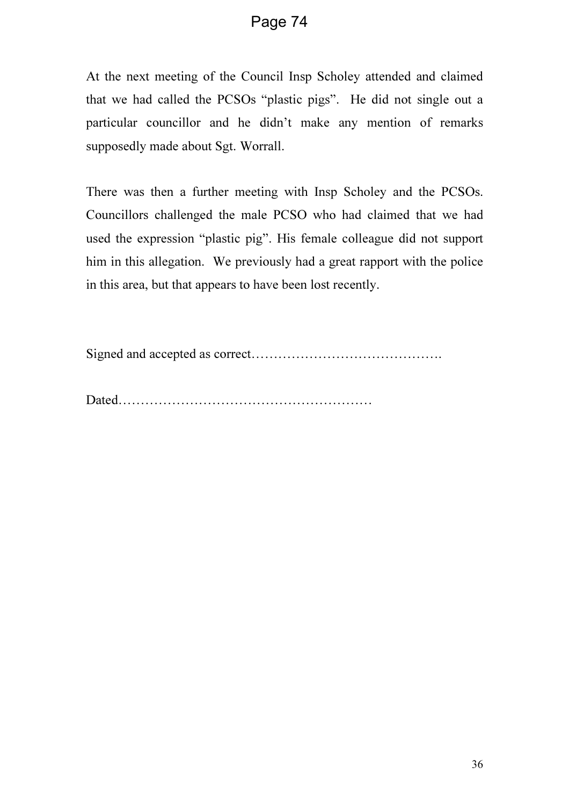At the next meeting of the Council Insp Scholey attended and claimed that we had called the PCSOs "plastic pigs". He did not single out a particular councillor and he didn't make any mention of remarks supposedly made about Sgt. Worrall.

There was then a further meeting with Insp Scholey and the PCSOs. Councillors challenged the male PCSO who had claimed that we had used the expression "plastic pig". His female colleague did not support him in this allegation. We previously had a great rapport with the police in this area, but that appears to have been lost recently.

Signed and accepted as correct…………………………………….

Dated…………………………………………………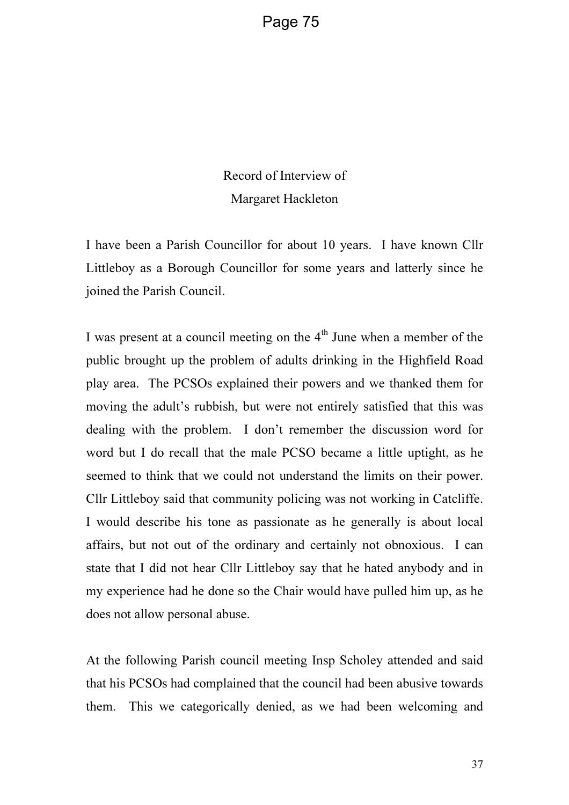Record of Interview of Margaret Hackleton

I have been a Parish Councillor for about 10 years. I have known Cllr Littleboy as a Borough Councillor for some years and latterly since he joined the Parish Council.

I was present at a council meeting on the  $4<sup>th</sup>$  June when a member of the public brought up the problem of adults drinking in the Highfield Road play area. The PCSOs explained their powers and we thanked them for moving the adult's rubbish, but were not entirely satisfied that this was dealing with the problem. I don't remember the discussion word for word but I do recall that the male PCSO became a little uptight, as he seemed to think that we could not understand the limits on their power. Cllr Littleboy said that community policing was not working in Catcliffe. I would describe his tone as passionate as he generally is about local affairs, but not out of the ordinary and certainly not obnoxious. I can state that I did not hear Cllr Littleboy say that he hated anybody and in my experience had he done so the Chair would have pulled him up, as he does not allow personal abuse.

At the following Parish council meeting Insp Scholey attended and said that his PCSOs had complained that the council had been abusive towards them. This we categorically denied, as we had been welcoming and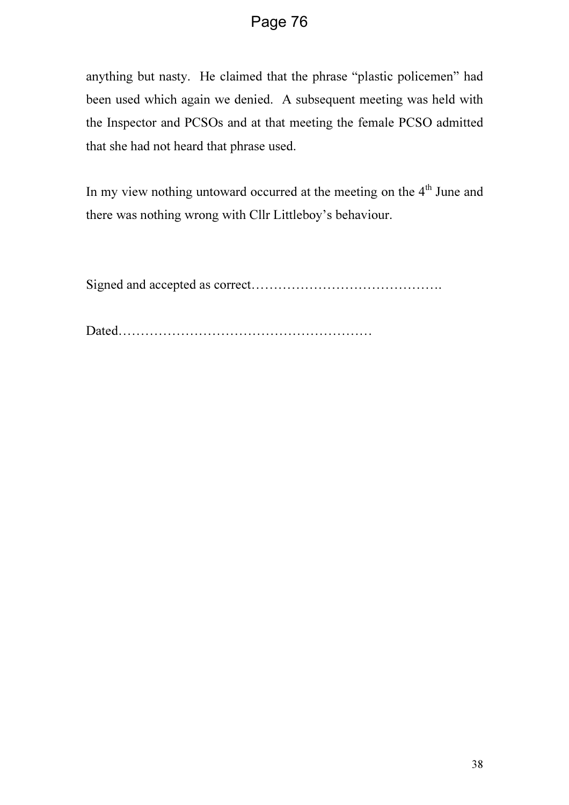anything but nasty. He claimed that the phrase "plastic policemen" had been used which again we denied. A subsequent meeting was held with the Inspector and PCSOs and at that meeting the female PCSO admitted that she had not heard that phrase used.

In my view nothing untoward occurred at the meeting on the 4<sup>th</sup> June and there was nothing wrong with Cllr Littleboy's behaviour.

Signed and accepted as correct…………………………………….

Dated…………………………………………………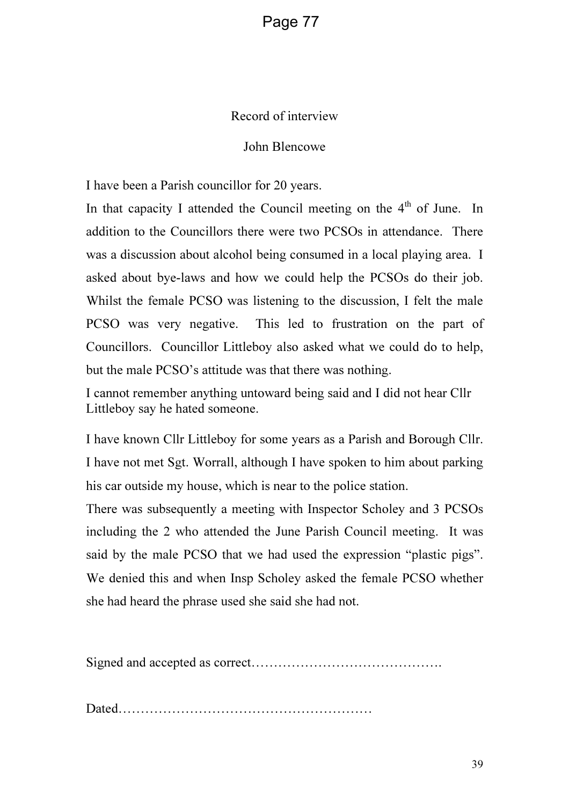### Record of interview

### John Blencowe

I have been a Parish councillor for 20 years.

In that capacity I attended the Council meeting on the  $4<sup>th</sup>$  of June. In addition to the Councillors there were two PCSOs in attendance. There was a discussion about alcohol being consumed in a local playing area. I asked about bye-laws and how we could help the PCSOs do their job. Whilst the female PCSO was listening to the discussion, I felt the male PCSO was very negative. This led to frustration on the part of Councillors. Councillor Littleboy also asked what we could do to help, but the male PCSO's attitude was that there was nothing.

I cannot remember anything untoward being said and I did not hear Cllr Littleboy say he hated someone.

I have known Cllr Littleboy for some years as a Parish and Borough Cllr. I have not met Sgt. Worrall, although I have spoken to him about parking his car outside my house, which is near to the police station.

There was subsequently a meeting with Inspector Scholey and 3 PCSOs including the 2 who attended the June Parish Council meeting. It was said by the male PCSO that we had used the expression "plastic pigs". We denied this and when Insp Scholey asked the female PCSO whether she had heard the phrase used she said she had not.

Signed and accepted as correct…………………………………….

Dated…………………………………………………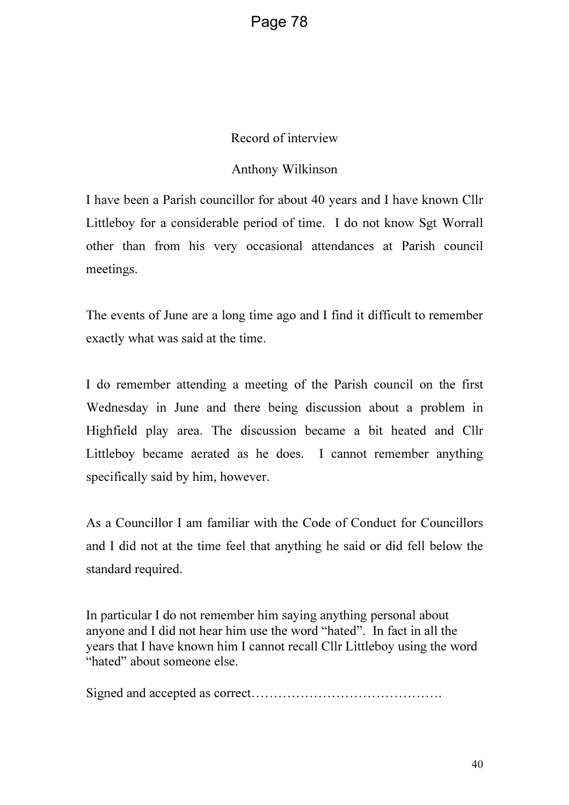#### Record of interview

#### Anthony Wilkinson

I have been a Parish councillor for about 40 years and I have known Cllr Littleboy for a considerable period of time. I do not know Sgt Worrall other than from his very occasional attendances at Parish council meetings.

The events of June are a long time ago and I find it difficult to remember exactly what was said at the time.

I do remember attending a meeting of the Parish council on the first Wednesday in June and there being discussion about a problem in Highfield play area. The discussion became a bit heated and Cllr Littleboy became aerated as he does. I cannot remember anything specifically said by him, however.

As a Councillor I am familiar with the Code of Conduct for Councillors and I did not at the time feel that anything he said or did fell below the standard required.

In particular I do not remember him saying anything personal about anyone and I did not hear him use the word "hated". In fact in all the years that I have known him I cannot recall Cllr Littleboy using the word "hated" about someone else.

Signed and accepted as correct…………………………………….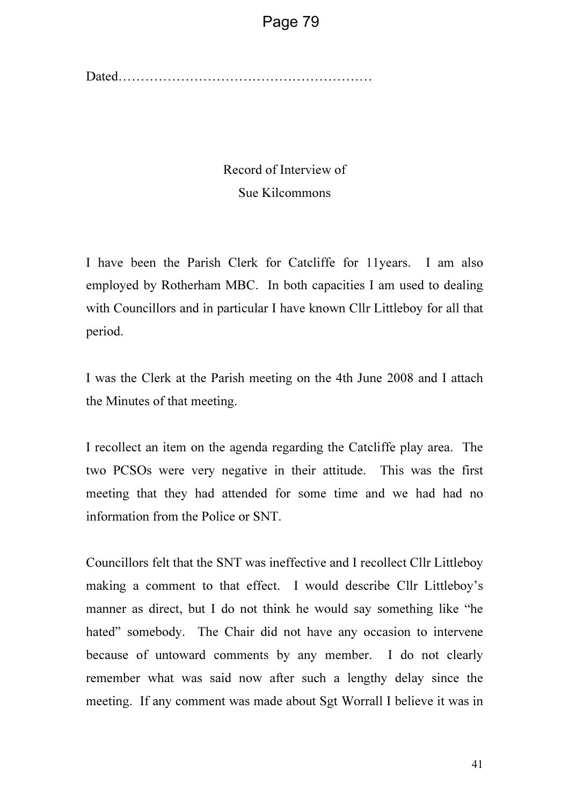Dated…………………………………………………

### Record of Interview of Sue Kilcommons

I have been the Parish Clerk for Catcliffe for 11years. I am also employed by Rotherham MBC. In both capacities I am used to dealing with Councillors and in particular I have known Cllr Littleboy for all that period.

I was the Clerk at the Parish meeting on the 4th June 2008 and I attach the Minutes of that meeting.

I recollect an item on the agenda regarding the Catcliffe play area. The two PCSOs were very negative in their attitude. This was the first meeting that they had attended for some time and we had had no information from the Police or SNT.

Councillors felt that the SNT was ineffective and I recollect Cllr Littleboy making a comment to that effect. I would describe Cllr Littleboy's manner as direct, but I do not think he would say something like "he hated" somebody. The Chair did not have any occasion to intervene because of untoward comments by any member. I do not clearly remember what was said now after such a lengthy delay since the meeting. If any comment was made about Sgt Worrall I believe it was in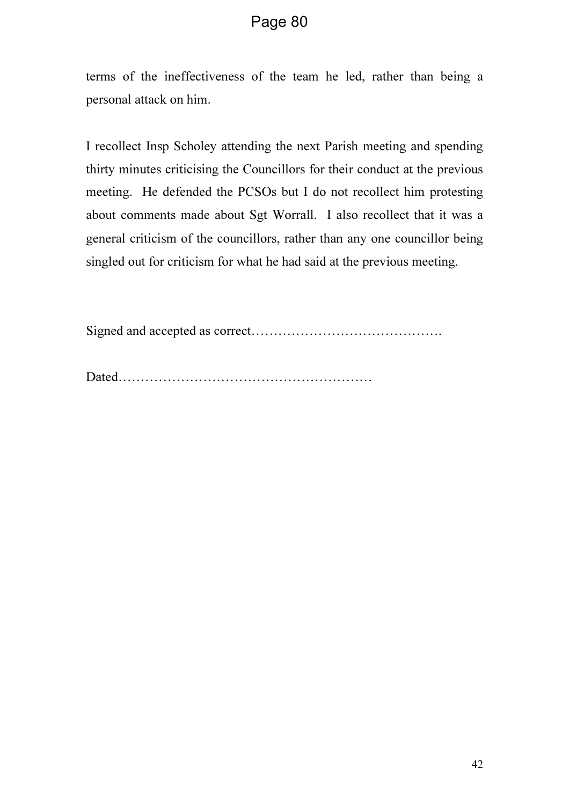terms of the ineffectiveness of the team he led, rather than being a personal attack on him.

I recollect Insp Scholey attending the next Parish meeting and spending thirty minutes criticising the Councillors for their conduct at the previous meeting. He defended the PCSOs but I do not recollect him protesting about comments made about Sgt Worrall. I also recollect that it was a general criticism of the councillors, rather than any one councillor being singled out for criticism for what he had said at the previous meeting.

Signed and accepted as correct…………………………………….

Dated…………………………………………………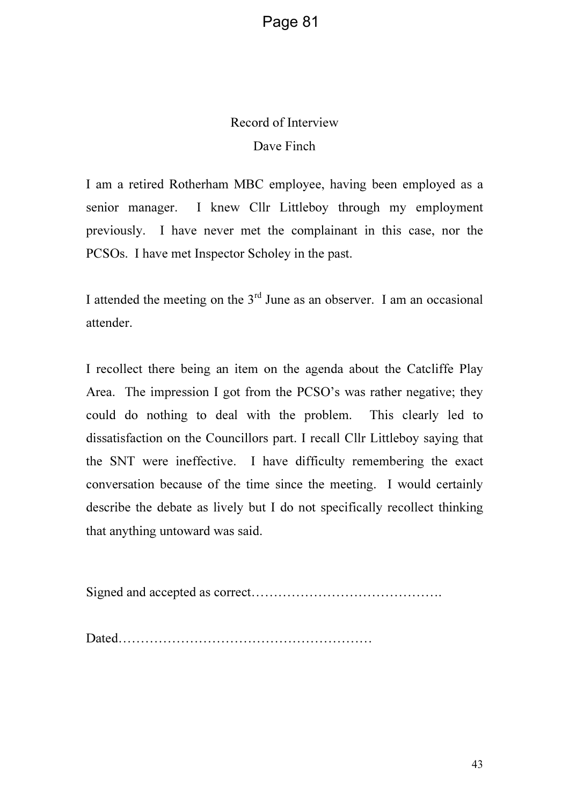### Record of Interview Dave Finch

I am a retired Rotherham MBC employee, having been employed as a senior manager. I knew Cllr Littleboy through my employment previously. I have never met the complainant in this case, nor the PCSOs. I have met Inspector Scholey in the past.

I attended the meeting on the  $3<sup>rd</sup>$  June as an observer. I am an occasional attender.

I recollect there being an item on the agenda about the Catcliffe Play Area. The impression I got from the PCSO's was rather negative; they could do nothing to deal with the problem. This clearly led to dissatisfaction on the Councillors part. I recall Cllr Littleboy saying that the SNT were ineffective. I have difficulty remembering the exact conversation because of the time since the meeting. I would certainly describe the debate as lively but I do not specifically recollect thinking that anything untoward was said.

Signed and accepted as correct…………………………………….

Dated…………………………………………………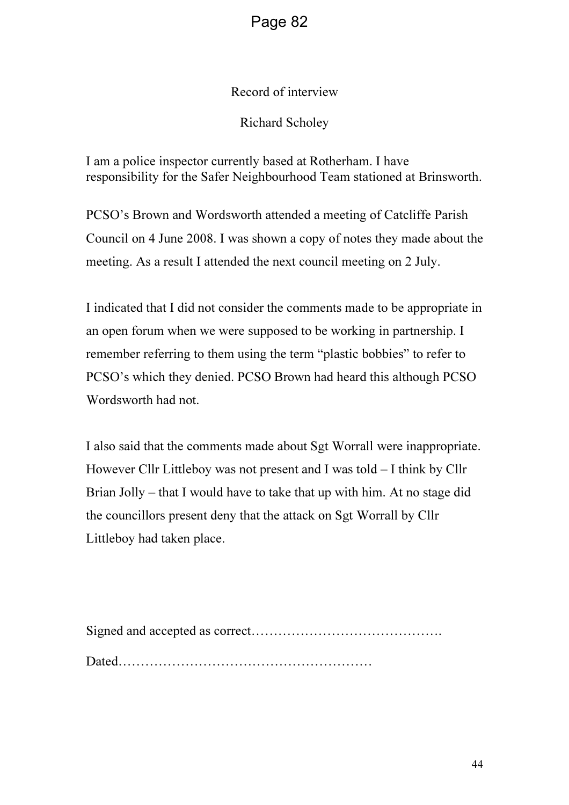### Record of interview

### Richard Scholey

I am a police inspector currently based at Rotherham. I have responsibility for the Safer Neighbourhood Team stationed at Brinsworth.

PCSO's Brown and Wordsworth attended a meeting of Catcliffe Parish Council on 4 June 2008. I was shown a copy of notes they made about the meeting. As a result I attended the next council meeting on 2 July.

I indicated that I did not consider the comments made to be appropriate in an open forum when we were supposed to be working in partnership. I remember referring to them using the term "plastic bobbies" to refer to PCSO's which they denied. PCSO Brown had heard this although PCSO Wordsworth had not.

I also said that the comments made about Sgt Worrall were inappropriate. However Cllr Littleboy was not present and I was told – I think by Cllr Brian Jolly – that I would have to take that up with him. At no stage did the councillors present deny that the attack on Sgt Worrall by Cllr Littleboy had taken place.

Signed and accepted as correct……………………………………. Dated…………………………………………………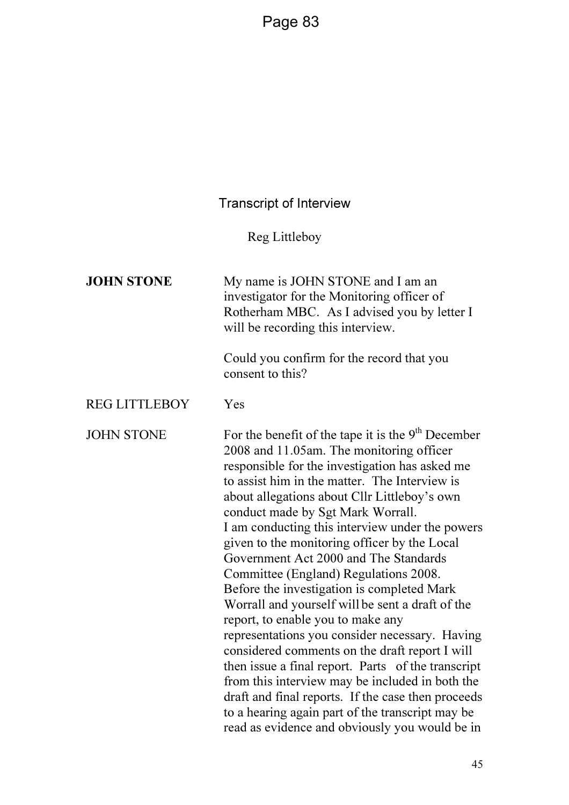### Transcript of Interview

Reg Littleboy

| <b>JOHN STONE</b>    | My name is JOHN STONE and I am an<br>investigator for the Monitoring officer of<br>Rotherham MBC. As I advised you by letter I<br>will be recording this interview.<br>Could you confirm for the record that you<br>consent to this?                                                                                                                                                                                                                                                                                                                                                                                                                                                                                                                                                                                                                                                                                                                                                                    |
|----------------------|---------------------------------------------------------------------------------------------------------------------------------------------------------------------------------------------------------------------------------------------------------------------------------------------------------------------------------------------------------------------------------------------------------------------------------------------------------------------------------------------------------------------------------------------------------------------------------------------------------------------------------------------------------------------------------------------------------------------------------------------------------------------------------------------------------------------------------------------------------------------------------------------------------------------------------------------------------------------------------------------------------|
| <b>REG LITTLEBOY</b> | Yes                                                                                                                                                                                                                                                                                                                                                                                                                                                                                                                                                                                                                                                                                                                                                                                                                                                                                                                                                                                                     |
| <b>JOHN STONE</b>    | For the benefit of the tape it is the 9 <sup>th</sup> December<br>2008 and 11.05am. The monitoring officer<br>responsible for the investigation has asked me<br>to assist him in the matter. The Interview is<br>about allegations about Cllr Littleboy's own<br>conduct made by Sgt Mark Worrall.<br>I am conducting this interview under the powers<br>given to the monitoring officer by the Local<br>Government Act 2000 and The Standards<br>Committee (England) Regulations 2008.<br>Before the investigation is completed Mark<br>Worrall and yourself will be sent a draft of the<br>report, to enable you to make any<br>representations you consider necessary. Having<br>considered comments on the draft report I will<br>then issue a final report. Parts of the transcript<br>from this interview may be included in both the<br>draft and final reports. If the case then proceeds<br>to a hearing again part of the transcript may be<br>read as evidence and obviously you would be in |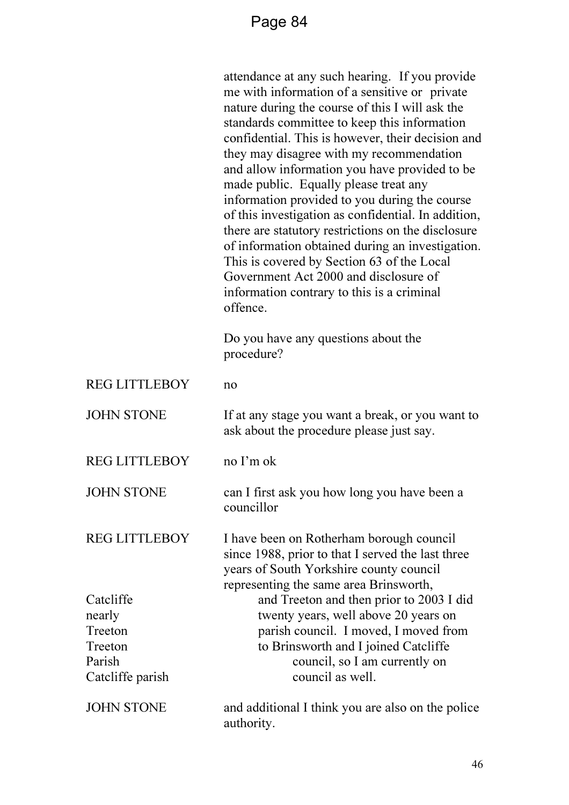|                                                                         | attendance at any such hearing. If you provide<br>me with information of a sensitive or private<br>nature during the course of this I will ask the<br>standards committee to keep this information<br>confidential. This is however, their decision and<br>they may disagree with my recommendation<br>and allow information you have provided to be<br>made public. Equally please treat any<br>information provided to you during the course<br>of this investigation as confidential. In addition,<br>there are statutory restrictions on the disclosure<br>of information obtained during an investigation.<br>This is covered by Section 63 of the Local<br>Government Act 2000 and disclosure of<br>information contrary to this is a criminal<br>offence. |
|-------------------------------------------------------------------------|------------------------------------------------------------------------------------------------------------------------------------------------------------------------------------------------------------------------------------------------------------------------------------------------------------------------------------------------------------------------------------------------------------------------------------------------------------------------------------------------------------------------------------------------------------------------------------------------------------------------------------------------------------------------------------------------------------------------------------------------------------------|
|                                                                         | Do you have any questions about the<br>procedure?                                                                                                                                                                                                                                                                                                                                                                                                                                                                                                                                                                                                                                                                                                                |
| <b>REG LITTLEBOY</b>                                                    | no                                                                                                                                                                                                                                                                                                                                                                                                                                                                                                                                                                                                                                                                                                                                                               |
| <b>JOHN STONE</b>                                                       | If at any stage you want a break, or you want to<br>ask about the procedure please just say.                                                                                                                                                                                                                                                                                                                                                                                                                                                                                                                                                                                                                                                                     |
| <b>REG LITTLEBOY</b>                                                    | no I'm ok                                                                                                                                                                                                                                                                                                                                                                                                                                                                                                                                                                                                                                                                                                                                                        |
| <b>JOHN STONE</b>                                                       | can I first ask you how long you have been a<br>councillor                                                                                                                                                                                                                                                                                                                                                                                                                                                                                                                                                                                                                                                                                                       |
| <b>REG LITTLEBOY</b>                                                    | I have been on Rotherham borough council<br>since 1988, prior to that I served the last three<br>years of South Yorkshire county council<br>representing the same area Brinsworth,                                                                                                                                                                                                                                                                                                                                                                                                                                                                                                                                                                               |
| Catcliffe<br>nearly<br>Treeton<br>Treeton<br>Parish<br>Catcliffe parish | and Treeton and then prior to 2003 I did<br>twenty years, well above 20 years on<br>parish council. I moved, I moved from<br>to Brinsworth and I joined Catcliffe<br>council, so I am currently on<br>council as well.                                                                                                                                                                                                                                                                                                                                                                                                                                                                                                                                           |
| <b>JOHN STONE</b>                                                       | and additional I think you are also on the police<br>authority.                                                                                                                                                                                                                                                                                                                                                                                                                                                                                                                                                                                                                                                                                                  |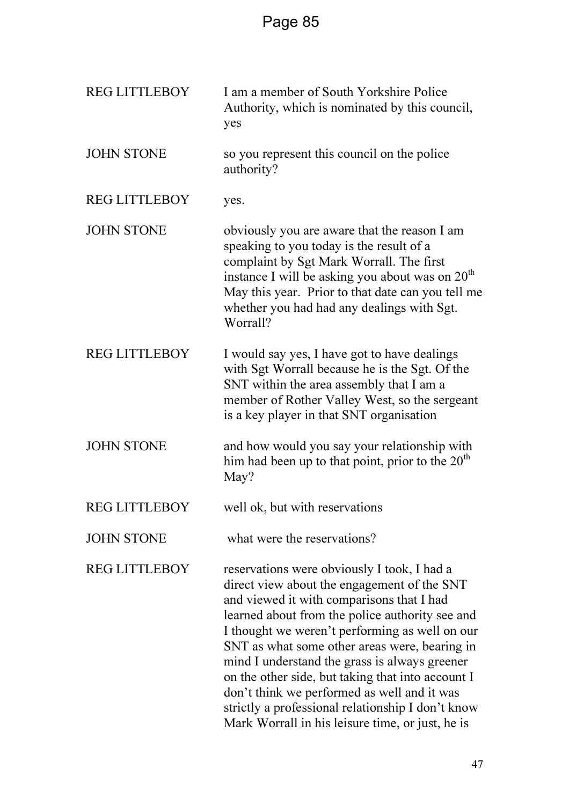| <b>REG LITTLEBOY</b> | I am a member of South Yorkshire Police<br>Authority, which is nominated by this council,<br>yes                                                                                                                                                                                                                                                                                                                                                                                                                                                            |
|----------------------|-------------------------------------------------------------------------------------------------------------------------------------------------------------------------------------------------------------------------------------------------------------------------------------------------------------------------------------------------------------------------------------------------------------------------------------------------------------------------------------------------------------------------------------------------------------|
| <b>JOHN STONE</b>    | so you represent this council on the police<br>authority?                                                                                                                                                                                                                                                                                                                                                                                                                                                                                                   |
| <b>REG LITTLEBOY</b> | yes.                                                                                                                                                                                                                                                                                                                                                                                                                                                                                                                                                        |
| <b>JOHN STONE</b>    | obviously you are aware that the reason I am<br>speaking to you today is the result of a<br>complaint by Sgt Mark Worrall. The first<br>instance I will be asking you about was on 20 <sup>th</sup><br>May this year. Prior to that date can you tell me<br>whether you had had any dealings with Sgt.<br>Worrall?                                                                                                                                                                                                                                          |
| <b>REG LITTLEBOY</b> | I would say yes, I have got to have dealings<br>with Sgt Worrall because he is the Sgt. Of the<br>SNT within the area assembly that I am a<br>member of Rother Valley West, so the sergeant<br>is a key player in that SNT organisation                                                                                                                                                                                                                                                                                                                     |
| <b>JOHN STONE</b>    | and how would you say your relationship with<br>him had been up to that point, prior to the $20th$<br>May?                                                                                                                                                                                                                                                                                                                                                                                                                                                  |
| <b>REG LITTLEBOY</b> | well ok, but with reservations                                                                                                                                                                                                                                                                                                                                                                                                                                                                                                                              |
| <b>JOHN STONE</b>    | what were the reservations?                                                                                                                                                                                                                                                                                                                                                                                                                                                                                                                                 |
| <b>REG LITTLEBOY</b> | reservations were obviously I took, I had a<br>direct view about the engagement of the SNT<br>and viewed it with comparisons that I had<br>learned about from the police authority see and<br>I thought we weren't performing as well on our<br>SNT as what some other areas were, bearing in<br>mind I understand the grass is always greener<br>on the other side, but taking that into account I<br>don't think we performed as well and it was<br>strictly a professional relationship I don't know<br>Mark Worrall in his leisure time, or just, he is |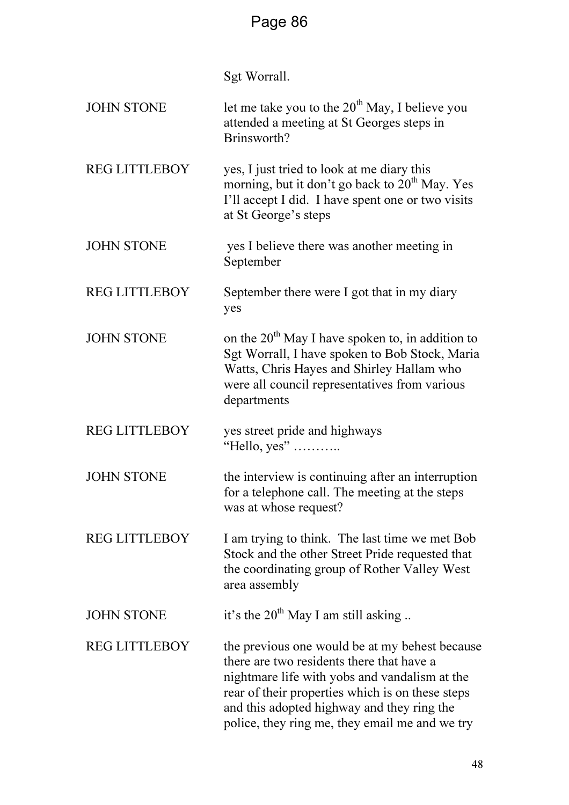Sgt Worrall.

| <b>JOHN STONE</b>    | let me take you to the $20^{th}$ May, I believe you<br>attended a meeting at St Georges steps in<br>Brinsworth?                                                                                                                                                                                  |
|----------------------|--------------------------------------------------------------------------------------------------------------------------------------------------------------------------------------------------------------------------------------------------------------------------------------------------|
| <b>REG LITTLEBOY</b> | yes, I just tried to look at me diary this<br>morning, but it don't go back to $20th$ May. Yes<br>I'll accept I did. I have spent one or two visits<br>at St George's steps                                                                                                                      |
| <b>JOHN STONE</b>    | yes I believe there was another meeting in<br>September                                                                                                                                                                                                                                          |
| <b>REG LITTLEBOY</b> | September there were I got that in my diary<br>yes                                                                                                                                                                                                                                               |
| <b>JOHN STONE</b>    | on the 20 <sup>th</sup> May I have spoken to, in addition to<br>Sgt Worrall, I have spoken to Bob Stock, Maria<br>Watts, Chris Hayes and Shirley Hallam who<br>were all council representatives from various<br>departments                                                                      |
| <b>REG LITTLEBOY</b> | yes street pride and highways<br>"Hello, yes"                                                                                                                                                                                                                                                    |
| <b>JOHN STONE</b>    | the interview is continuing after an interruption<br>for a telephone call. The meeting at the steps<br>was at whose request?                                                                                                                                                                     |
| <b>REG LITTLEBOY</b> | I am trying to think. The last time we met Bob<br>Stock and the other Street Pride requested that<br>the coordinating group of Rother Valley West<br>area assembly                                                                                                                               |
| <b>JOHN STONE</b>    | it's the $20^{th}$ May I am still asking                                                                                                                                                                                                                                                         |
| <b>REG LITTLEBOY</b> | the previous one would be at my behest because<br>there are two residents there that have a<br>nightmare life with yobs and vandalism at the<br>rear of their properties which is on these steps<br>and this adopted highway and they ring the<br>police, they ring me, they email me and we try |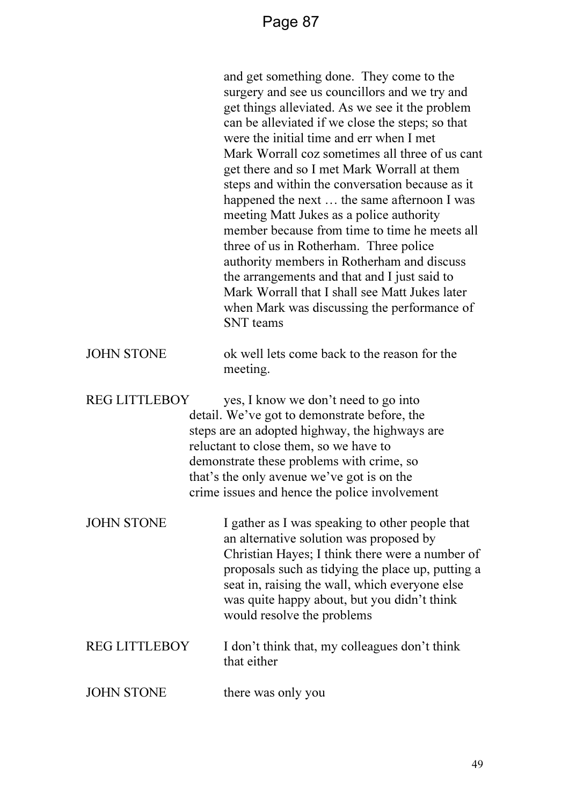and get something done. They come to the surgery and see us councillors and we try and get things alleviated. As we see it the problem can be alleviated if we close the steps; so that were the initial time and err when I met Mark Worrall coz sometimes all three of us cant get there and so I met Mark Worrall at them steps and within the conversation because as it happened the next … the same afternoon I was meeting Matt Jukes as a police authority member because from time to time he meets all three of us in Rotherham. Three police authority members in Rotherham and discuss the arrangements and that and I just said to Mark Worrall that I shall see Matt Jukes later when Mark was discussing the performance of SNT teams

#### JOHN STONE ok well lets come back to the reason for the meeting.

REG LITTLEBOY yes, I know we don't need to go into detail. We've got to demonstrate before, the steps are an adopted highway, the highways are reluctant to close them, so we have to demonstrate these problems with crime, so that's the only avenue we've got is on the crime issues and hence the police involvement

JOHN STONE I gather as I was speaking to other people that an alternative solution was proposed by Christian Hayes; I think there were a number of proposals such as tidying the place up, putting a seat in, raising the wall, which everyone else was quite happy about, but you didn't think would resolve the problems

### REG LITTLEBOY I don't think that, my colleagues don't think that either

JOHN STONE there was only you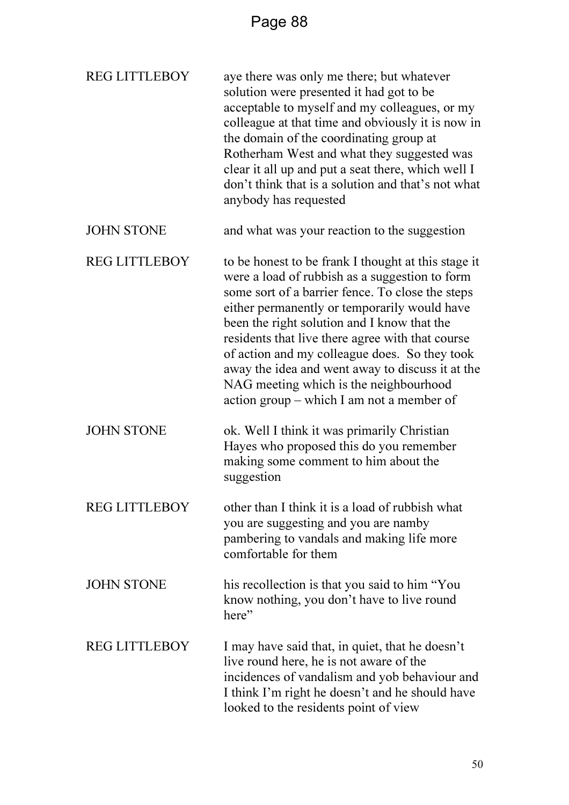| <b>REG LITTLEBOY</b> | aye there was only me there; but whatever<br>solution were presented it had got to be<br>acceptable to myself and my colleagues, or my<br>colleague at that time and obviously it is now in<br>the domain of the coordinating group at<br>Rotherham West and what they suggested was<br>clear it all up and put a seat there, which well I<br>don't think that is a solution and that's not what<br>anybody has requested                                                                                |
|----------------------|----------------------------------------------------------------------------------------------------------------------------------------------------------------------------------------------------------------------------------------------------------------------------------------------------------------------------------------------------------------------------------------------------------------------------------------------------------------------------------------------------------|
| <b>JOHN STONE</b>    | and what was your reaction to the suggestion                                                                                                                                                                                                                                                                                                                                                                                                                                                             |
| <b>REG LITTLEBOY</b> | to be honest to be frank I thought at this stage it<br>were a load of rubbish as a suggestion to form<br>some sort of a barrier fence. To close the steps<br>either permanently or temporarily would have<br>been the right solution and I know that the<br>residents that live there agree with that course<br>of action and my colleague does. So they took<br>away the idea and went away to discuss it at the<br>NAG meeting which is the neighbourhood<br>action group – which I am not a member of |
| <b>JOHN STONE</b>    | ok. Well I think it was primarily Christian<br>Hayes who proposed this do you remember<br>making some comment to him about the<br>suggestion                                                                                                                                                                                                                                                                                                                                                             |
| <b>REG LITTLEBOY</b> | other than I think it is a load of rubbish what<br>you are suggesting and you are namby<br>pambering to vandals and making life more<br>comfortable for them                                                                                                                                                                                                                                                                                                                                             |
| <b>JOHN STONE</b>    | his recollection is that you said to him "You<br>know nothing, you don't have to live round<br>here"                                                                                                                                                                                                                                                                                                                                                                                                     |
| <b>REG LITTLEBOY</b> | I may have said that, in quiet, that he doesn't<br>live round here, he is not aware of the<br>incidences of vandalism and yob behaviour and<br>I think I'm right he doesn't and he should have<br>looked to the residents point of view                                                                                                                                                                                                                                                                  |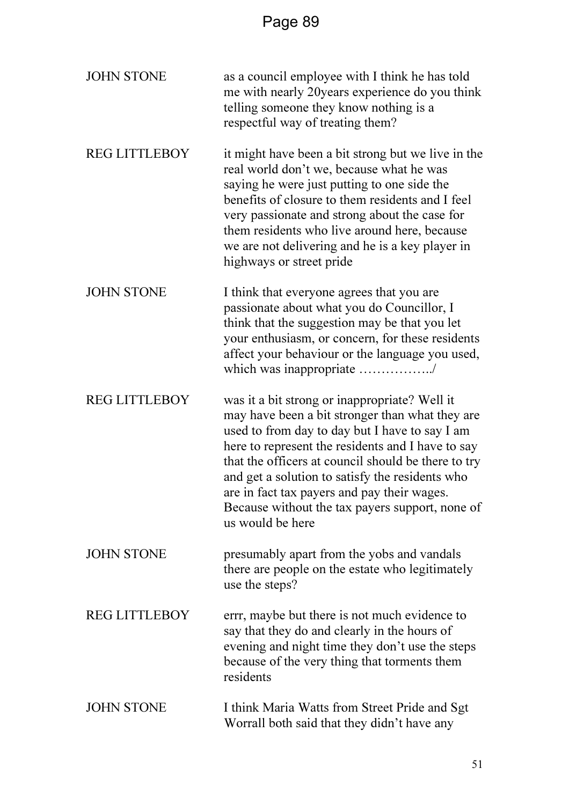| <b>JOHN STONE</b>    | as a council employee with I think he has told<br>me with nearly 20 years experience do you think<br>telling someone they know nothing is a<br>respectful way of treating them?                                                                                                                                                                                                                                                         |
|----------------------|-----------------------------------------------------------------------------------------------------------------------------------------------------------------------------------------------------------------------------------------------------------------------------------------------------------------------------------------------------------------------------------------------------------------------------------------|
| <b>REG LITTLEBOY</b> | it might have been a bit strong but we live in the<br>real world don't we, because what he was<br>saying he were just putting to one side the<br>benefits of closure to them residents and I feel<br>very passionate and strong about the case for<br>them residents who live around here, because<br>we are not delivering and he is a key player in<br>highways or street pride                                                       |
| <b>JOHN STONE</b>    | I think that everyone agrees that you are<br>passionate about what you do Councillor, I<br>think that the suggestion may be that you let<br>your enthusiasm, or concern, for these residents<br>affect your behaviour or the language you used,<br>which was inappropriate /                                                                                                                                                            |
| <b>REG LITTLEBOY</b> | was it a bit strong or inappropriate? Well it<br>may have been a bit stronger than what they are<br>used to from day to day but I have to say I am<br>here to represent the residents and I have to say<br>that the officers at council should be there to try<br>and get a solution to satisfy the residents who<br>are in fact tax payers and pay their wages.<br>Because without the tax payers support, none of<br>us would be here |
| <b>JOHN STONE</b>    | presumably apart from the yobs and vandals<br>there are people on the estate who legitimately<br>use the steps?                                                                                                                                                                                                                                                                                                                         |
| <b>REG LITTLEBOY</b> | errr, maybe but there is not much evidence to<br>say that they do and clearly in the hours of<br>evening and night time they don't use the steps<br>because of the very thing that torments them<br>residents                                                                                                                                                                                                                           |
| <b>JOHN STONE</b>    | I think Maria Watts from Street Pride and Sgt<br>Worrall both said that they didn't have any                                                                                                                                                                                                                                                                                                                                            |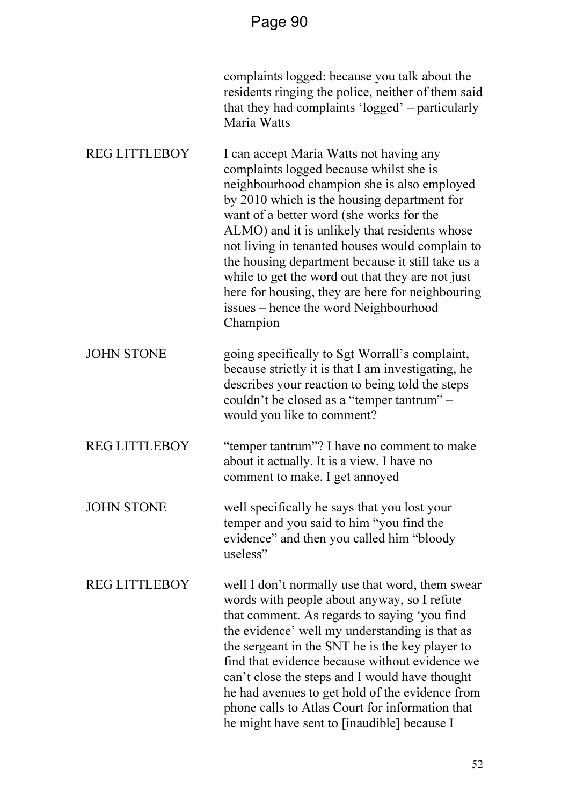|                      | complaints logged: because you talk about the<br>residents ringing the police, neither of them said<br>that they had complaints 'logged' – particularly<br>Maria Watts                                                                                                                                                                                                                                                                                                                                                                             |
|----------------------|----------------------------------------------------------------------------------------------------------------------------------------------------------------------------------------------------------------------------------------------------------------------------------------------------------------------------------------------------------------------------------------------------------------------------------------------------------------------------------------------------------------------------------------------------|
| <b>REG LITTLEBOY</b> | I can accept Maria Watts not having any<br>complaints logged because whilst she is<br>neighbourhood champion she is also employed<br>by 2010 which is the housing department for<br>want of a better word (she works for the<br>ALMO) and it is unlikely that residents whose<br>not living in tenanted houses would complain to<br>the housing department because it still take us a<br>while to get the word out that they are not just<br>here for housing, they are here for neighbouring<br>issues – hence the word Neighbourhood<br>Champion |
| <b>JOHN STONE</b>    | going specifically to Sgt Worrall's complaint,<br>because strictly it is that I am investigating, he<br>describes your reaction to being told the steps<br>couldn't be closed as a "temper tantrum" -<br>would you like to comment?                                                                                                                                                                                                                                                                                                                |
| <b>REG LITTLEBOY</b> | "temper tantrum"? I have no comment to make<br>about it actually. It is a view. I have no<br>comment to make. I get annoyed                                                                                                                                                                                                                                                                                                                                                                                                                        |
| <b>JOHN STONE</b>    | well specifically he says that you lost your<br>temper and you said to him "you find the<br>evidence" and then you called him "bloody<br>useless"                                                                                                                                                                                                                                                                                                                                                                                                  |
| <b>REG LITTLEBOY</b> | well I don't normally use that word, them swear<br>words with people about anyway, so I refute<br>that comment. As regards to saying 'you find<br>the evidence' well my understanding is that as<br>the sergeant in the SNT he is the key player to<br>find that evidence because without evidence we<br>can't close the steps and I would have thought<br>he had avenues to get hold of the evidence from<br>phone calls to Atlas Court for information that<br>he might have sent to [inaudible] because I                                       |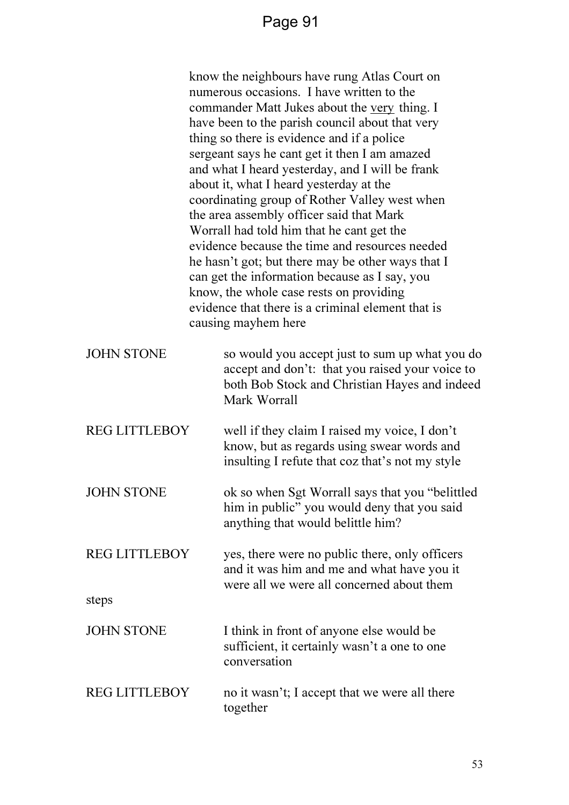|                      | know the neighbours have rung Atlas Court on<br>numerous occasions. I have written to the<br>commander Matt Jukes about the very thing. I<br>have been to the parish council about that very<br>thing so there is evidence and if a police<br>sergeant says he cant get it then I am amazed<br>and what I heard yesterday, and I will be frank<br>about it, what I heard yesterday at the<br>coordinating group of Rother Valley west when<br>the area assembly officer said that Mark<br>Worrall had told him that he cant get the<br>evidence because the time and resources needed<br>he hasn't got; but there may be other ways that I<br>can get the information because as I say, you<br>know, the whole case rests on providing<br>evidence that there is a criminal element that is<br>causing mayhem here |
|----------------------|--------------------------------------------------------------------------------------------------------------------------------------------------------------------------------------------------------------------------------------------------------------------------------------------------------------------------------------------------------------------------------------------------------------------------------------------------------------------------------------------------------------------------------------------------------------------------------------------------------------------------------------------------------------------------------------------------------------------------------------------------------------------------------------------------------------------|
| <b>JOHN STONE</b>    | so would you accept just to sum up what you do<br>accept and don't: that you raised your voice to<br>both Bob Stock and Christian Hayes and indeed<br>Mark Worrall                                                                                                                                                                                                                                                                                                                                                                                                                                                                                                                                                                                                                                                 |
| <b>REG LITTLEBOY</b> | well if they claim I raised my voice, I don't<br>know, but as regards using swear words and<br>insulting I refute that coz that's not my style                                                                                                                                                                                                                                                                                                                                                                                                                                                                                                                                                                                                                                                                     |
| <b>JOHN STONE</b>    | ok so when Sgt Worrall says that you "belittled<br>him in public" you would deny that you said<br>anything that would belittle him?                                                                                                                                                                                                                                                                                                                                                                                                                                                                                                                                                                                                                                                                                |
| <b>REG LITTLEBOY</b> | yes, there were no public there, only officers<br>and it was him and me and what have you it<br>were all we were all concerned about them                                                                                                                                                                                                                                                                                                                                                                                                                                                                                                                                                                                                                                                                          |
| steps                |                                                                                                                                                                                                                                                                                                                                                                                                                                                                                                                                                                                                                                                                                                                                                                                                                    |
| <b>JOHN STONE</b>    | I think in front of anyone else would be<br>sufficient, it certainly wasn't a one to one<br>conversation                                                                                                                                                                                                                                                                                                                                                                                                                                                                                                                                                                                                                                                                                                           |
| <b>REG LITTLEBOY</b> | no it wasn't; I accept that we were all there<br>together                                                                                                                                                                                                                                                                                                                                                                                                                                                                                                                                                                                                                                                                                                                                                          |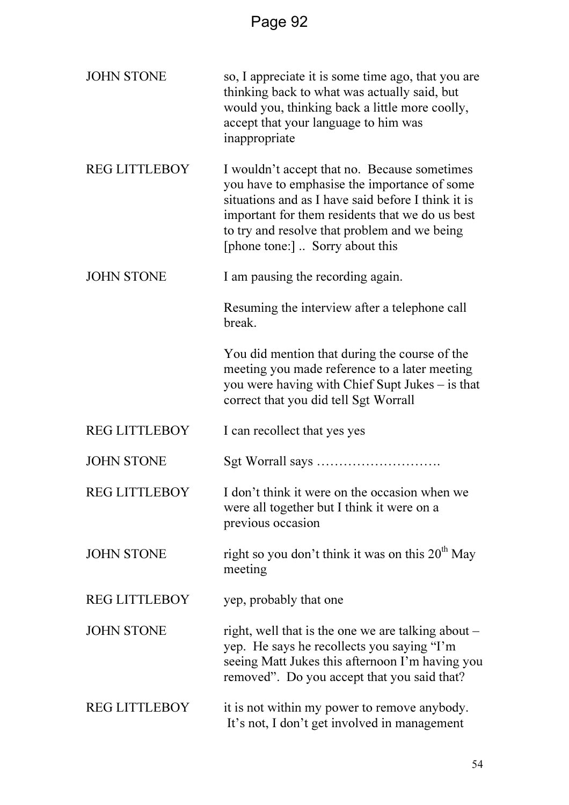| <b>JOHN STONE</b>    | so, I appreciate it is some time ago, that you are<br>thinking back to what was actually said, but<br>would you, thinking back a little more coolly,<br>accept that your language to him was<br>inappropriate                                                                            |
|----------------------|------------------------------------------------------------------------------------------------------------------------------------------------------------------------------------------------------------------------------------------------------------------------------------------|
| <b>REG LITTLEBOY</b> | I wouldn't accept that no. Because sometimes<br>you have to emphasise the importance of some<br>situations and as I have said before I think it is<br>important for them residents that we do us best<br>to try and resolve that problem and we being<br>[phone tone:]  Sorry about this |
| <b>JOHN STONE</b>    | I am pausing the recording again.                                                                                                                                                                                                                                                        |
|                      | Resuming the interview after a telephone call<br>break.                                                                                                                                                                                                                                  |
|                      | You did mention that during the course of the<br>meeting you made reference to a later meeting<br>you were having with Chief Supt Jukes – is that<br>correct that you did tell Sgt Worrall                                                                                               |
| <b>REG LITTLEBOY</b> | I can recollect that yes yes                                                                                                                                                                                                                                                             |
| <b>JOHN STONE</b>    |                                                                                                                                                                                                                                                                                          |
| <b>REG LITTLEBOY</b> | I don't think it were on the occasion when we<br>were all together but I think it were on a<br>previous occasion                                                                                                                                                                         |
| <b>JOHN STONE</b>    | right so you don't think it was on this $20th$ May<br>meeting                                                                                                                                                                                                                            |
| <b>REG LITTLEBOY</b> | yep, probably that one                                                                                                                                                                                                                                                                   |
| <b>JOHN STONE</b>    | right, well that is the one we are talking about –<br>yep. He says he recollects you saying "I'm<br>seeing Matt Jukes this afternoon I'm having you<br>removed". Do you accept that you said that?                                                                                       |
| <b>REG LITTLEBOY</b> | it is not within my power to remove anybody.<br>It's not, I don't get involved in management                                                                                                                                                                                             |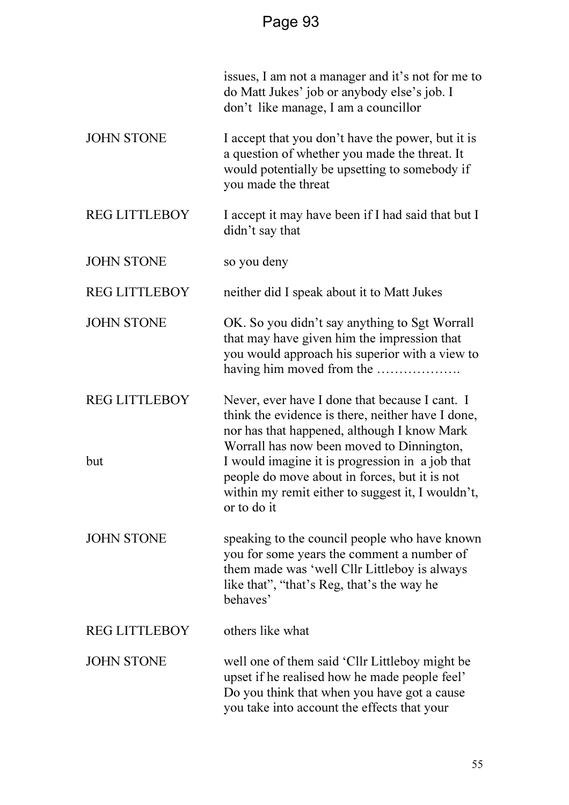|                      | issues, I am not a manager and it's not for me to<br>do Matt Jukes' job or anybody else's job. I<br>don't like manage, I am a councillor                                                              |
|----------------------|-------------------------------------------------------------------------------------------------------------------------------------------------------------------------------------------------------|
| <b>JOHN STONE</b>    | I accept that you don't have the power, but it is<br>a question of whether you made the threat. It<br>would potentially be upsetting to somebody if<br>you made the threat                            |
| <b>REG LITTLEBOY</b> | I accept it may have been if I had said that but I<br>didn't say that                                                                                                                                 |
| <b>JOHN STONE</b>    | so you deny                                                                                                                                                                                           |
| <b>REG LITTLEBOY</b> | neither did I speak about it to Matt Jukes                                                                                                                                                            |
| <b>JOHN STONE</b>    | OK. So you didn't say anything to Sgt Worrall<br>that may have given him the impression that<br>you would approach his superior with a view to<br>having him moved from the                           |
| <b>REG LITTLEBOY</b> | Never, ever have I done that because I cant. I<br>think the evidence is there, neither have I done,<br>nor has that happened, although I know Mark<br>Worrall has now been moved to Dinnington,       |
| but                  | I would imagine it is progression in a job that<br>people do move about in forces, but it is not<br>within my remit either to suggest it, I wouldn't,<br>or to do it                                  |
| <b>JOHN STONE</b>    | speaking to the council people who have known<br>you for some years the comment a number of<br>them made was 'well Cllr Littleboy is always<br>like that", "that's Reg, that's the way he<br>behaves' |
| <b>REG LITTLEBOY</b> | others like what                                                                                                                                                                                      |
| <b>JOHN STONE</b>    | well one of them said 'Cllr Littleboy might be<br>upset if he realised how he made people feel'<br>Do you think that when you have got a cause<br>you take into account the effects that your         |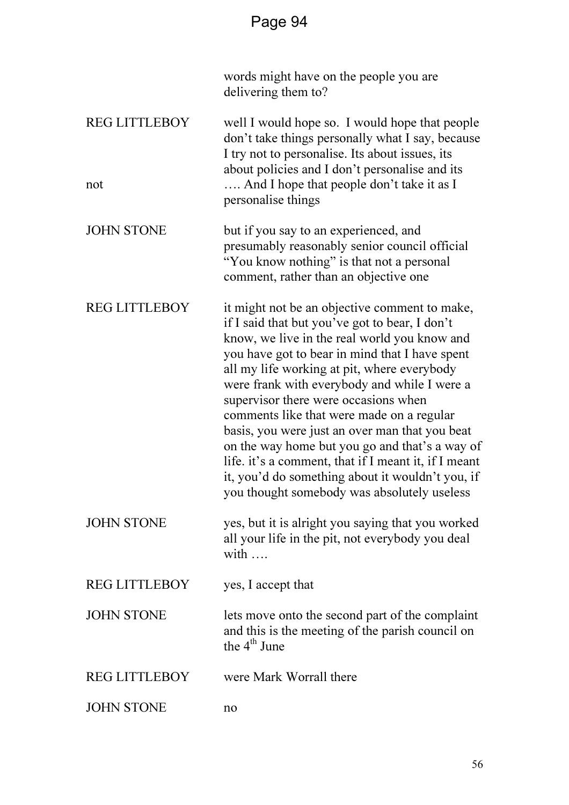|                             | words might have on the people you are<br>delivering them to?                                                                                                                                                                                                                                                                                                                                                                                                                                                                                                                                                                                        |
|-----------------------------|------------------------------------------------------------------------------------------------------------------------------------------------------------------------------------------------------------------------------------------------------------------------------------------------------------------------------------------------------------------------------------------------------------------------------------------------------------------------------------------------------------------------------------------------------------------------------------------------------------------------------------------------------|
| <b>REG LITTLEBOY</b><br>not | well I would hope so. I would hope that people<br>don't take things personally what I say, because<br>I try not to personalise. Its about issues, its<br>about policies and I don't personalise and its<br>And I hope that people don't take it as I<br>personalise things                                                                                                                                                                                                                                                                                                                                                                           |
| <b>JOHN STONE</b>           | but if you say to an experienced, and<br>presumably reasonably senior council official<br>"You know nothing" is that not a personal<br>comment, rather than an objective one                                                                                                                                                                                                                                                                                                                                                                                                                                                                         |
| <b>REG LITTLEBOY</b>        | it might not be an objective comment to make,<br>if I said that but you've got to bear, I don't<br>know, we live in the real world you know and<br>you have got to bear in mind that I have spent<br>all my life working at pit, where everybody<br>were frank with everybody and while I were a<br>supervisor there were occasions when<br>comments like that were made on a regular<br>basis, you were just an over man that you beat<br>on the way home but you go and that's a way of<br>life. it's a comment, that if I meant it, if I meant<br>it, you'd do something about it wouldn't you, if<br>you thought somebody was absolutely useless |
| <b>JOHN STONE</b>           | yes, but it is alright you saying that you worked<br>all your life in the pit, not everybody you deal<br>with                                                                                                                                                                                                                                                                                                                                                                                                                                                                                                                                        |
| <b>REG LITTLEBOY</b>        | yes, I accept that                                                                                                                                                                                                                                                                                                                                                                                                                                                                                                                                                                                                                                   |
| <b>JOHN STONE</b>           | lets move onto the second part of the complaint<br>and this is the meeting of the parish council on<br>the $4^{\text{th}}$ June                                                                                                                                                                                                                                                                                                                                                                                                                                                                                                                      |
| <b>REG LITTLEBOY</b>        | were Mark Worrall there                                                                                                                                                                                                                                                                                                                                                                                                                                                                                                                                                                                                                              |
| <b>JOHN STONE</b>           | no                                                                                                                                                                                                                                                                                                                                                                                                                                                                                                                                                                                                                                                   |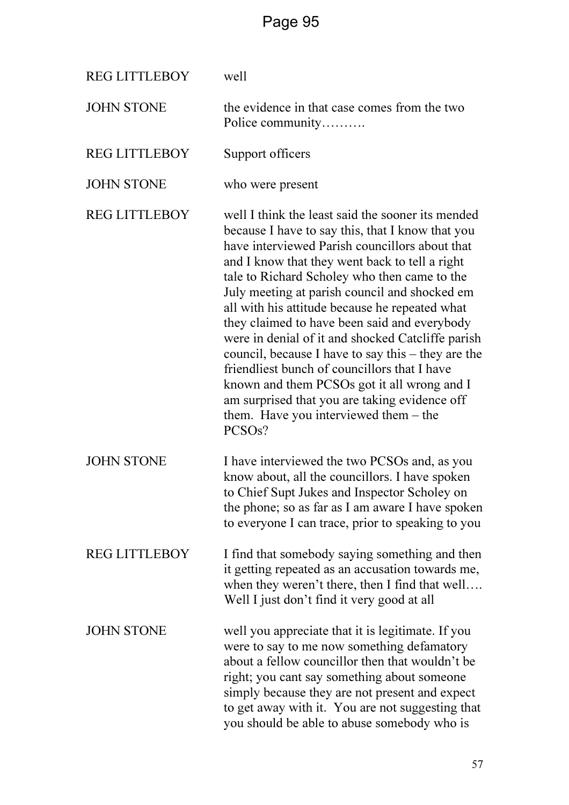| <b>REG LITTLEBOY</b> | well                                                                                                                                                                                                                                                                                                                                                                                                                                                                                                                                                                                                                                                                                                                                        |
|----------------------|---------------------------------------------------------------------------------------------------------------------------------------------------------------------------------------------------------------------------------------------------------------------------------------------------------------------------------------------------------------------------------------------------------------------------------------------------------------------------------------------------------------------------------------------------------------------------------------------------------------------------------------------------------------------------------------------------------------------------------------------|
| <b>JOHN STONE</b>    | the evidence in that case comes from the two<br>Police community                                                                                                                                                                                                                                                                                                                                                                                                                                                                                                                                                                                                                                                                            |
| <b>REG LITTLEBOY</b> | Support officers                                                                                                                                                                                                                                                                                                                                                                                                                                                                                                                                                                                                                                                                                                                            |
| <b>JOHN STONE</b>    | who were present                                                                                                                                                                                                                                                                                                                                                                                                                                                                                                                                                                                                                                                                                                                            |
| <b>REG LITTLEBOY</b> | well I think the least said the sooner its mended<br>because I have to say this, that I know that you<br>have interviewed Parish councillors about that<br>and I know that they went back to tell a right<br>tale to Richard Scholey who then came to the<br>July meeting at parish council and shocked em<br>all with his attitude because he repeated what<br>they claimed to have been said and everybody<br>were in denial of it and shocked Catcliffe parish<br>council, because I have to say this $-$ they are the<br>friendliest bunch of councillors that I have<br>known and them PCSOs got it all wrong and I<br>am surprised that you are taking evidence off<br>them. Have you interviewed them $-$ the<br>PCSO <sub>s</sub> ? |
| <b>JOHN STONE</b>    | I have interviewed the two PCSOs and, as you<br>know about, all the councillors. I have spoken<br>to Chief Supt Jukes and Inspector Scholey on<br>the phone; so as far as I am aware I have spoken<br>to everyone I can trace, prior to speaking to you                                                                                                                                                                                                                                                                                                                                                                                                                                                                                     |
| <b>REG LITTLEBOY</b> | I find that somebody saying something and then<br>it getting repeated as an accusation towards me,<br>when they weren't there, then I find that well<br>Well I just don't find it very good at all                                                                                                                                                                                                                                                                                                                                                                                                                                                                                                                                          |
| <b>JOHN STONE</b>    | well you appreciate that it is legitimate. If you<br>were to say to me now something defamatory<br>about a fellow councillor then that wouldn't be<br>right; you cant say something about someone<br>simply because they are not present and expect<br>to get away with it. You are not suggesting that<br>you should be able to abuse somebody who is                                                                                                                                                                                                                                                                                                                                                                                      |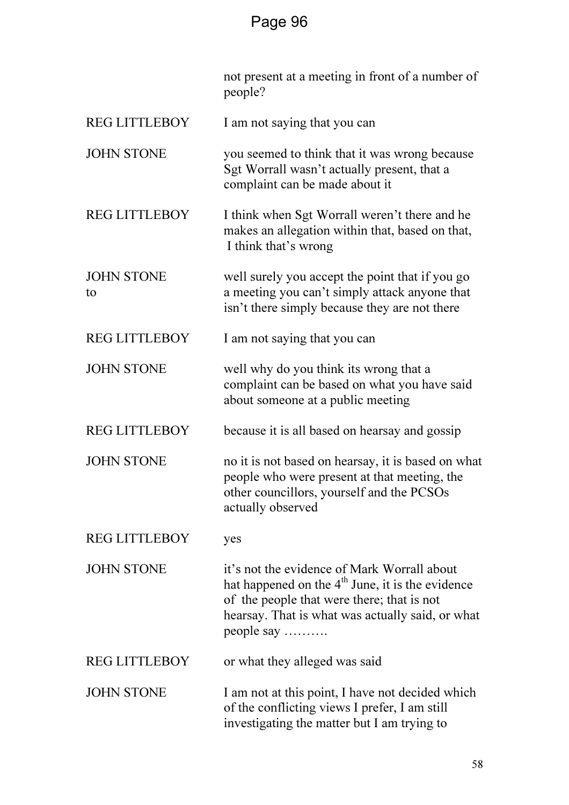|                         | not present at a meeting in front of a number of<br>people?                                                                                                                                                       |  |
|-------------------------|-------------------------------------------------------------------------------------------------------------------------------------------------------------------------------------------------------------------|--|
| <b>REG LITTLEBOY</b>    | I am not saying that you can                                                                                                                                                                                      |  |
| <b>JOHN STONE</b>       | you seemed to think that it was wrong because<br>Sgt Worrall wasn't actually present, that a<br>complaint can be made about it                                                                                    |  |
| <b>REG LITTLEBOY</b>    | I think when Sgt Worrall weren't there and he<br>makes an allegation within that, based on that,<br>I think that's wrong                                                                                          |  |
| <b>JOHN STONE</b><br>to | well surely you accept the point that if you go<br>a meeting you can't simply attack anyone that<br>isn't there simply because they are not there                                                                 |  |
| <b>REG LITTLEBOY</b>    | I am not saying that you can                                                                                                                                                                                      |  |
| <b>JOHN STONE</b>       | well why do you think its wrong that a<br>complaint can be based on what you have said<br>about someone at a public meeting                                                                                       |  |
| <b>REG LITTLEBOY</b>    | because it is all based on hearsay and gossip                                                                                                                                                                     |  |
| <b>JOHN STONE</b>       | no it is not based on hearsay, it is based on what<br>people who were present at that meeting, the<br>other councillors, yourself and the PCSOs<br>actually observed                                              |  |
| <b>REG LITTLEBOY</b>    | yes                                                                                                                                                                                                               |  |
| <b>JOHN STONE</b>       | it's not the evidence of Mark Worrall about<br>hat happened on the $4th$ June, it is the evidence<br>of the people that were there; that is not<br>hearsay. That is what was actually said, or what<br>people say |  |
| <b>REG LITTLEBOY</b>    | or what they alleged was said                                                                                                                                                                                     |  |
| <b>JOHN STONE</b>       | I am not at this point, I have not decided which<br>of the conflicting views I prefer, I am still<br>investigating the matter but I am trying to                                                                  |  |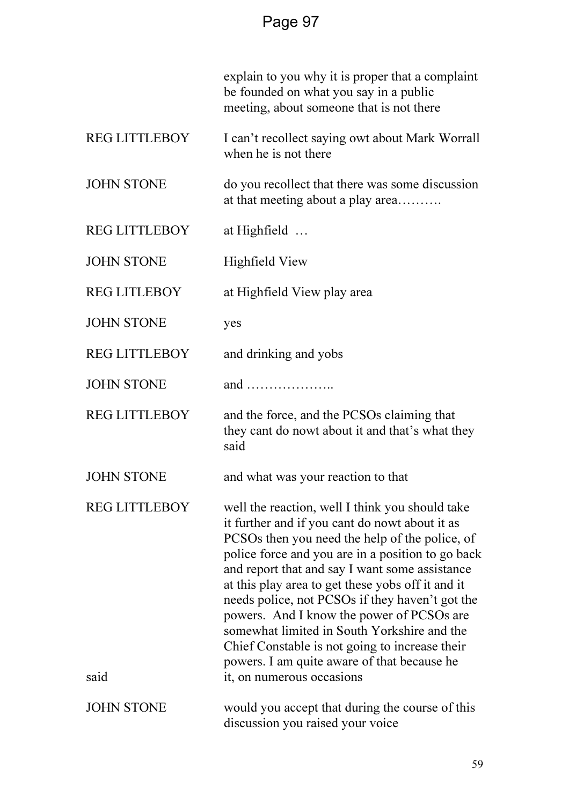|                              | explain to you why it is proper that a complaint<br>be founded on what you say in a public<br>meeting, about someone that is not there                                                                                                                                                                                                                                                                                                                                                                                                                                                       |  |
|------------------------------|----------------------------------------------------------------------------------------------------------------------------------------------------------------------------------------------------------------------------------------------------------------------------------------------------------------------------------------------------------------------------------------------------------------------------------------------------------------------------------------------------------------------------------------------------------------------------------------------|--|
| <b>REG LITTLEBOY</b>         | I can't recollect saying owt about Mark Worrall<br>when he is not there                                                                                                                                                                                                                                                                                                                                                                                                                                                                                                                      |  |
| <b>JOHN STONE</b>            | do you recollect that there was some discussion<br>at that meeting about a play area                                                                                                                                                                                                                                                                                                                                                                                                                                                                                                         |  |
| <b>REG LITTLEBOY</b>         | at Highfield $\dots$                                                                                                                                                                                                                                                                                                                                                                                                                                                                                                                                                                         |  |
| <b>JOHN STONE</b>            | Highfield View                                                                                                                                                                                                                                                                                                                                                                                                                                                                                                                                                                               |  |
| <b>REG LITLEBOY</b>          | at Highfield View play area                                                                                                                                                                                                                                                                                                                                                                                                                                                                                                                                                                  |  |
| <b>JOHN STONE</b>            | yes                                                                                                                                                                                                                                                                                                                                                                                                                                                                                                                                                                                          |  |
| <b>REG LITTLEBOY</b>         | and drinking and yobs                                                                                                                                                                                                                                                                                                                                                                                                                                                                                                                                                                        |  |
| <b>JOHN STONE</b>            | and                                                                                                                                                                                                                                                                                                                                                                                                                                                                                                                                                                                          |  |
| <b>REG LITTLEBOY</b>         | and the force, and the PCSOs claiming that<br>they cant do nowt about it and that's what they<br>said                                                                                                                                                                                                                                                                                                                                                                                                                                                                                        |  |
| <b>JOHN STONE</b>            | and what was your reaction to that                                                                                                                                                                                                                                                                                                                                                                                                                                                                                                                                                           |  |
| <b>REG LITTLEBOY</b><br>said | well the reaction, well I think you should take<br>it further and if you cant do nowt about it as<br>PCSOs then you need the help of the police, of<br>police force and you are in a position to go back<br>and report that and say I want some assistance<br>at this play area to get these yobs off it and it<br>needs police, not PCSOs if they haven't got the<br>powers. And I know the power of PCSOs are<br>somewhat limited in South Yorkshire and the<br>Chief Constable is not going to increase their<br>powers. I am quite aware of that because he<br>it, on numerous occasions |  |
| <b>JOHN STONE</b>            | would you accept that during the course of this<br>discussion you raised your voice                                                                                                                                                                                                                                                                                                                                                                                                                                                                                                          |  |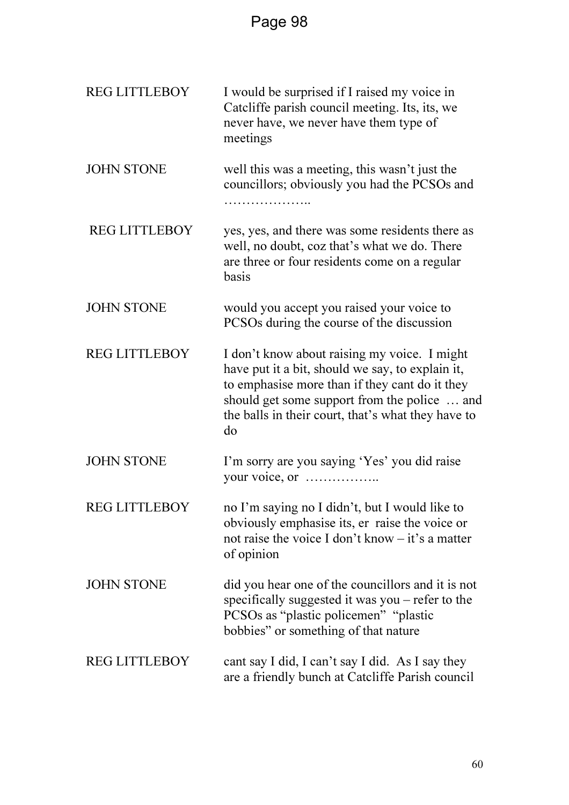| <b>REG LITTLEBOY</b> | I would be surprised if I raised my voice in<br>Catcliffe parish council meeting. Its, its, we<br>never have, we never have them type of<br>meetings                                                                                                           |
|----------------------|----------------------------------------------------------------------------------------------------------------------------------------------------------------------------------------------------------------------------------------------------------------|
| <b>JOHN STONE</b>    | well this was a meeting, this wasn't just the<br>councillors; obviously you had the PCSOs and<br>.                                                                                                                                                             |
| <b>REG LITTLEBOY</b> | yes, yes, and there was some residents there as<br>well, no doubt, coz that's what we do. There<br>are three or four residents come on a regular<br>basis                                                                                                      |
| <b>JOHN STONE</b>    | would you accept you raised your voice to<br>PCSOs during the course of the discussion                                                                                                                                                                         |
| <b>REG LITTLEBOY</b> | I don't know about raising my voice. I might<br>have put it a bit, should we say, to explain it,<br>to emphasise more than if they cant do it they<br>should get some support from the police  and<br>the balls in their court, that's what they have to<br>do |
| <b>JOHN STONE</b>    | I'm sorry are you saying 'Yes' you did raise<br>your voice, or                                                                                                                                                                                                 |
| <b>REG LITTLEBOY</b> | no I'm saying no I didn't, but I would like to<br>obviously emphasise its, er raise the voice or<br>not raise the voice I don't know $-$ it's a matter<br>of opinion                                                                                           |
| <b>JOHN STONE</b>    | did you hear one of the councillors and it is not<br>specifically suggested it was you – refer to the<br>PCSOs as "plastic policemen" "plastic<br>bobbies" or something of that nature                                                                         |
| <b>REG LITTLEBOY</b> | cant say I did, I can't say I did. As I say they<br>are a friendly bunch at Catcliffe Parish council                                                                                                                                                           |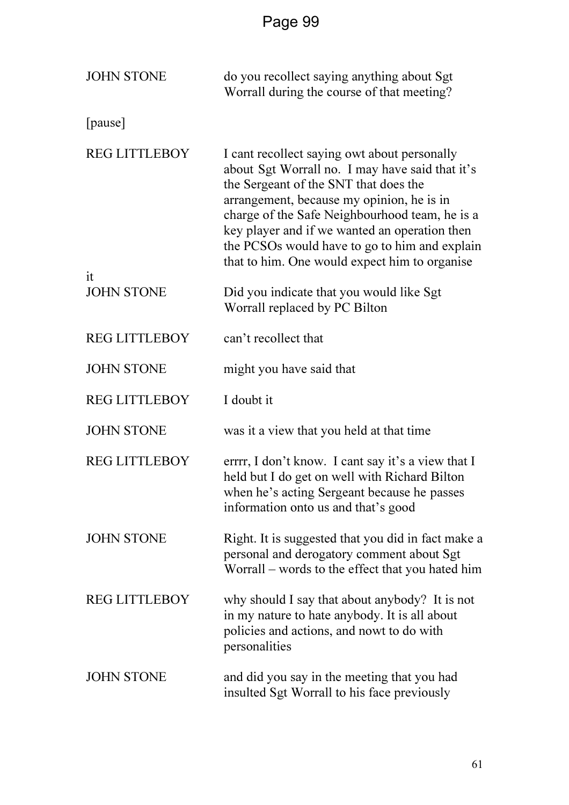| <b>JOHN STONE</b>       | do you recollect saying anything about Sgt<br>Worrall during the course of that meeting?                                                                                                                                                                                                                                                                                                   |  |
|-------------------------|--------------------------------------------------------------------------------------------------------------------------------------------------------------------------------------------------------------------------------------------------------------------------------------------------------------------------------------------------------------------------------------------|--|
| [pause]                 |                                                                                                                                                                                                                                                                                                                                                                                            |  |
| <b>REG LITTLEBOY</b>    | I cant recollect saying owt about personally<br>about Sgt Worrall no. I may have said that it's<br>the Sergeant of the SNT that does the<br>arrangement, because my opinion, he is in<br>charge of the Safe Neighbourhood team, he is a<br>key player and if we wanted an operation then<br>the PCSOs would have to go to him and explain<br>that to him. One would expect him to organise |  |
| it<br><b>JOHN STONE</b> | Did you indicate that you would like Sgt<br>Worrall replaced by PC Bilton                                                                                                                                                                                                                                                                                                                  |  |
| <b>REG LITTLEBOY</b>    | can't recollect that                                                                                                                                                                                                                                                                                                                                                                       |  |
| <b>JOHN STONE</b>       | might you have said that                                                                                                                                                                                                                                                                                                                                                                   |  |
| <b>REG LITTLEBOY</b>    | I doubt it                                                                                                                                                                                                                                                                                                                                                                                 |  |
| <b>JOHN STONE</b>       | was it a view that you held at that time                                                                                                                                                                                                                                                                                                                                                   |  |
| <b>REG LITTLEBOY</b>    | errrr, I don't know. I cant say it's a view that I<br>held but I do get on well with Richard Bilton<br>when he's acting Sergeant because he passes<br>information onto us and that's good                                                                                                                                                                                                  |  |
| <b>JOHN STONE</b>       | Right. It is suggested that you did in fact make a<br>personal and derogatory comment about Sgt<br>Worrall - words to the effect that you hated him                                                                                                                                                                                                                                        |  |
| <b>REG LITTLEBOY</b>    | why should I say that about anybody? It is not<br>in my nature to hate anybody. It is all about<br>policies and actions, and nowt to do with<br>personalities                                                                                                                                                                                                                              |  |
| <b>JOHN STONE</b>       | and did you say in the meeting that you had<br>insulted Sgt Worrall to his face previously                                                                                                                                                                                                                                                                                                 |  |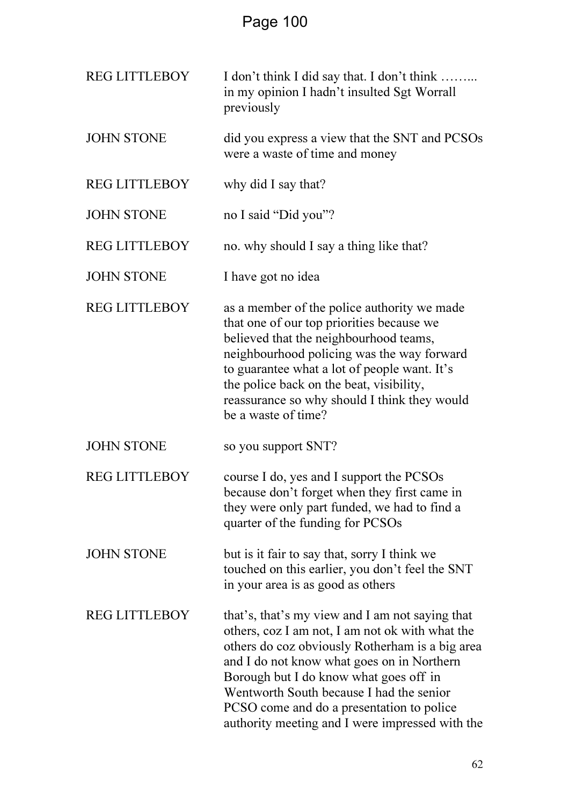| <b>REG LITTLEBOY</b> | I don't think I did say that. I don't think<br>in my opinion I hadn't insulted Sgt Worrall<br>previously                                                                                                                                                                                                                                                                                  |  |
|----------------------|-------------------------------------------------------------------------------------------------------------------------------------------------------------------------------------------------------------------------------------------------------------------------------------------------------------------------------------------------------------------------------------------|--|
| <b>JOHN STONE</b>    | did you express a view that the SNT and PCSOs<br>were a waste of time and money                                                                                                                                                                                                                                                                                                           |  |
| <b>REG LITTLEBOY</b> | why did I say that?                                                                                                                                                                                                                                                                                                                                                                       |  |
| <b>JOHN STONE</b>    | no I said "Did you"?                                                                                                                                                                                                                                                                                                                                                                      |  |
| <b>REG LITTLEBOY</b> | no. why should I say a thing like that?                                                                                                                                                                                                                                                                                                                                                   |  |
| <b>JOHN STONE</b>    | I have got no idea                                                                                                                                                                                                                                                                                                                                                                        |  |
| <b>REG LITTLEBOY</b> | as a member of the police authority we made<br>that one of our top priorities because we<br>believed that the neighbourhood teams,<br>neighbourhood policing was the way forward<br>to guarantee what a lot of people want. It's<br>the police back on the beat, visibility,<br>reassurance so why should I think they would<br>be a waste of time?                                       |  |
| <b>JOHN STONE</b>    | so you support SNT?                                                                                                                                                                                                                                                                                                                                                                       |  |
| <b>REG LITTLEBOY</b> | course I do, yes and I support the PCSOs<br>because don't forget when they first came in<br>they were only part funded, we had to find a<br>quarter of the funding for PCSOs                                                                                                                                                                                                              |  |
| <b>JOHN STONE</b>    | but is it fair to say that, sorry I think we<br>touched on this earlier, you don't feel the SNT<br>in your area is as good as others                                                                                                                                                                                                                                                      |  |
| <b>REG LITTLEBOY</b> | that's, that's my view and I am not saying that<br>others, coz I am not, I am not ok with what the<br>others do coz obviously Rotherham is a big area<br>and I do not know what goes on in Northern<br>Borough but I do know what goes off in<br>Wentworth South because I had the senior<br>PCSO come and do a presentation to police<br>authority meeting and I were impressed with the |  |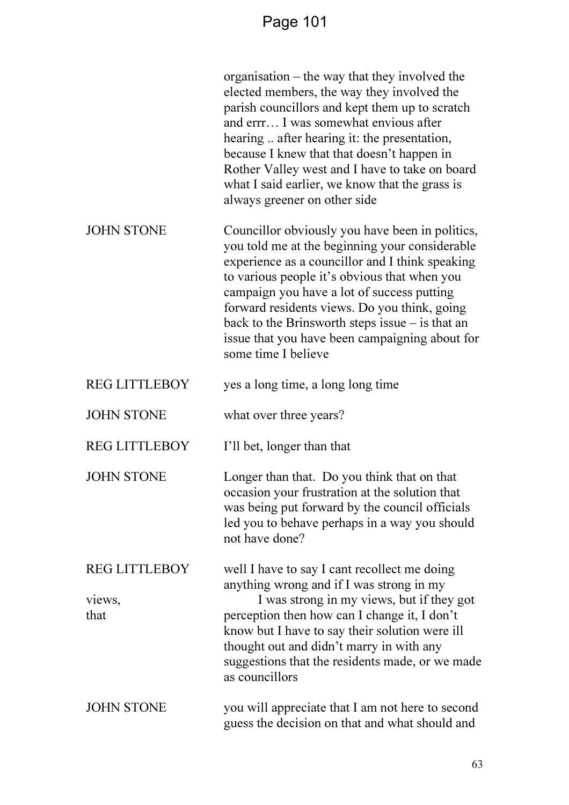|                                        | organisation – the way that they involved the<br>elected members, the way they involved the<br>parish councillors and kept them up to scratch<br>and errr I was somewhat envious after<br>hearing  after hearing it: the presentation,<br>because I knew that that doesn't happen in<br>Rother Valley west and I have to take on board<br>what I said earlier, we know that the grass is<br>always greener on other side         |  |
|----------------------------------------|----------------------------------------------------------------------------------------------------------------------------------------------------------------------------------------------------------------------------------------------------------------------------------------------------------------------------------------------------------------------------------------------------------------------------------|--|
| <b>JOHN STONE</b>                      | Councillor obviously you have been in politics,<br>you told me at the beginning your considerable<br>experience as a councillor and I think speaking<br>to various people it's obvious that when you<br>campaign you have a lot of success putting<br>forward residents views. Do you think, going<br>back to the Brinsworth steps issue $-$ is that an<br>issue that you have been campaigning about for<br>some time I believe |  |
| <b>REG LITTLEBOY</b>                   | yes a long time, a long long time                                                                                                                                                                                                                                                                                                                                                                                                |  |
| <b>JOHN STONE</b>                      | what over three years?                                                                                                                                                                                                                                                                                                                                                                                                           |  |
| <b>REG LITTLEBOY</b>                   | I'll bet, longer than that                                                                                                                                                                                                                                                                                                                                                                                                       |  |
| <b>JOHN STONE</b>                      | Longer than that. Do you think that on that<br>occasion your frustration at the solution that<br>was being put forward by the council officials<br>led you to behave perhaps in a way you should<br>not have done?                                                                                                                                                                                                               |  |
| <b>REG LITTLEBOY</b><br>views,<br>that | well I have to say I cant recollect me doing<br>anything wrong and if I was strong in my<br>I was strong in my views, but if they got<br>perception then how can I change it, I don't<br>know but I have to say their solution were ill<br>thought out and didn't marry in with any<br>suggestions that the residents made, or we made<br>as councillors                                                                         |  |
| <b>JOHN STONE</b>                      | you will appreciate that I am not here to second<br>guess the decision on that and what should and                                                                                                                                                                                                                                                                                                                               |  |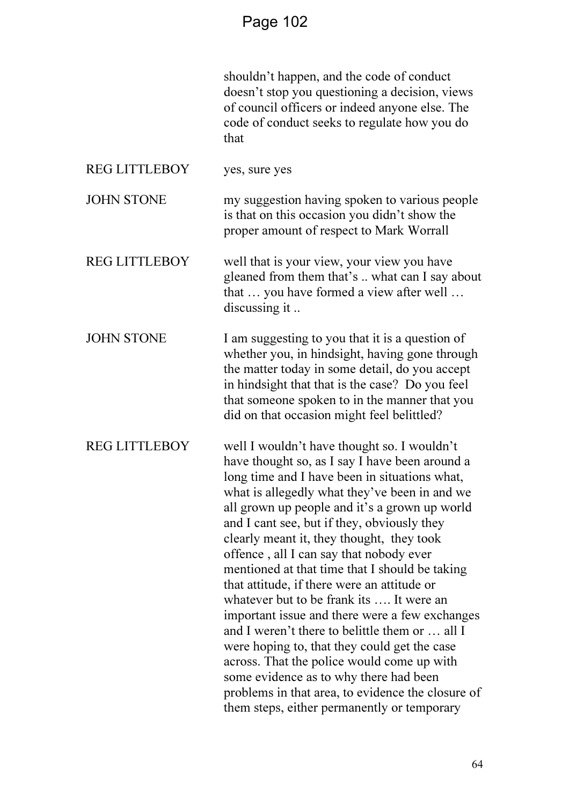shouldn't happen, and the code of conduct doesn't stop you questioning a decision, views of council officers or indeed anyone else. The code of conduct seeks to regulate how you do that

REG LITTLEBOY yes, sure yes

JOHN STONE my suggestion having spoken to various people is that on this occasion you didn't show the proper amount of respect to Mark Worrall

REG LITTLEBOY well that is your view, your view you have gleaned from them that's .. what can I say about that … you have formed a view after well … discussing it ..

JOHN STONE I am suggesting to you that it is a question of whether you, in hindsight, having gone through the matter today in some detail, do you accept in hindsight that that is the case? Do you feel that someone spoken to in the manner that you did on that occasion might feel belittled?

REG LITTLEBOY well I wouldn't have thought so. I wouldn't have thought so, as I say I have been around a long time and I have been in situations what, what is allegedly what they've been in and we all grown up people and it's a grown up world and I cant see, but if they, obviously they clearly meant it, they thought, they took offence , all I can say that nobody ever mentioned at that time that I should be taking that attitude, if there were an attitude or whatever but to be frank its …. It were an important issue and there were a few exchanges and I weren't there to belittle them or … all I were hoping to, that they could get the case across. That the police would come up with some evidence as to why there had been problems in that area, to evidence the closure of them steps, either permanently or temporary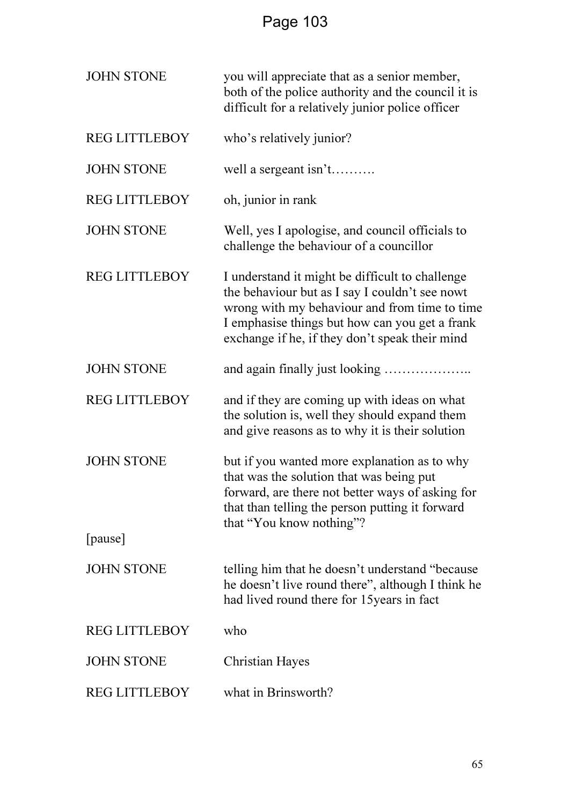| <b>JOHN STONE</b>    | you will appreciate that as a senior member,<br>both of the police authority and the council it is<br>difficult for a relatively junior police officer                                                                                                 |  |
|----------------------|--------------------------------------------------------------------------------------------------------------------------------------------------------------------------------------------------------------------------------------------------------|--|
| <b>REG LITTLEBOY</b> | who's relatively junior?                                                                                                                                                                                                                               |  |
| <b>JOHN STONE</b>    | well a sergeant isn't                                                                                                                                                                                                                                  |  |
| <b>REG LITTLEBOY</b> | oh, junior in rank                                                                                                                                                                                                                                     |  |
| <b>JOHN STONE</b>    | Well, yes I apologise, and council officials to<br>challenge the behaviour of a councillor                                                                                                                                                             |  |
| <b>REG LITTLEBOY</b> | I understand it might be difficult to challenge<br>the behaviour but as I say I couldn't see nowt<br>wrong with my behaviour and from time to time<br>I emphasise things but how can you get a frank<br>exchange if he, if they don't speak their mind |  |
| <b>JOHN STONE</b>    |                                                                                                                                                                                                                                                        |  |
| <b>REG LITTLEBOY</b> | and if they are coming up with ideas on what<br>the solution is, well they should expand them<br>and give reasons as to why it is their solution                                                                                                       |  |
| <b>JOHN STONE</b>    | but if you wanted more explanation as to why<br>that was the solution that was being put<br>forward, are there not better ways of asking for<br>that than telling the person putting it forward<br>that "You know nothing"?                            |  |
| [pause]              |                                                                                                                                                                                                                                                        |  |
| <b>JOHN STONE</b>    | telling him that he doesn't understand "because"<br>he doesn't live round there", although I think he<br>had lived round there for 15 years in fact                                                                                                    |  |
| <b>REG LITTLEBOY</b> | who                                                                                                                                                                                                                                                    |  |
| <b>JOHN STONE</b>    | Christian Hayes                                                                                                                                                                                                                                        |  |
| <b>REG LITTLEBOY</b> | what in Brinsworth?                                                                                                                                                                                                                                    |  |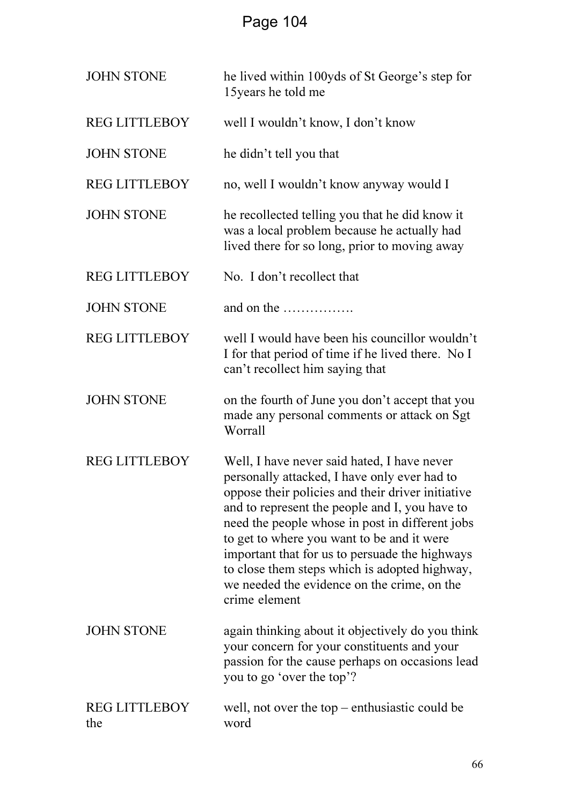| <b>JOHN STONE</b>           | he lived within 100yds of St George's step for<br>15 years he told me                                                                                                                                                                                                                                                                                                                                                                                                  |  |
|-----------------------------|------------------------------------------------------------------------------------------------------------------------------------------------------------------------------------------------------------------------------------------------------------------------------------------------------------------------------------------------------------------------------------------------------------------------------------------------------------------------|--|
| <b>REG LITTLEBOY</b>        | well I wouldn't know, I don't know                                                                                                                                                                                                                                                                                                                                                                                                                                     |  |
| <b>JOHN STONE</b>           | he didn't tell you that                                                                                                                                                                                                                                                                                                                                                                                                                                                |  |
| <b>REG LITTLEBOY</b>        | no, well I wouldn't know anyway would I                                                                                                                                                                                                                                                                                                                                                                                                                                |  |
| <b>JOHN STONE</b>           | he recollected telling you that he did know it<br>was a local problem because he actually had<br>lived there for so long, prior to moving away                                                                                                                                                                                                                                                                                                                         |  |
| <b>REG LITTLEBOY</b>        | No. I don't recollect that                                                                                                                                                                                                                                                                                                                                                                                                                                             |  |
| <b>JOHN STONE</b>           | and on the                                                                                                                                                                                                                                                                                                                                                                                                                                                             |  |
| <b>REG LITTLEBOY</b>        | well I would have been his councillor wouldn't<br>I for that period of time if he lived there. No I<br>can't recollect him saying that                                                                                                                                                                                                                                                                                                                                 |  |
| <b>JOHN STONE</b>           | on the fourth of June you don't accept that you<br>made any personal comments or attack on Sgt<br>Worrall                                                                                                                                                                                                                                                                                                                                                              |  |
| <b>REG LITTLEBOY</b>        | Well, I have never said hated, I have never<br>personally attacked, I have only ever had to<br>oppose their policies and their driver initiative<br>and to represent the people and I, you have to<br>need the people whose in post in different jobs<br>to get to where you want to be and it were<br>important that for us to persuade the highways<br>to close them steps which is adopted highway,<br>we needed the evidence on the crime, on the<br>crime element |  |
| <b>JOHN STONE</b>           | again thinking about it objectively do you think<br>your concern for your constituents and your<br>passion for the cause perhaps on occasions lead<br>you to go 'over the top'?                                                                                                                                                                                                                                                                                        |  |
| <b>REG LITTLEBOY</b><br>the | well, not over the top $-$ enthusiastic could be<br>word                                                                                                                                                                                                                                                                                                                                                                                                               |  |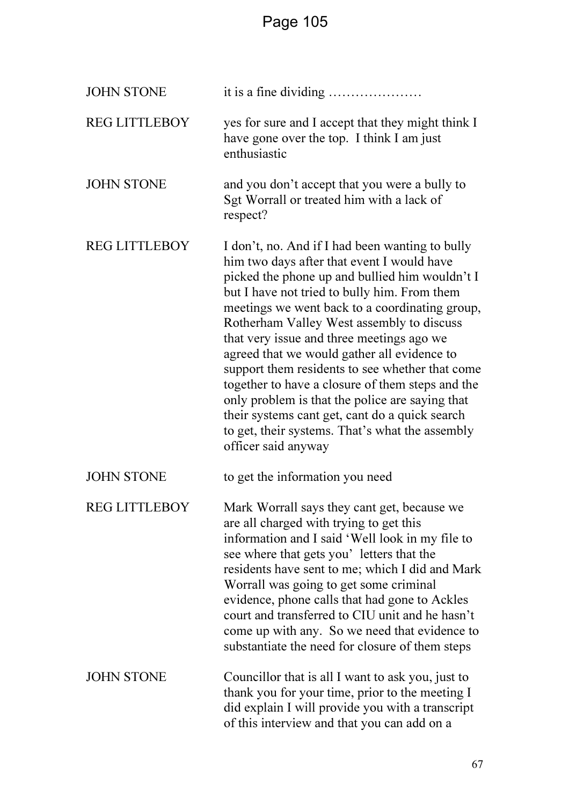| <b>JOHN STONE</b>    |                                                                                                                                                                                                                                                                                                                                                                                                                                                                                                                                                                                                                                                                                  |  |
|----------------------|----------------------------------------------------------------------------------------------------------------------------------------------------------------------------------------------------------------------------------------------------------------------------------------------------------------------------------------------------------------------------------------------------------------------------------------------------------------------------------------------------------------------------------------------------------------------------------------------------------------------------------------------------------------------------------|--|
| <b>REG LITTLEBOY</b> | yes for sure and I accept that they might think I<br>have gone over the top. I think I am just<br>enthusiastic                                                                                                                                                                                                                                                                                                                                                                                                                                                                                                                                                                   |  |
| <b>JOHN STONE</b>    | and you don't accept that you were a bully to<br>Sgt Worrall or treated him with a lack of<br>respect?                                                                                                                                                                                                                                                                                                                                                                                                                                                                                                                                                                           |  |
| <b>REG LITTLEBOY</b> | I don't, no. And if I had been wanting to bully<br>him two days after that event I would have<br>picked the phone up and bullied him wouldn't I<br>but I have not tried to bully him. From them<br>meetings we went back to a coordinating group,<br>Rotherham Valley West assembly to discuss<br>that very issue and three meetings ago we<br>agreed that we would gather all evidence to<br>support them residents to see whether that come<br>together to have a closure of them steps and the<br>only problem is that the police are saying that<br>their systems cant get, cant do a quick search<br>to get, their systems. That's what the assembly<br>officer said anyway |  |
| <b>JOHN STONE</b>    | to get the information you need                                                                                                                                                                                                                                                                                                                                                                                                                                                                                                                                                                                                                                                  |  |
| <b>REG LITTLEBOY</b> | Mark Worrall says they cant get, because we<br>are all charged with trying to get this<br>information and I said 'Well look in my file to<br>see where that gets you'letters that the<br>residents have sent to me; which I did and Mark<br>Worrall was going to get some criminal<br>evidence, phone calls that had gone to Ackles<br>court and transferred to CIU unit and he hasn't<br>come up with any. So we need that evidence to<br>substantiate the need for closure of them steps                                                                                                                                                                                       |  |
| <b>JOHN STONE</b>    | Councillor that is all I want to ask you, just to<br>thank you for your time, prior to the meeting I<br>did explain I will provide you with a transcript<br>of this interview and that you can add on a                                                                                                                                                                                                                                                                                                                                                                                                                                                                          |  |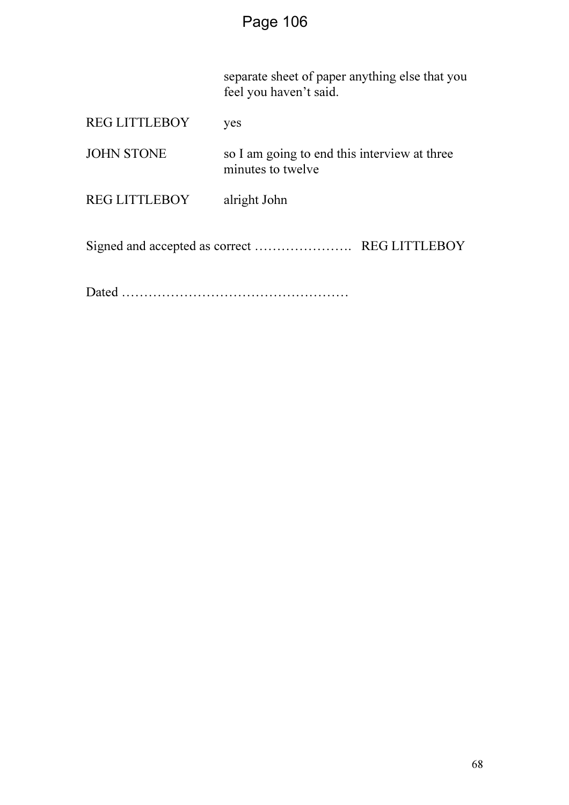separate sheet of paper anything else that you feel you haven't said.

| <b>REG LITTLEBOY</b> | yes                                                               |
|----------------------|-------------------------------------------------------------------|
| <b>JOHN STONE</b>    | so I am going to end this interview at three<br>minutes to twelve |
| <b>REG LITTLEBOY</b> | alright John                                                      |
|                      |                                                                   |

Dated ……………………………………………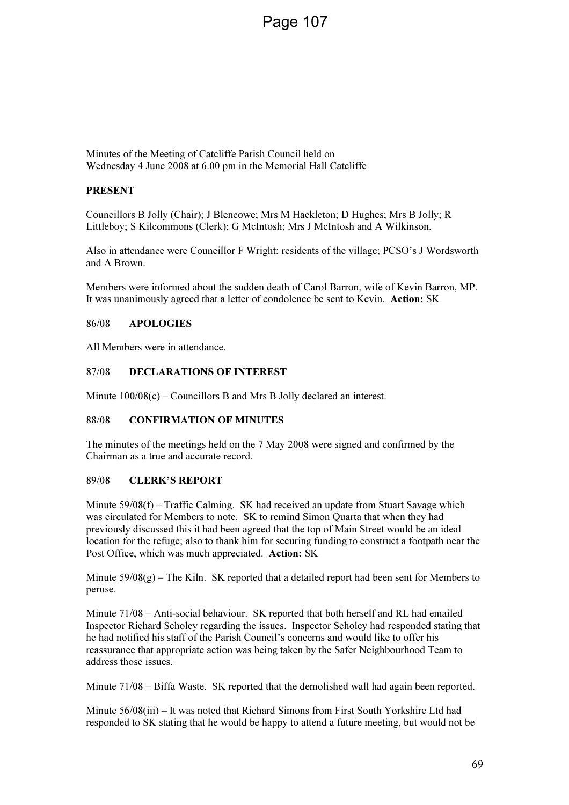Minutes of the Meeting of Catcliffe Parish Council held on Wednesday 4 June 2008 at 6.00 pm in the Memorial Hall Catcliffe

#### PRESENT

Councillors B Jolly (Chair); J Blencowe; Mrs M Hackleton; D Hughes; Mrs B Jolly; R Littleboy; S Kilcommons (Clerk); G McIntosh; Mrs J McIntosh and A Wilkinson.

Also in attendance were Councillor F Wright; residents of the village; PCSO's J Wordsworth and A Brown.

Members were informed about the sudden death of Carol Barron, wife of Kevin Barron, MP. It was unanimously agreed that a letter of condolence be sent to Kevin. Action: SK

#### 86/08 APOLOGIES

All Members were in attendance.

#### 87/08 DECLARATIONS OF INTEREST

Minute 100/08(c) – Councillors B and Mrs B Jolly declared an interest.

#### 88/08 CONFIRMATION OF MINUTES

The minutes of the meetings held on the 7 May 2008 were signed and confirmed by the Chairman as a true and accurate record.

#### 89/08 CLERK'S REPORT

Minute  $59/08(f)$  – Traffic Calming. SK had received an update from Stuart Savage which was circulated for Members to note. SK to remind Simon Quarta that when they had previously discussed this it had been agreed that the top of Main Street would be an ideal location for the refuge; also to thank him for securing funding to construct a footpath near the Post Office, which was much appreciated. Action: SK

Minute  $59/08(g)$  – The Kiln. SK reported that a detailed report had been sent for Members to peruse.

Minute 71/08 – Anti-social behaviour. SK reported that both herself and RL had emailed Inspector Richard Scholey regarding the issues. Inspector Scholey had responded stating that he had notified his staff of the Parish Council's concerns and would like to offer his reassurance that appropriate action was being taken by the Safer Neighbourhood Team to address those issues.

Minute 71/08 – Biffa Waste. SK reported that the demolished wall had again been reported.

Minute 56/08(iii) – It was noted that Richard Simons from First South Yorkshire Ltd had responded to SK stating that he would be happy to attend a future meeting, but would not be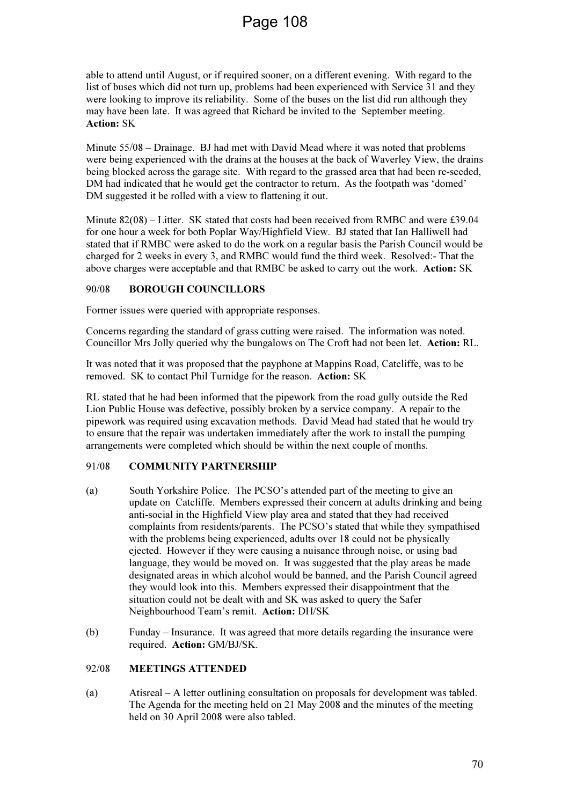able to attend until August, or if required sooner, on a different evening. With regard to the list of buses which did not turn up, problems had been experienced with Service 31 and they were looking to improve its reliability. Some of the buses on the list did run although they may have been late. It was agreed that Richard be invited to the September meeting. Action: SK

Minute 55/08 – Drainage. BJ had met with David Mead where it was noted that problems were being experienced with the drains at the houses at the back of Waverley View, the drains being blocked across the garage site. With regard to the grassed area that had been re-seeded, DM had indicated that he would get the contractor to return. As the footpath was 'domed' DM suggested it be rolled with a view to flattening it out.

Minute 82(08) – Litter. SK stated that costs had been received from RMBC and were £39.04 for one hour a week for both Poplar Way/Highfield View. BJ stated that Ian Halliwell had stated that if RMBC were asked to do the work on a regular basis the Parish Council would be charged for 2 weeks in every 3, and RMBC would fund the third week. Resolved:- That the above charges were acceptable and that RMBC be asked to carry out the work. Action: SK

# 90/08 BOROUGH COUNCILLORS

Former issues were queried with appropriate responses.

Concerns regarding the standard of grass cutting were raised. The information was noted. Councillor Mrs Jolly queried why the bungalows on The Croft had not been let. Action: RL.

It was noted that it was proposed that the payphone at Mappins Road, Catcliffe, was to be removed. SK to contact Phil Turnidge for the reason. Action: SK

RL stated that he had been informed that the pipework from the road gully outside the Red Lion Public House was defective, possibly broken by a service company. A repair to the pipework was required using excavation methods. David Mead had stated that he would try to ensure that the repair was undertaken immediately after the work to install the pumping arrangements were completed which should be within the next couple of months.

# 91/08 COMMUNITY PARTNERSHIP

- (a) South Yorkshire Police. The PCSO's attended part of the meeting to give an update on Catcliffe. Members expressed their concern at adults drinking and being anti-social in the Highfield View play area and stated that they had received complaints from residents/parents. The PCSO's stated that while they sympathised with the problems being experienced, adults over 18 could not be physically ejected. However if they were causing a nuisance through noise, or using bad language, they would be moved on. It was suggested that the play areas be made designated areas in which alcohol would be banned, and the Parish Council agreed they would look into this. Members expressed their disappointment that the situation could not be dealt with and SK was asked to query the Safer Neighbourhood Team's remit. Action: DH/SK
- (b) Funday Insurance. It was agreed that more details regarding the insurance were required. Action: GM/BJ/SK.

#### 92/08 MEETINGS ATTENDED

(a) Atisreal – A letter outlining consultation on proposals for development was tabled. The Agenda for the meeting held on 21 May 2008 and the minutes of the meeting held on 30 April 2008 were also tabled.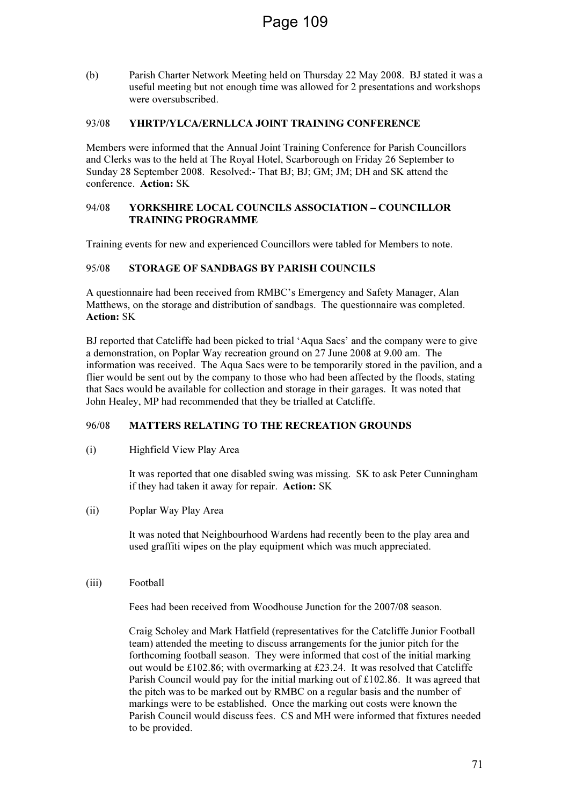(b) Parish Charter Network Meeting held on Thursday 22 May 2008. BJ stated it was a useful meeting but not enough time was allowed for 2 presentations and workshops were oversubscribed.

#### 93/08 YHRTP/YLCA/ERNLLCA JOINT TRAINING CONFERENCE

Members were informed that the Annual Joint Training Conference for Parish Councillors and Clerks was to the held at The Royal Hotel, Scarborough on Friday 26 September to Sunday 28 September 2008. Resolved:- That BJ; BJ; GM; JM; DH and SK attend the conference. Action: SK

#### 94/08 YORKSHIRE LOCAL COUNCILS ASSOCIATION – COUNCILLOR TRAINING PROGRAMME

Training events for new and experienced Councillors were tabled for Members to note.

#### 95/08 STORAGE OF SANDBAGS BY PARISH COUNCILS

A questionnaire had been received from RMBC's Emergency and Safety Manager, Alan Matthews, on the storage and distribution of sandbags. The questionnaire was completed. Action: SK

BJ reported that Catcliffe had been picked to trial 'Aqua Sacs' and the company were to give a demonstration, on Poplar Way recreation ground on 27 June 2008 at 9.00 am. The information was received. The Aqua Sacs were to be temporarily stored in the pavilion, and a flier would be sent out by the company to those who had been affected by the floods, stating that Sacs would be available for collection and storage in their garages. It was noted that John Healey, MP had recommended that they be trialled at Catcliffe.

# 96/08 MATTERS RELATING TO THE RECREATION GROUNDS

(i) Highfield View Play Area

It was reported that one disabled swing was missing. SK to ask Peter Cunningham if they had taken it away for repair. Action: SK

(ii) Poplar Way Play Area

It was noted that Neighbourhood Wardens had recently been to the play area and used graffiti wipes on the play equipment which was much appreciated.

#### (iii) Football

Fees had been received from Woodhouse Junction for the 2007/08 season.

Craig Scholey and Mark Hatfield (representatives for the Catcliffe Junior Football team) attended the meeting to discuss arrangements for the junior pitch for the forthcoming football season. They were informed that cost of the initial marking out would be £102.86; with overmarking at £23.24. It was resolved that Catcliffe Parish Council would pay for the initial marking out of £102.86. It was agreed that the pitch was to be marked out by RMBC on a regular basis and the number of markings were to be established. Once the marking out costs were known the Parish Council would discuss fees. CS and MH were informed that fixtures needed to be provided.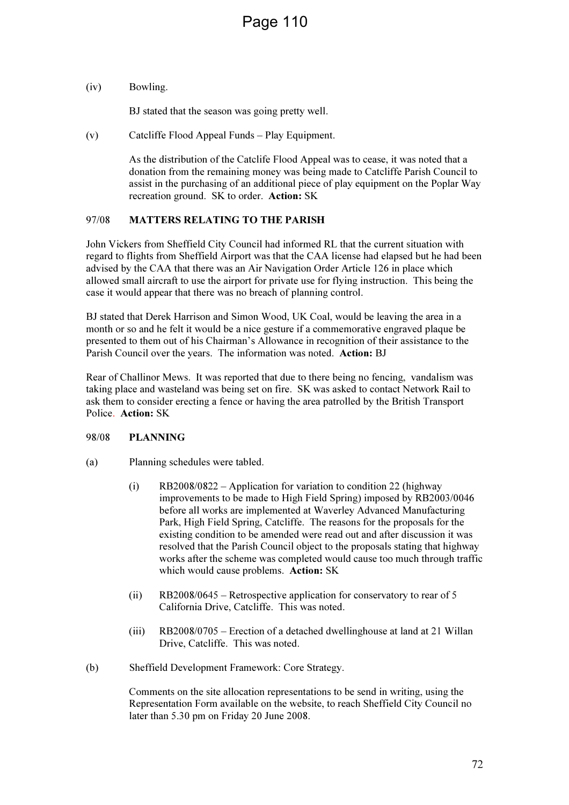(iv) Bowling.

BJ stated that the season was going pretty well.

(v) Catcliffe Flood Appeal Funds – Play Equipment.

As the distribution of the Catclife Flood Appeal was to cease, it was noted that a donation from the remaining money was being made to Catcliffe Parish Council to assist in the purchasing of an additional piece of play equipment on the Poplar Way recreation ground. SK to order. Action: SK

#### 97/08 MATTERS RELATING TO THE PARISH

John Vickers from Sheffield City Council had informed RL that the current situation with regard to flights from Sheffield Airport was that the CAA license had elapsed but he had been advised by the CAA that there was an Air Navigation Order Article 126 in place which allowed small aircraft to use the airport for private use for flying instruction. This being the case it would appear that there was no breach of planning control.

BJ stated that Derek Harrison and Simon Wood, UK Coal, would be leaving the area in a month or so and he felt it would be a nice gesture if a commemorative engraved plaque be presented to them out of his Chairman's Allowance in recognition of their assistance to the Parish Council over the years. The information was noted. Action: BJ

Rear of Challinor Mews. It was reported that due to there being no fencing, vandalism was taking place and wasteland was being set on fire. SK was asked to contact Network Rail to ask them to consider erecting a fence or having the area patrolled by the British Transport Police. Action: SK

#### 98/08 PLANNING

- (a) Planning schedules were tabled.
	- (i) RB2008/0822 Application for variation to condition 22 (highway improvements to be made to High Field Spring) imposed by RB2003/0046 before all works are implemented at Waverley Advanced Manufacturing Park, High Field Spring, Catcliffe. The reasons for the proposals for the existing condition to be amended were read out and after discussion it was resolved that the Parish Council object to the proposals stating that highway works after the scheme was completed would cause too much through traffic which would cause problems. Action: SK
	- (ii) RB2008/0645 Retrospective application for conservatory to rear of 5 California Drive, Catcliffe. This was noted.
	- (iii) RB2008/0705 Erection of a detached dwellinghouse at land at 21 Willan Drive, Catcliffe. This was noted.
- (b) Sheffield Development Framework: Core Strategy.

Comments on the site allocation representations to be send in writing, using the Representation Form available on the website, to reach Sheffield City Council no later than 5.30 pm on Friday 20 June 2008.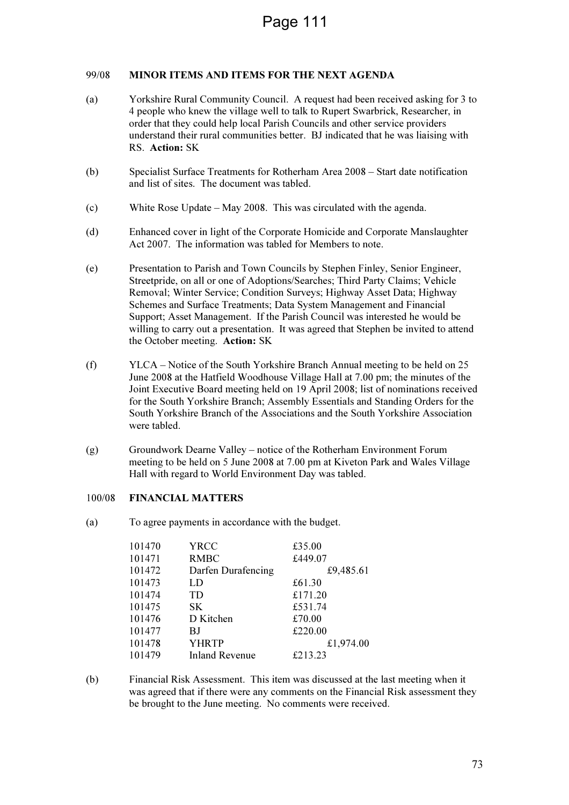# 99/08 MINOR ITEMS AND ITEMS FOR THE NEXT AGENDA

- (a) Yorkshire Rural Community Council. A request had been received asking for 3 to 4 people who knew the village well to talk to Rupert Swarbrick, Researcher, in order that they could help local Parish Councils and other service providers understand their rural communities better. BJ indicated that he was liaising with RS. Action: SK
- (b) Specialist Surface Treatments for Rotherham Area 2008 Start date notification and list of sites. The document was tabled.
- (c) White Rose Update May 2008. This was circulated with the agenda.
- (d) Enhanced cover in light of the Corporate Homicide and Corporate Manslaughter Act 2007. The information was tabled for Members to note.
- (e) Presentation to Parish and Town Councils by Stephen Finley, Senior Engineer, Streetpride, on all or one of Adoptions/Searches; Third Party Claims; Vehicle Removal; Winter Service; Condition Surveys; Highway Asset Data; Highway Schemes and Surface Treatments; Data System Management and Financial Support; Asset Management. If the Parish Council was interested he would be willing to carry out a presentation. It was agreed that Stephen be invited to attend the October meeting. Action: SK
- (f) YLCA Notice of the South Yorkshire Branch Annual meeting to be held on 25 June 2008 at the Hatfield Woodhouse Village Hall at 7.00 pm; the minutes of the Joint Executive Board meeting held on 19 April 2008; list of nominations received for the South Yorkshire Branch; Assembly Essentials and Standing Orders for the South Yorkshire Branch of the Associations and the South Yorkshire Association were tabled.
- (g) Groundwork Dearne Valley notice of the Rotherham Environment Forum meeting to be held on 5 June 2008 at 7.00 pm at Kiveton Park and Wales Village Hall with regard to World Environment Day was tabled.

# 100/08 FINANCIAL MATTERS

(a) To agree payments in accordance with the budget.

| 101470 | YRCC                  | £35.00    |
|--------|-----------------------|-----------|
| 101471 | <b>RMBC</b>           | £449.07   |
| 101472 | Darfen Durafencing    | £9,485.61 |
| 101473 | LD                    | £61.30    |
| 101474 | <b>TD</b>             | £171.20   |
| 101475 | SK.                   | £531.74   |
| 101476 | D Kitchen             | £70.00    |
| 101477 | BJ                    | £220.00   |
| 101478 | <b>YHRTP</b>          | £1,974.00 |
| 101479 | <b>Inland Revenue</b> | £213.23   |

(b) Financial Risk Assessment. This item was discussed at the last meeting when it was agreed that if there were any comments on the Financial Risk assessment they be brought to the June meeting. No comments were received.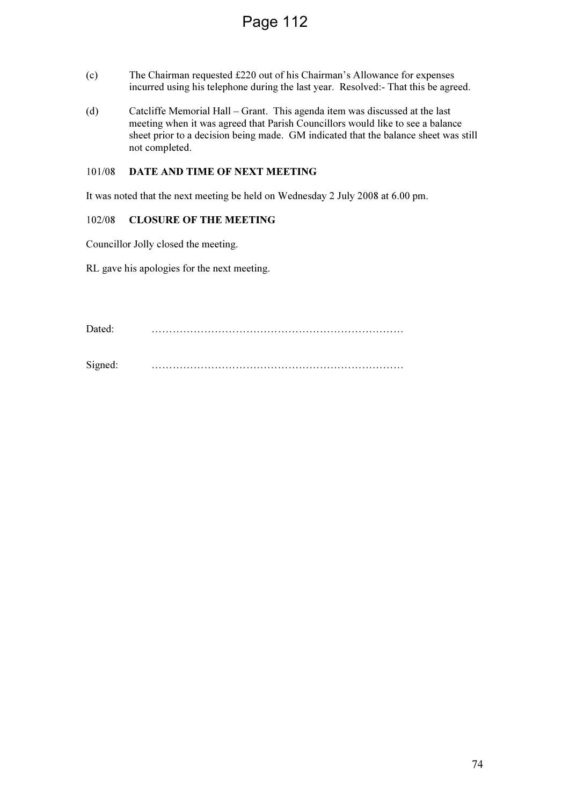# Page 112

- (c) The Chairman requested £220 out of his Chairman's Allowance for expenses incurred using his telephone during the last year. Resolved:- That this be agreed.
- (d) Catcliffe Memorial Hall Grant. This agenda item was discussed at the last meeting when it was agreed that Parish Councillors would like to see a balance sheet prior to a decision being made. GM indicated that the balance sheet was still not completed.

# 101/08 DATE AND TIME OF NEXT MEETING

It was noted that the next meeting be held on Wednesday 2 July 2008 at 6.00 pm.

#### 102/08 CLOSURE OF THE MEETING

Councillor Jolly closed the meeting.

RL gave his apologies for the next meeting.

Dated: ………………………………………………………………

Signed: ………………………………………………………………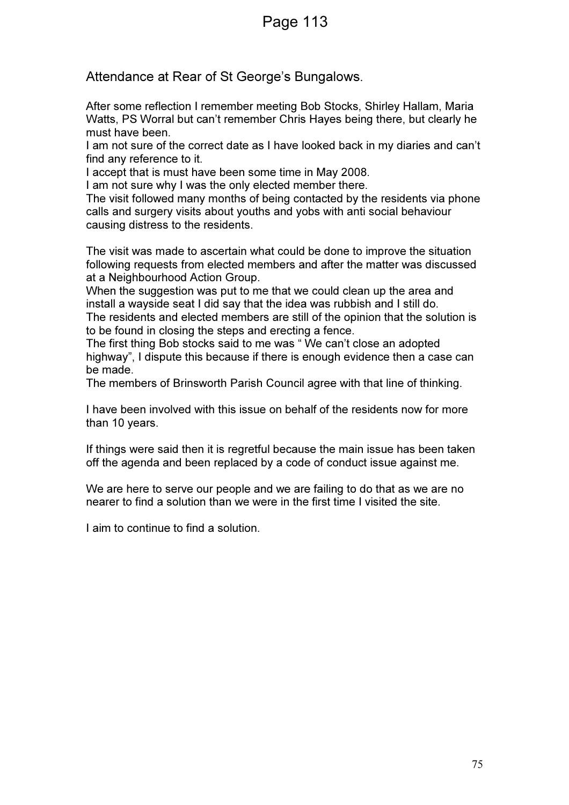# Page 113

Attendance at Rear of St George's Bungalows.

After some reflection I remember meeting Bob Stocks, Shirley Hallam, Maria Watts, PS Worral but can't remember Chris Hayes being there, but clearly he must have been.

I am not sure of the correct date as I have looked back in my diaries and can't find any reference to it.

I accept that is must have been some time in May 2008.

I am not sure why I was the only elected member there.

The visit followed many months of being contacted by the residents via phone calls and surgery visits about youths and yobs with anti social behaviour causing distress to the residents.

The visit was made to ascertain what could be done to improve the situation following requests from elected members and after the matter was discussed at a Neighbourhood Action Group.

When the suggestion was put to me that we could clean up the area and install a wayside seat I did say that the idea was rubbish and I still do.

The residents and elected members are still of the opinion that the solution is to be found in closing the steps and erecting a fence.

The first thing Bob stocks said to me was " We can't close an adopted highway", I dispute this because if there is enough evidence then a case can be made.

The members of Brinsworth Parish Council agree with that line of thinking.

I have been involved with this issue on behalf of the residents now for more than 10 years.

If things were said then it is regretful because the main issue has been taken off the agenda and been replaced by a code of conduct issue against me.

We are here to serve our people and we are failing to do that as we are no nearer to find a solution than we were in the first time I visited the site.

I aim to continue to find a solution.